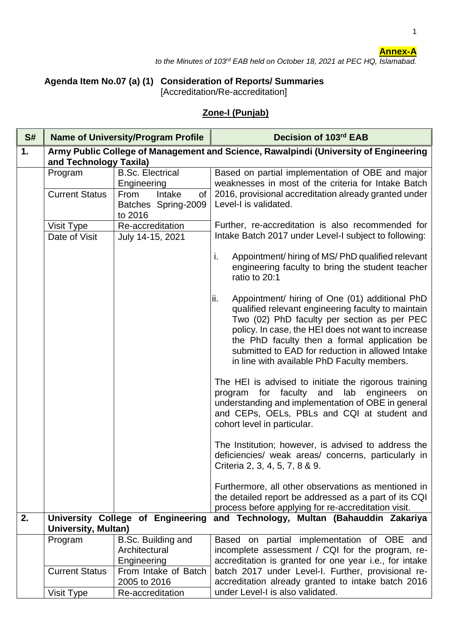## **Annex-A**

1

*to the Minutes of 103rd EAB held on October 18, 2021 at PEC HQ, Islamabad.*

## **Agenda Item No.07 (a) (1) Consideration of Reports/ Summaries** [Accreditation/Re-accreditation]

## **Zone-I (Punjab)**

| S# | <b>Name of University/Program Profile</b> |                                                                | Decision of 103rd EAB                                                                                                                                                                                                                                                                                                                                               |
|----|-------------------------------------------|----------------------------------------------------------------|---------------------------------------------------------------------------------------------------------------------------------------------------------------------------------------------------------------------------------------------------------------------------------------------------------------------------------------------------------------------|
| 1. | and Technology Taxila)                    |                                                                | Army Public College of Management and Science, Rawalpindi (University of Engineering                                                                                                                                                                                                                                                                                |
|    | Program<br><b>Current Status</b>          | <b>B.Sc. Electrical</b><br>Engineering<br>Intake<br>From<br>of | Based on partial implementation of OBE and major<br>weaknesses in most of the criteria for Intake Batch<br>2016, provisional accreditation already granted under                                                                                                                                                                                                    |
|    |                                           | Batches Spring-2009<br>to 2016                                 | Level-I is validated.                                                                                                                                                                                                                                                                                                                                               |
|    | Visit Type                                | Re-accreditation                                               | Further, re-accreditation is also recommended for                                                                                                                                                                                                                                                                                                                   |
|    | Date of Visit                             | July 14-15, 2021                                               | Intake Batch 2017 under Level-I subject to following:                                                                                                                                                                                                                                                                                                               |
|    |                                           |                                                                | i.<br>Appointment/hiring of MS/PhD qualified relevant<br>engineering faculty to bring the student teacher<br>ratio to 20:1                                                                                                                                                                                                                                          |
|    |                                           |                                                                | ii.<br>Appointment/ hiring of One (01) additional PhD<br>qualified relevant engineering faculty to maintain<br>Two (02) PhD faculty per section as per PEC<br>policy. In case, the HEI does not want to increase<br>the PhD faculty then a formal application be<br>submitted to EAD for reduction in allowed Intake<br>in line with available PhD Faculty members. |
|    |                                           |                                                                | The HEI is advised to initiate the rigorous training<br>for faculty<br>lab engineers<br>and<br>program<br>on<br>understanding and implementation of OBE in general<br>and CEPs, OELs, PBLs and CQI at student and<br>cohort level in particular.                                                                                                                    |
|    |                                           |                                                                | The Institution; however, is advised to address the<br>deficiencies/ weak areas/ concerns, particularly in<br>Criteria 2, 3, 4, 5, 7, 8 & 9.                                                                                                                                                                                                                        |
|    |                                           |                                                                | Furthermore, all other observations as mentioned in<br>the detailed report be addressed as a part of its CQI<br>process before applying for re-accreditation visit.                                                                                                                                                                                                 |
| 2. | <b>University, Multan)</b>                | University College of Engineering                              | and Technology, Multan (Bahauddin Zakariya                                                                                                                                                                                                                                                                                                                          |
|    | Program                                   | B.Sc. Building and                                             | Based on partial implementation of OBE and                                                                                                                                                                                                                                                                                                                          |
|    |                                           | Architectural                                                  | incomplete assessment / CQI for the program, re-                                                                                                                                                                                                                                                                                                                    |
|    | <b>Current Status</b>                     | Engineering<br>From Intake of Batch                            | accreditation is granted for one year i.e., for intake<br>batch 2017 under Level-I. Further, provisional re-                                                                                                                                                                                                                                                        |
|    |                                           | 2005 to 2016                                                   | accreditation already granted to intake batch 2016                                                                                                                                                                                                                                                                                                                  |
|    | Visit Type                                | Re-accreditation                                               | under Level-I is also validated.                                                                                                                                                                                                                                                                                                                                    |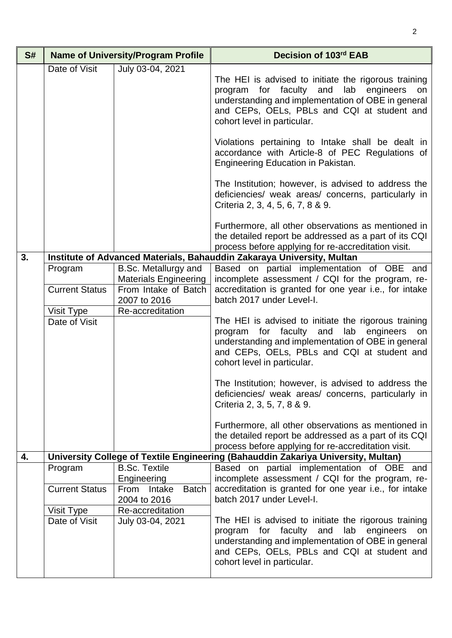| S# | <b>Name of University/Program Profile</b> |                                                      | Decision of 103rd EAB                                                                                                                                                                                                                                  |
|----|-------------------------------------------|------------------------------------------------------|--------------------------------------------------------------------------------------------------------------------------------------------------------------------------------------------------------------------------------------------------------|
|    | Date of Visit                             | July 03-04, 2021                                     | The HEI is advised to initiate the rigorous training<br>for faculty<br>and<br>lab engineers<br>program<br>on<br>understanding and implementation of OBE in general<br>and CEPs, OELs, PBLs and CQI at student and<br>cohort level in particular.       |
|    |                                           |                                                      | Violations pertaining to Intake shall be dealt in<br>accordance with Article-8 of PEC Regulations of<br>Engineering Education in Pakistan.                                                                                                             |
|    |                                           |                                                      | The Institution; however, is advised to address the<br>deficiencies/ weak areas/ concerns, particularly in<br>Criteria 2, 3, 4, 5, 6, 7, 8 & 9.                                                                                                        |
|    |                                           |                                                      | Furthermore, all other observations as mentioned in<br>the detailed report be addressed as a part of its CQI<br>process before applying for re-accreditation visit.                                                                                    |
| 3. |                                           |                                                      | Institute of Advanced Materials, Bahauddin Zakaraya University, Multan                                                                                                                                                                                 |
|    | Program                                   | B.Sc. Metallurgy and<br><b>Materials Engineering</b> | Based on partial implementation of OBE and<br>incomplete assessment / CQI for the program, re-                                                                                                                                                         |
|    | <b>Current Status</b>                     | From Intake of Batch<br>2007 to 2016                 | accreditation is granted for one year i.e., for intake<br>batch 2017 under Level-I.                                                                                                                                                                    |
|    | Visit Type                                | Re-accreditation                                     |                                                                                                                                                                                                                                                        |
|    | Date of Visit                             |                                                      | The HEI is advised to initiate the rigorous training<br>program for faculty and lab engineers<br>on<br>understanding and implementation of OBE in general<br>and CEPs, OELs, PBLs and CQI at student and<br>cohort level in particular.                |
|    |                                           |                                                      | The Institution; however, is advised to address the<br>deficiencies/ weak areas/ concerns, particularly in<br>Criteria 2, 3, 5, 7, 8 & 9.                                                                                                              |
|    |                                           |                                                      | Furthermore, all other observations as mentioned in<br>the detailed report be addressed as a part of its CQI<br>process before applying for re-accreditation visit.                                                                                    |
| 4. |                                           |                                                      | University College of Textile Engineering (Bahauddin Zakariya University, Multan)                                                                                                                                                                      |
|    | Program                                   | <b>B.Sc. Textile</b><br>Engineering                  | Based on partial implementation of OBE and<br>incomplete assessment / CQI for the program, re-                                                                                                                                                         |
|    | <b>Current Status</b>                     | <b>Batch</b><br>From<br>Intake<br>2004 to 2016       | accreditation is granted for one year i.e., for intake<br>batch 2017 under Level-I.                                                                                                                                                                    |
|    | Visit Type                                | Re-accreditation                                     |                                                                                                                                                                                                                                                        |
|    | Date of Visit                             | July 03-04, 2021                                     | The HEI is advised to initiate the rigorous training<br>faculty<br>and<br>lab<br>for<br>engineers<br>program<br>on<br>understanding and implementation of OBE in general<br>and CEPs, OELs, PBLs and CQI at student and<br>cohort level in particular. |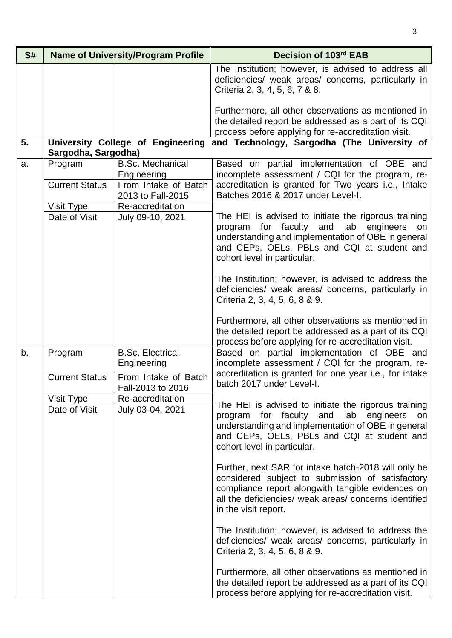| S# |                                  | <b>Name of University/Program Profile</b>                                           | Decision of 103rd EAB                                                                                                                                                                                                                                  |
|----|----------------------------------|-------------------------------------------------------------------------------------|--------------------------------------------------------------------------------------------------------------------------------------------------------------------------------------------------------------------------------------------------------|
|    |                                  |                                                                                     | The Institution; however, is advised to address all<br>deficiencies/ weak areas/ concerns, particularly in<br>Criteria 2, 3, 4, 5, 6, 7 & 8.                                                                                                           |
|    |                                  |                                                                                     | Furthermore, all other observations as mentioned in<br>the detailed report be addressed as a part of its CQI<br>process before applying for re-accreditation visit.                                                                                    |
| 5. | Sargodha, Sargodha)              | University College of Engineering                                                   | and Technology, Sargodha (The University of                                                                                                                                                                                                            |
| a. | Program<br><b>Current Status</b> | <b>B.Sc. Mechanical</b><br>Engineering<br>From Intake of Batch<br>2013 to Fall-2015 | Based on partial implementation of OBE and<br>incomplete assessment / CQI for the program, re-<br>accreditation is granted for Two years i.e., Intake<br>Batches 2016 & 2017 under Level-I.                                                            |
|    | Visit Type                       | Re-accreditation                                                                    |                                                                                                                                                                                                                                                        |
|    | Date of Visit                    | July 09-10, 2021                                                                    | The HEI is advised to initiate the rigorous training<br>faculty<br>and<br>lab<br>for<br>engineers<br>program<br>on<br>understanding and implementation of OBE in general<br>and CEPs, OELs, PBLs and CQI at student and<br>cohort level in particular. |
|    |                                  |                                                                                     | The Institution; however, is advised to address the<br>deficiencies/ weak areas/ concerns, particularly in<br>Criteria 2, 3, 4, 5, 6, 8 & 9.                                                                                                           |
|    |                                  |                                                                                     | Furthermore, all other observations as mentioned in<br>the detailed report be addressed as a part of its CQI<br>process before applying for re-accreditation visit.                                                                                    |
| b. | Program                          | <b>B.Sc. Electrical</b><br>Engineering                                              | Based on partial implementation of OBE and<br>incomplete assessment / CQI for the program, re-<br>accreditation is granted for one year i.e., for intake                                                                                               |
|    | <b>Current Status</b>            | From Intake of Batch<br>Fall-2013 to 2016                                           | batch 2017 under Level-I.                                                                                                                                                                                                                              |
|    | Visit Type                       | Re-accreditation                                                                    | The HEI is advised to initiate the rigorous training                                                                                                                                                                                                   |
|    | Date of Visit                    | July 03-04, 2021                                                                    | program for faculty and<br>lab engineers<br>understanding and implementation of OBE in general<br>and CEPs, OELs, PBLs and CQI at student and<br>cohort level in particular.                                                                           |
|    |                                  |                                                                                     | Further, next SAR for intake batch-2018 will only be<br>considered subject to submission of satisfactory<br>compliance report alongwith tangible evidences on<br>all the deficiencies/ weak areas/ concerns identified<br>in the visit report.         |
|    |                                  |                                                                                     | The Institution; however, is advised to address the<br>deficiencies/ weak areas/ concerns, particularly in<br>Criteria 2, 3, 4, 5, 6, 8 & 9.                                                                                                           |
|    |                                  |                                                                                     | Furthermore, all other observations as mentioned in<br>the detailed report be addressed as a part of its CQI<br>process before applying for re-accreditation visit.                                                                                    |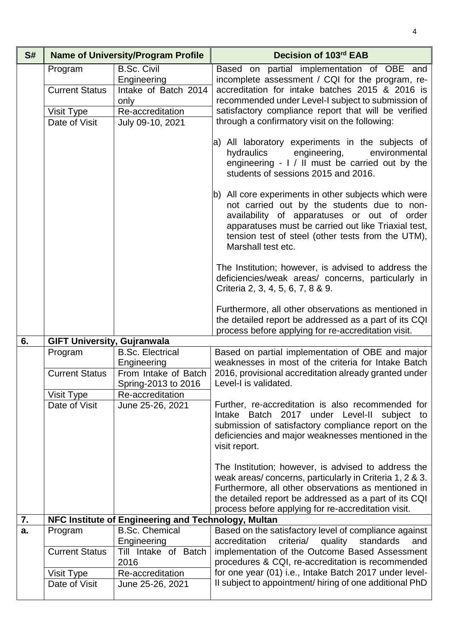| S# |                                    | <b>Name of University/Program Profile</b>                         | Decision of 103rd EAB                                                                                                                                                                                                                                                                 |
|----|------------------------------------|-------------------------------------------------------------------|---------------------------------------------------------------------------------------------------------------------------------------------------------------------------------------------------------------------------------------------------------------------------------------|
|    | Program<br><b>Current Status</b>   | <b>B.Sc. Civil</b><br>Engineering<br>Intake of Batch 2014<br>only | Based on partial implementation of OBE and<br>incomplete assessment / CQI for the program, re-<br>accreditation for intake batches 2015 & 2016 is<br>recommended under Level-I subject to submission of                                                                               |
|    | Visit Type<br>Date of Visit        | Re-accreditation<br>July 09-10, 2021                              | satisfactory compliance report that will be verified<br>through a confirmatory visit on the following:                                                                                                                                                                                |
|    |                                    |                                                                   | a) All laboratory experiments in the subjects of<br>engineering,<br>hydraulics<br>environmental<br>engineering $-1/11$ must be carried out by the<br>students of sessions 2015 and 2016.                                                                                              |
|    |                                    |                                                                   | b) All core experiments in other subjects which were<br>not carried out by the students due to non-<br>availability of apparatuses or out of order<br>apparatuses must be carried out like Triaxial test,<br>tension test of steel (other tests from the UTM),<br>Marshall test etc.  |
|    |                                    |                                                                   | The Institution; however, is advised to address the<br>deficiencies/weak areas/ concerns, particularly in<br>Criteria 2, 3, 4, 5, 6, 7, 8 & 9.                                                                                                                                        |
|    |                                    |                                                                   | Furthermore, all other observations as mentioned in<br>the detailed report be addressed as a part of its CQI<br>process before applying for re-accreditation visit.                                                                                                                   |
| 6. | <b>GIFT University, Gujranwala</b> |                                                                   |                                                                                                                                                                                                                                                                                       |
|    | Program<br><b>Current Status</b>   | <b>B.Sc. Electrical</b><br>Engineering<br>From Intake of Batch    | Based on partial implementation of OBE and major<br>weaknesses in most of the criteria for Intake Batch<br>2016, provisional accreditation already granted under                                                                                                                      |
|    | Visit Type                         | Spring-2013 to 2016<br>Re-accreditation                           | Level-I is validated.                                                                                                                                                                                                                                                                 |
|    | Date of Visit                      | June 25-26, 2021                                                  | Further, re-accreditation is also recommended for<br>Intake Batch 2017 under Level-II<br>subject to<br>submission of satisfactory compliance report on the<br>deficiencies and major weaknesses mentioned in the<br>visit report.                                                     |
|    |                                    |                                                                   | The Institution; however, is advised to address the<br>weak areas/concerns, particularly in Criteria 1, 2 & 3.<br>Furthermore, all other observations as mentioned in<br>the detailed report be addressed as a part of its CQI<br>process before applying for re-accreditation visit. |
| 7. |                                    | NFC Institute of Engineering and Technology, Multan               |                                                                                                                                                                                                                                                                                       |
| a. | Program                            | <b>B.Sc. Chemical</b><br>Engineering                              | Based on the satisfactory level of compliance against<br>accreditation<br>criteria/<br>quality<br>standards<br>and                                                                                                                                                                    |
|    | <b>Current Status</b>              | Till Intake of Batch<br>2016                                      | implementation of the Outcome Based Assessment<br>procedures & CQI, re-accreditation is recommended                                                                                                                                                                                   |
|    | Visit Type                         | Re-accreditation                                                  | for one year (01) i.e., Intake Batch 2017 under level-                                                                                                                                                                                                                                |
|    | Date of Visit                      | June 25-26, 2021                                                  | Il subject to appointment/ hiring of one additional PhD                                                                                                                                                                                                                               |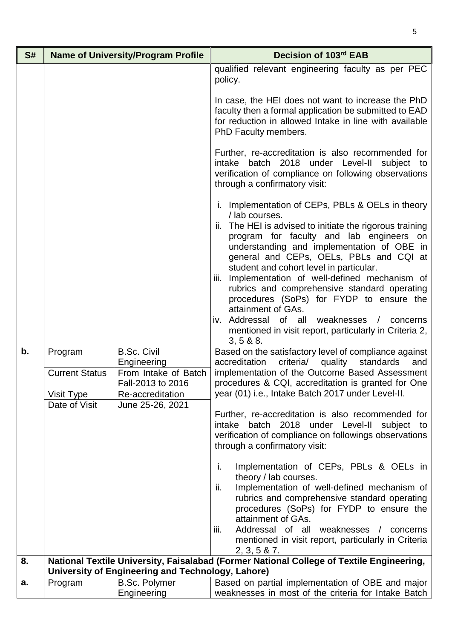| S# |                                     | <b>Name of University/Program Profile</b>                     | Decision of 103rd EAB                                                                                                                                                                                                   |
|----|-------------------------------------|---------------------------------------------------------------|-------------------------------------------------------------------------------------------------------------------------------------------------------------------------------------------------------------------------|
|    |                                     |                                                               | qualified relevant engineering faculty as per PEC<br>policy.                                                                                                                                                            |
|    |                                     |                                                               | In case, the HEI does not want to increase the PhD<br>faculty then a formal application be submitted to EAD<br>for reduction in allowed Intake in line with available<br>PhD Faculty members.                           |
|    |                                     |                                                               | Further, re-accreditation is also recommended for<br>intake batch 2018 under Level-II<br>subject to<br>verification of compliance on following observations<br>through a confirmatory visit:                            |
|    |                                     |                                                               | i. Implementation of CEPs, PBLs & OELs in theory<br>/ lab courses.<br>ii. The HEI is advised to initiate the rigorous training                                                                                          |
|    |                                     |                                                               | program for faculty and lab engineers on<br>understanding and implementation of OBE in<br>general and CEPs, OELs, PBLs and CQI at<br>student and cohort level in particular.                                            |
|    |                                     |                                                               | iii. Implementation of well-defined mechanism of<br>rubrics and comprehensive standard operating<br>procedures (SoPs) for FYDP to ensure the<br>attainment of GAs.                                                      |
|    |                                     |                                                               | iv. Addressal<br>of all weaknesses /<br>concerns<br>mentioned in visit report, particularly in Criteria 2,<br>3, 5 & 8.8                                                                                                |
| b. | Program                             | <b>B.Sc. Civil</b><br>Engineering                             | Based on the satisfactory level of compliance against<br>criteria/<br>quality<br>standards<br>accreditation<br>and                                                                                                      |
|    | <b>Current Status</b><br>Visit Type | From Intake of Batch<br>Fall-2013 to 2016<br>Re-accreditation | implementation of the Outcome Based Assessment<br>procedures & CQI, accreditation is granted for One<br>year (01) i.e., Intake Batch 2017 under Level-II.                                                               |
|    | Date of Visit                       | June 25-26, 2021                                              | Further, re-accreditation is also recommended for<br>batch 2018<br>under Level-II<br>subject to<br>intake<br>verification of compliance on followings observations<br>through a confirmatory visit:                     |
|    |                                     |                                                               | i.<br>Implementation of CEPs, PBLs & OELs in<br>theory / lab courses.<br>Implementation of well-defined mechanism of<br>ii.<br>rubrics and comprehensive standard operating<br>procedures (SoPs) for FYDP to ensure the |
|    |                                     |                                                               | attainment of GAs.<br>Addressal of all weaknesses<br>/ concerns<br>iii.<br>mentioned in visit report, particularly in Criteria                                                                                          |
| 8. |                                     |                                                               | 2, 3, 5 & 7.<br>National Textile University, Faisalabad (Former National College of Textile Engineering,                                                                                                                |
|    |                                     | University of Engineering and Technology, Lahore)             |                                                                                                                                                                                                                         |
| a. | Program                             | <b>B.Sc. Polymer</b>                                          | Based on partial implementation of OBE and major<br>weaknesses in most of the criteria for Intake Batch                                                                                                                 |
|    |                                     | Engineering                                                   |                                                                                                                                                                                                                         |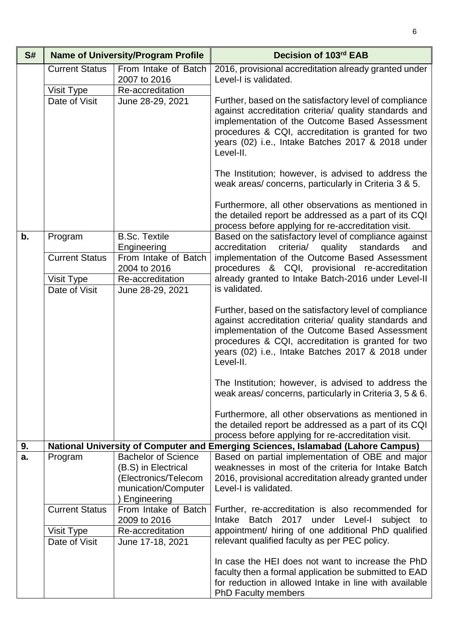| S# |                                     | <b>Name of University/Program Profile</b>                                                                         | Decision of 103rd EAB                                                                                                                                                                                                                                                                     |
|----|-------------------------------------|-------------------------------------------------------------------------------------------------------------------|-------------------------------------------------------------------------------------------------------------------------------------------------------------------------------------------------------------------------------------------------------------------------------------------|
|    | <b>Current Status</b>               | From Intake of Batch<br>2007 to 2016                                                                              | 2016, provisional accreditation already granted under<br>Level-I is validated.                                                                                                                                                                                                            |
|    | Visit Type                          | Re-accreditation                                                                                                  |                                                                                                                                                                                                                                                                                           |
|    | Date of Visit                       | June 28-29, 2021                                                                                                  | Further, based on the satisfactory level of compliance<br>against accreditation criteria/ quality standards and<br>implementation of the Outcome Based Assessment<br>procedures & CQI, accreditation is granted for two<br>years (02) i.e., Intake Batches 2017 & 2018 under<br>Level-II. |
|    |                                     |                                                                                                                   | The Institution; however, is advised to address the<br>weak areas/ concerns, particularly in Criteria 3 & 5.                                                                                                                                                                              |
|    |                                     |                                                                                                                   | Furthermore, all other observations as mentioned in<br>the detailed report be addressed as a part of its CQI<br>process before applying for re-accreditation visit.                                                                                                                       |
| b. | Program                             | <b>B.Sc. Textile</b><br>Engineering                                                                               | Based on the satisfactory level of compliance against<br>accreditation<br>criteria/<br>standards<br>quality<br>and                                                                                                                                                                        |
|    | <b>Current Status</b>               | From Intake of Batch<br>2004 to 2016                                                                              | implementation of the Outcome Based Assessment<br>procedures & CQI, provisional re-accreditation                                                                                                                                                                                          |
|    | Visit Type                          | Re-accreditation                                                                                                  | already granted to Intake Batch-2016 under Level-II                                                                                                                                                                                                                                       |
|    | Date of Visit                       | June 28-29, 2021                                                                                                  | is validated.                                                                                                                                                                                                                                                                             |
|    |                                     |                                                                                                                   | Further, based on the satisfactory level of compliance<br>against accreditation criteria/ quality standards and<br>implementation of the Outcome Based Assessment<br>procedures & CQI, accreditation is granted for two<br>years (02) i.e., Intake Batches 2017 & 2018 under<br>Level-II. |
|    |                                     |                                                                                                                   | The Institution; however, is advised to address the<br>weak areas/concerns, particularly in Criteria 3, 5 & 6.                                                                                                                                                                            |
|    |                                     |                                                                                                                   | Furthermore, all other observations as mentioned in<br>the detailed report be addressed as a part of its CQI<br>process before applying for re-accreditation visit.                                                                                                                       |
| 9. |                                     |                                                                                                                   | National University of Computer and Emerging Sciences, Islamabad (Lahore Campus)                                                                                                                                                                                                          |
| a. | Program                             | <b>Bachelor of Science</b><br>(B.S) in Electrical<br>(Electronics/Telecom<br>munication/Computer<br>) Engineering | Based on partial implementation of OBE and major<br>weaknesses in most of the criteria for Intake Batch<br>2016, provisional accreditation already granted under<br>Level-I is validated.                                                                                                 |
|    | <b>Current Status</b><br>Visit Type | From Intake of Batch<br>2009 to 2016<br>Re-accreditation                                                          | Further, re-accreditation is also recommended for<br>Intake Batch 2017 under Level-I<br>subject to<br>appointment/ hiring of one additional PhD qualified                                                                                                                                 |
|    | Date of Visit                       | June 17-18, 2021                                                                                                  | relevant qualified faculty as per PEC policy.                                                                                                                                                                                                                                             |
|    |                                     |                                                                                                                   | In case the HEI does not want to increase the PhD<br>faculty then a formal application be submitted to EAD<br>for reduction in allowed Intake in line with available<br><b>PhD Faculty members</b>                                                                                        |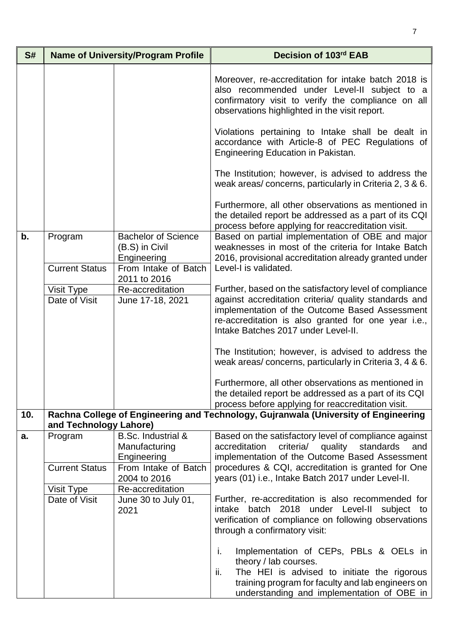| S#  |                        | <b>Name of University/Program Profile</b>                                           | Decision of 103rd EAB                                                                                                                                                                                                          |
|-----|------------------------|-------------------------------------------------------------------------------------|--------------------------------------------------------------------------------------------------------------------------------------------------------------------------------------------------------------------------------|
|     |                        |                                                                                     | Moreover, re-accreditation for intake batch 2018 is<br>also recommended under Level-II subject to a<br>confirmatory visit to verify the compliance on all<br>observations highlighted in the visit report.                     |
|     |                        |                                                                                     | Violations pertaining to Intake shall be dealt in<br>accordance with Article-8 of PEC Regulations of<br>Engineering Education in Pakistan.                                                                                     |
|     |                        |                                                                                     | The Institution; however, is advised to address the<br>weak areas/concerns, particularly in Criteria 2, 3 & 6.                                                                                                                 |
|     |                        |                                                                                     | Furthermore, all other observations as mentioned in<br>the detailed report be addressed as a part of its CQI<br>process before applying for reaccreditation visit.                                                             |
| b.  | Program                | <b>Bachelor of Science</b><br>(B.S) in Civil<br>Engineering<br>From Intake of Batch | Based on partial implementation of OBE and major<br>weaknesses in most of the criteria for Intake Batch<br>2016, provisional accreditation already granted under<br>Level-I is validated.                                      |
|     | <b>Current Status</b>  | 2011 to 2016                                                                        |                                                                                                                                                                                                                                |
|     | Visit Type             | Re-accreditation                                                                    | Further, based on the satisfactory level of compliance                                                                                                                                                                         |
|     | Date of Visit          | June 17-18, 2021                                                                    | against accreditation criteria/ quality standards and<br>implementation of the Outcome Based Assessment<br>re-accreditation is also granted for one year i.e.,<br>Intake Batches 2017 under Level-II.                          |
|     |                        |                                                                                     | The Institution; however, is advised to address the<br>weak areas/concerns, particularly in Criteria 3, 4 & 6.                                                                                                                 |
|     |                        |                                                                                     | Furthermore, all other observations as mentioned in<br>the detailed report be addressed as a part of its CQI<br>process before applying for reaccreditation visit.                                                             |
| 10. | and Technology Lahore) |                                                                                     | Rachna College of Engineering and Technology, Gujranwala (University of Engineering                                                                                                                                            |
| a.  | Program                | <b>B.Sc. Industrial &amp;</b><br>Manufacturing<br>Engineering                       | Based on the satisfactory level of compliance against<br>criteria/<br>quality<br>accreditation<br>standards<br>and<br>implementation of the Outcome Based Assessment                                                           |
|     | <b>Current Status</b>  | From Intake of Batch<br>2004 to 2016                                                | procedures & CQI, accreditation is granted for One<br>years (01) i.e., Intake Batch 2017 under Level-II.                                                                                                                       |
|     | Visit Type             | Re-accreditation                                                                    |                                                                                                                                                                                                                                |
|     | Date of Visit          | June 30 to July 01,<br>2021                                                         | Further, re-accreditation is also recommended for<br>intake batch 2018 under Level-II<br>subject to<br>verification of compliance on following observations<br>through a confirmatory visit:                                   |
|     |                        |                                                                                     | j.<br>Implementation of CEPs, PBLs & OELs in<br>theory / lab courses.<br>The HEI is advised to initiate the rigorous<br>ii.<br>training program for faculty and lab engineers on<br>understanding and implementation of OBE in |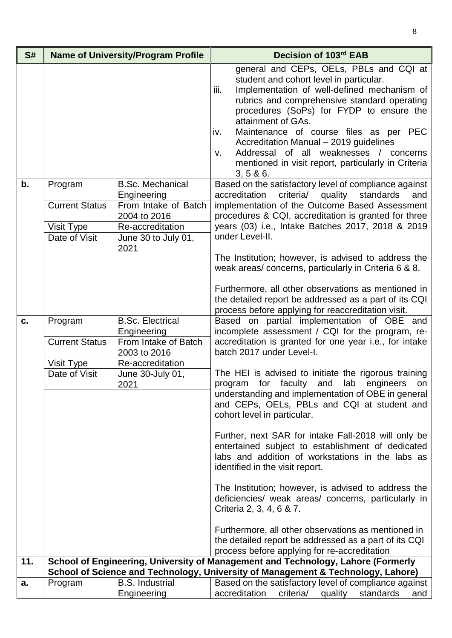| S#  |                                  | <b>Name of University/Program Profile</b>                      | Decision of 103rd EAB                                                                                                                                                                                                                                                                                                                                                                                                                                                      |
|-----|----------------------------------|----------------------------------------------------------------|----------------------------------------------------------------------------------------------------------------------------------------------------------------------------------------------------------------------------------------------------------------------------------------------------------------------------------------------------------------------------------------------------------------------------------------------------------------------------|
|     |                                  |                                                                | general and CEPs, OELs, PBLs and CQI at<br>student and cohort level in particular.<br>Implementation of well-defined mechanism of<br>iii.<br>rubrics and comprehensive standard operating<br>procedures (SoPs) for FYDP to ensure the<br>attainment of GAs.<br>Maintenance of course files as per PEC<br>iv.<br>Accreditation Manual - 2019 guidelines<br>Addressal of all weaknesses / concerns<br>v.<br>mentioned in visit report, particularly in Criteria<br>3, 5 & 6. |
| b.  | Program<br><b>Current Status</b> | <b>B.Sc. Mechanical</b><br>Engineering<br>From Intake of Batch | Based on the satisfactory level of compliance against<br>accreditation<br>criteria/ quality standards<br>and<br>implementation of the Outcome Based Assessment                                                                                                                                                                                                                                                                                                             |
|     |                                  | 2004 to 2016                                                   | procedures & CQI, accreditation is granted for three                                                                                                                                                                                                                                                                                                                                                                                                                       |
|     | Visit Type                       | Re-accreditation                                               | years (03) i.e., Intake Batches 2017, 2018 & 2019                                                                                                                                                                                                                                                                                                                                                                                                                          |
|     | Date of Visit                    | June 30 to July 01,<br>2021                                    | under Level-II.                                                                                                                                                                                                                                                                                                                                                                                                                                                            |
|     |                                  |                                                                | The Institution; however, is advised to address the<br>weak areas/concerns, particularly in Criteria 6 & 8.                                                                                                                                                                                                                                                                                                                                                                |
|     |                                  |                                                                | Furthermore, all other observations as mentioned in<br>the detailed report be addressed as a part of its CQI<br>process before applying for reaccreditation visit.                                                                                                                                                                                                                                                                                                         |
| c.  | Program                          | <b>B.Sc. Electrical</b><br>Engineering                         | Based on partial implementation of OBE and<br>incomplete assessment / CQI for the program, re-                                                                                                                                                                                                                                                                                                                                                                             |
|     | <b>Current Status</b>            | From Intake of Batch<br>2003 to 2016                           | accreditation is granted for one year i.e., for intake<br>batch 2017 under Level-I.                                                                                                                                                                                                                                                                                                                                                                                        |
|     | Visit Type                       | Re-accreditation                                               |                                                                                                                                                                                                                                                                                                                                                                                                                                                                            |
|     | Date of Visit                    | June 30-July 01,<br>2021                                       | The HEI is advised to initiate the rigorous training<br>program for faculty and lab engineers on<br>understanding and implementation of OBE in general<br>and CEPs, OELs, PBLs and CQI at student and<br>cohort level in particular.                                                                                                                                                                                                                                       |
|     |                                  |                                                                | Further, next SAR for intake Fall-2018 will only be<br>entertained subject to establishment of dedicated<br>labs and addition of workstations in the labs as<br>identified in the visit report.                                                                                                                                                                                                                                                                            |
|     |                                  |                                                                | The Institution; however, is advised to address the<br>deficiencies/ weak areas/ concerns, particularly in<br>Criteria 2, 3, 4, 6 & 7.                                                                                                                                                                                                                                                                                                                                     |
|     |                                  |                                                                | Furthermore, all other observations as mentioned in<br>the detailed report be addressed as a part of its CQI<br>process before applying for re-accreditation                                                                                                                                                                                                                                                                                                               |
| 11. |                                  |                                                                | School of Engineering, University of Management and Technology, Lahore (Formerly<br>School of Science and Technology, University of Management & Technology, Lahore)                                                                                                                                                                                                                                                                                                       |
| a.  | Program                          | <b>B.S. Industrial</b><br>Engineering                          | Based on the satisfactory level of compliance against<br>accreditation<br>criteria/ quality standards<br>and                                                                                                                                                                                                                                                                                                                                                               |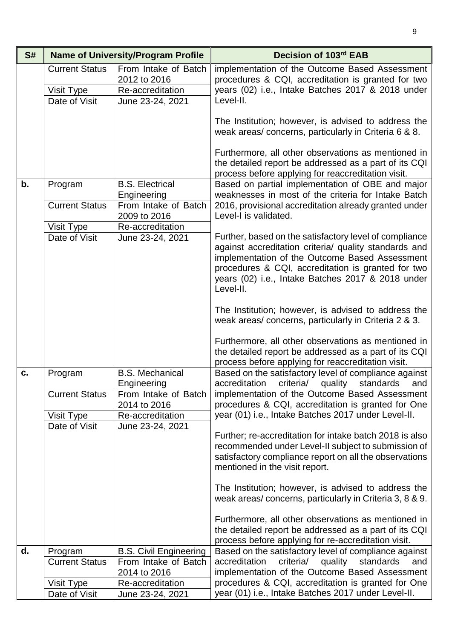| S# |                                                      | <b>Name of University/Program Profile</b>                                    | Decision of 103rd EAB                                                                                                                                                                                                                                                                     |
|----|------------------------------------------------------|------------------------------------------------------------------------------|-------------------------------------------------------------------------------------------------------------------------------------------------------------------------------------------------------------------------------------------------------------------------------------------|
|    | <b>Current Status</b><br>Visit Type<br>Date of Visit | From Intake of Batch<br>2012 to 2016<br>Re-accreditation<br>June 23-24, 2021 | implementation of the Outcome Based Assessment<br>procedures & CQI, accreditation is granted for two<br>years (02) i.e., Intake Batches 2017 & 2018 under<br>Level-II.                                                                                                                    |
|    |                                                      |                                                                              | The Institution; however, is advised to address the<br>weak areas/ concerns, particularly in Criteria 6 & 8.                                                                                                                                                                              |
|    |                                                      |                                                                              | Furthermore, all other observations as mentioned in<br>the detailed report be addressed as a part of its CQI<br>process before applying for reaccreditation visit.                                                                                                                        |
| b. | Program                                              | <b>B.S. Electrical</b><br>Engineering                                        | Based on partial implementation of OBE and major<br>weaknesses in most of the criteria for Intake Batch                                                                                                                                                                                   |
|    | <b>Current Status</b>                                | From Intake of Batch<br>2009 to 2016                                         | 2016, provisional accreditation already granted under<br>Level-I is validated.                                                                                                                                                                                                            |
|    | Visit Type<br>Date of Visit                          | Re-accreditation<br>June 23-24, 2021                                         | Further, based on the satisfactory level of compliance<br>against accreditation criteria/ quality standards and<br>implementation of the Outcome Based Assessment<br>procedures & CQI, accreditation is granted for two<br>years (02) i.e., Intake Batches 2017 & 2018 under<br>Level-II. |
|    |                                                      |                                                                              | The Institution; however, is advised to address the<br>weak areas/concerns, particularly in Criteria 2 & 3.                                                                                                                                                                               |
|    |                                                      |                                                                              | Furthermore, all other observations as mentioned in<br>the detailed report be addressed as a part of its CQI<br>process before applying for reaccreditation visit.                                                                                                                        |
| C. | Program                                              | <b>B.S. Mechanical</b><br>Engineering                                        | Based on the satisfactory level of compliance against<br>accreditation criteria/ quality standards and                                                                                                                                                                                    |
|    | <b>Current Status</b><br>Visit Type                  | From Intake of Batch<br>2014 to 2016<br>Re-accreditation                     | implementation of the Outcome Based Assessment<br>procedures & CQI, accreditation is granted for One<br>year (01) i.e., Intake Batches 2017 under Level-II.                                                                                                                               |
|    | Date of Visit                                        | June 23-24, 2021                                                             | Further; re-accreditation for intake batch 2018 is also<br>recommended under Level-II subject to submission of<br>satisfactory compliance report on all the observations<br>mentioned in the visit report.                                                                                |
|    |                                                      |                                                                              | The Institution; however, is advised to address the<br>weak areas/concerns, particularly in Criteria 3, 8 & 9.                                                                                                                                                                            |
|    |                                                      |                                                                              | Furthermore, all other observations as mentioned in<br>the detailed report be addressed as a part of its CQI<br>process before applying for re-accreditation visit.                                                                                                                       |
| d. | Program                                              | <b>B.S. Civil Engineering</b><br>From Intake of Batch                        | Based on the satisfactory level of compliance against<br>accreditation<br>and                                                                                                                                                                                                             |
|    | <b>Current Status</b>                                | 2014 to 2016                                                                 | criteria/ quality standards<br>implementation of the Outcome Based Assessment                                                                                                                                                                                                             |
|    | Visit Type<br>Date of Visit                          | Re-accreditation<br>June 23-24, 2021                                         | procedures & CQI, accreditation is granted for One<br>year (01) i.e., Intake Batches 2017 under Level-II.                                                                                                                                                                                 |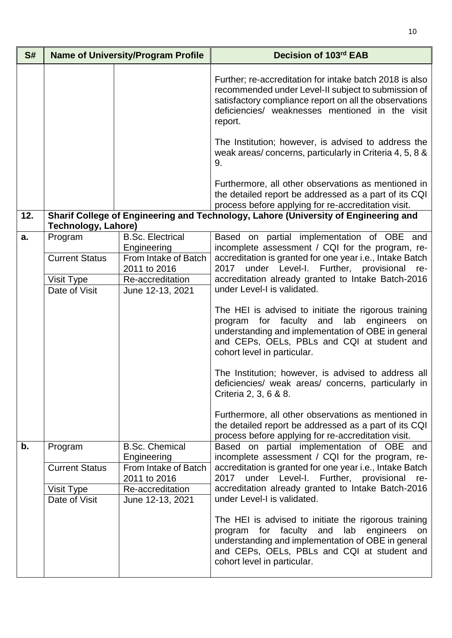| S#  | <b>Name of University/Program Profile</b>                       |                                                                                                                        | Decision of 103rd EAB                                                                                                                                                                                                                                                                              |
|-----|-----------------------------------------------------------------|------------------------------------------------------------------------------------------------------------------------|----------------------------------------------------------------------------------------------------------------------------------------------------------------------------------------------------------------------------------------------------------------------------------------------------|
|     |                                                                 |                                                                                                                        | Further; re-accreditation for intake batch 2018 is also<br>recommended under Level-II subject to submission of<br>satisfactory compliance report on all the observations<br>deficiencies/ weaknesses mentioned in the visit<br>report.                                                             |
|     |                                                                 |                                                                                                                        | The Institution; however, is advised to address the<br>weak areas/concerns, particularly in Criteria 4, 5, 8 &<br>9.                                                                                                                                                                               |
|     |                                                                 |                                                                                                                        | Furthermore, all other observations as mentioned in<br>the detailed report be addressed as a part of its CQI<br>process before applying for re-accreditation visit.                                                                                                                                |
| 12. | <b>Technology, Lahore)</b>                                      |                                                                                                                        | Sharif College of Engineering and Technology, Lahore (University of Engineering and                                                                                                                                                                                                                |
| a.  | Program<br><b>Current Status</b><br>Visit Type<br>Date of Visit | <b>B.Sc. Electrical</b><br>Engineering<br>From Intake of Batch<br>2011 to 2016<br>Re-accreditation<br>June 12-13, 2021 | Based on partial implementation of OBE and<br>incomplete assessment / CQI for the program, re-<br>accreditation is granted for one year i.e., Intake Batch<br>under Level-I. Further, provisional re-<br>2017<br>accreditation already granted to Intake Batch-2016<br>under Level-I is validated. |
|     |                                                                 |                                                                                                                        | The HEI is advised to initiate the rigorous training<br>program for faculty and<br>lab engineers<br>on<br>understanding and implementation of OBE in general<br>and CEPs, OELs, PBLs and CQI at student and<br>cohort level in particular.                                                         |
|     |                                                                 |                                                                                                                        | The Institution; however, is advised to address all<br>deficiencies/ weak areas/ concerns, particularly in<br>Criteria 2, 3, 6 & 8.                                                                                                                                                                |
|     |                                                                 |                                                                                                                        | Furthermore, all other observations as mentioned in<br>the detailed report be addressed as a part of its CQI<br>process before applying for re-accreditation visit.                                                                                                                                |
| b.  | Program                                                         | <b>B.Sc. Chemical</b><br>Engineering                                                                                   | Based on partial implementation of OBE and<br>incomplete assessment / CQI for the program, re-                                                                                                                                                                                                     |
|     | <b>Current Status</b>                                           | From Intake of Batch<br>2011 to 2016                                                                                   | accreditation is granted for one year i.e., Intake Batch<br>under Level-I. Further, provisional<br>2017<br>re-                                                                                                                                                                                     |
|     | Visit Type<br>Date of Visit                                     | Re-accreditation<br>June 12-13, 2021                                                                                   | accreditation already granted to Intake Batch-2016<br>under Level-I is validated.                                                                                                                                                                                                                  |
|     |                                                                 |                                                                                                                        | The HEI is advised to initiate the rigorous training<br>program for faculty<br>and<br>lab engineers<br>on<br>understanding and implementation of OBE in general<br>and CEPs, OELs, PBLs and CQI at student and<br>cohort level in particular.                                                      |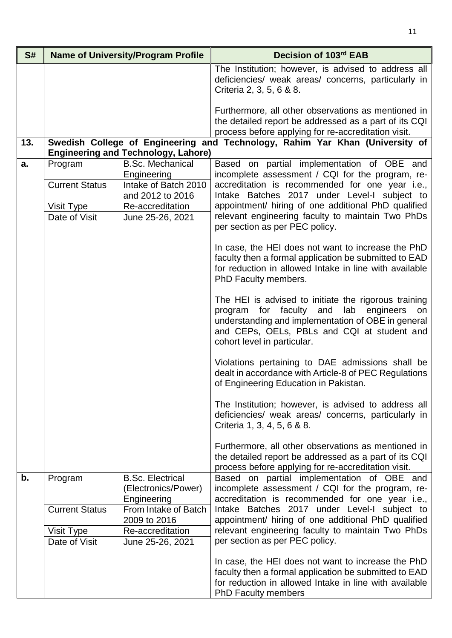| S#  |                             | <b>Name of University/Program Profile</b>                     | Decision of 103rd EAB                                                                                                                                                                                                                   |
|-----|-----------------------------|---------------------------------------------------------------|-----------------------------------------------------------------------------------------------------------------------------------------------------------------------------------------------------------------------------------------|
|     |                             |                                                               | The Institution; however, is advised to address all<br>deficiencies/ weak areas/ concerns, particularly in<br>Criteria 2, 3, 5, 6 & 8.                                                                                                  |
|     |                             |                                                               | Furthermore, all other observations as mentioned in<br>the detailed report be addressed as a part of its CQI<br>process before applying for re-accreditation visit.                                                                     |
| 13. |                             | <b>Engineering and Technology, Lahore)</b>                    | Swedish College of Engineering and Technology, Rahim Yar Khan (University of                                                                                                                                                            |
| a.  | Program                     | <b>B.Sc. Mechanical</b><br>Engineering                        | Based on partial implementation of OBE and<br>incomplete assessment / CQI for the program, re-                                                                                                                                          |
|     | <b>Current Status</b>       | Intake of Batch 2010<br>and 2012 to 2016                      | accreditation is recommended for one year i.e.,<br>Intake Batches 2017 under Level-I subject to                                                                                                                                         |
|     | Visit Type<br>Date of Visit | Re-accreditation<br>June 25-26, 2021                          | appointment/ hiring of one additional PhD qualified<br>relevant engineering faculty to maintain Two PhDs<br>per section as per PEC policy.                                                                                              |
|     |                             |                                                               | In case, the HEI does not want to increase the PhD<br>faculty then a formal application be submitted to EAD<br>for reduction in allowed Intake in line with available<br>PhD Faculty members.                                           |
|     |                             |                                                               | The HEI is advised to initiate the rigorous training<br>program for faculty and<br>lab engineers on<br>understanding and implementation of OBE in general<br>and CEPs, OELs, PBLs and CQI at student and<br>cohort level in particular. |
|     |                             |                                                               | Violations pertaining to DAE admissions shall be<br>dealt in accordance with Article-8 of PEC Regulations<br>of Engineering Education in Pakistan.                                                                                      |
|     |                             |                                                               | The Institution; however, is advised to address all<br>deficiencies/ weak areas/ concerns, particularly in<br>Criteria 1, 3, 4, 5, 6 & 8.                                                                                               |
|     |                             |                                                               | Furthermore, all other observations as mentioned in<br>the detailed report be addressed as a part of its CQI<br>process before applying for re-accreditation visit.                                                                     |
| b.  | Program                     | <b>B.Sc. Electrical</b><br>(Electronics/Power)<br>Engineering | Based on partial implementation of OBE and<br>incomplete assessment / CQI for the program, re-<br>accreditation is recommended for one year i.e.,                                                                                       |
|     | <b>Current Status</b>       | From Intake of Batch<br>2009 to 2016                          | Intake Batches 2017 under Level-I subject to<br>appointment/ hiring of one additional PhD qualified                                                                                                                                     |
|     | Visit Type<br>Date of Visit | Re-accreditation<br>June 25-26, 2021                          | relevant engineering faculty to maintain Two PhDs<br>per section as per PEC policy.                                                                                                                                                     |
|     |                             |                                                               | In case, the HEI does not want to increase the PhD<br>faculty then a formal application be submitted to EAD<br>for reduction in allowed Intake in line with available<br><b>PhD Faculty members</b>                                     |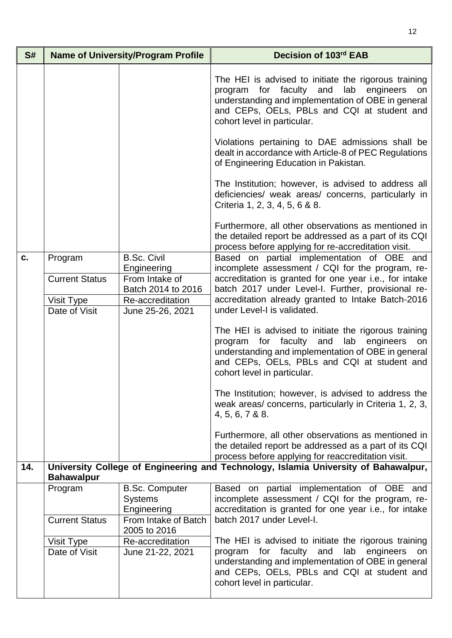| S#  |                       | <b>Name of University/Program Profile</b>              | Decision of 103rd EAB                                                                                                                                                                                                                                  |
|-----|-----------------------|--------------------------------------------------------|--------------------------------------------------------------------------------------------------------------------------------------------------------------------------------------------------------------------------------------------------------|
|     |                       |                                                        | The HEI is advised to initiate the rigorous training<br>and<br>lab<br>for<br>faculty<br>engineers<br>program<br>on<br>understanding and implementation of OBE in general<br>and CEPs, OELs, PBLs and CQI at student and<br>cohort level in particular. |
|     |                       |                                                        | Violations pertaining to DAE admissions shall be<br>dealt in accordance with Article-8 of PEC Regulations<br>of Engineering Education in Pakistan.                                                                                                     |
|     |                       |                                                        | The Institution; however, is advised to address all<br>deficiencies/ weak areas/ concerns, particularly in<br>Criteria 1, 2, 3, 4, 5, 6 & 8.                                                                                                           |
|     |                       |                                                        | Furthermore, all other observations as mentioned in<br>the detailed report be addressed as a part of its CQI<br>process before applying for re-accreditation visit.                                                                                    |
| c.  | Program               | <b>B.Sc. Civil</b><br>Engineering                      | Based on partial implementation of OBE and<br>incomplete assessment / CQI for the program, re-                                                                                                                                                         |
|     | <b>Current Status</b> | From Intake of                                         | accreditation is granted for one year i.e., for intake                                                                                                                                                                                                 |
|     | Visit Type            | Batch 2014 to 2016<br>Re-accreditation                 | batch 2017 under Level-I. Further, provisional re-<br>accreditation already granted to Intake Batch-2016                                                                                                                                               |
|     | Date of Visit         | June 25-26, 2021                                       | under Level-I is validated.                                                                                                                                                                                                                            |
|     |                       |                                                        | The HEI is advised to initiate the rigorous training<br>faculty and<br>lab<br>engineers<br>program<br>for<br>on<br>understanding and implementation of OBE in general<br>and CEPs, OELs, PBLs and CQI at student and<br>cohort level in particular.    |
|     |                       |                                                        | The Institution; however, is advised to address the<br>weak areas/concerns, particularly in Criteria 1, 2, 3,<br>4, 5, 6, 7 & 8.                                                                                                                       |
|     |                       |                                                        | Furthermore, all other observations as mentioned in<br>the detailed report be addressed as a part of its CQI<br>process before applying for reaccreditation visit.                                                                                     |
| 14. | <b>Bahawalpur</b>     |                                                        | University College of Engineering and Technology, Islamia University of Bahawalpur,                                                                                                                                                                    |
|     | Program               | <b>B.Sc. Computer</b><br><b>Systems</b><br>Engineering | Based on partial implementation of OBE and<br>incomplete assessment / CQI for the program, re-<br>accreditation is granted for one year i.e., for intake                                                                                               |
|     | <b>Current Status</b> | From Intake of Batch<br>2005 to 2016                   | batch 2017 under Level-I.                                                                                                                                                                                                                              |
|     | Visit Type            | Re-accreditation                                       | The HEI is advised to initiate the rigorous training                                                                                                                                                                                                   |
|     | Date of Visit         | June 21-22, 2021                                       | faculty and<br>lab engineers<br>program<br>for<br>on<br>understanding and implementation of OBE in general<br>and CEPs, OELs, PBLs and CQI at student and<br>cohort level in particular.                                                               |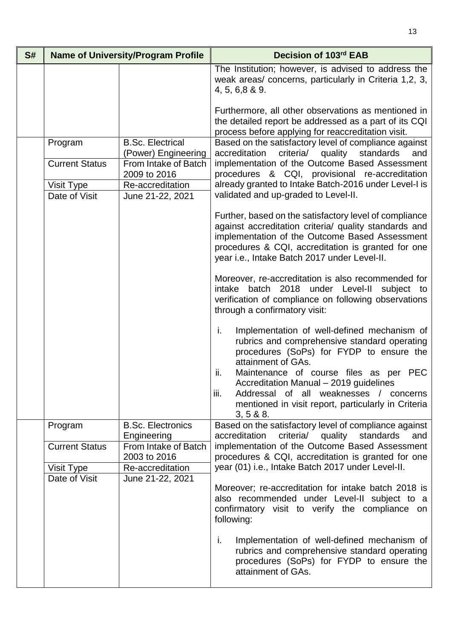| S# |                             | <b>Name of University/Program Profile</b>      | Decision of 103rd EAB                                                                                                                                                                                                                                                   |
|----|-----------------------------|------------------------------------------------|-------------------------------------------------------------------------------------------------------------------------------------------------------------------------------------------------------------------------------------------------------------------------|
|    |                             |                                                | The Institution; however, is advised to address the<br>weak areas/ concerns, particularly in Criteria 1,2, 3,<br>4, 5, 6,8 & 9.                                                                                                                                         |
|    |                             |                                                | Furthermore, all other observations as mentioned in<br>the detailed report be addressed as a part of its CQI<br>process before applying for reaccreditation visit.                                                                                                      |
|    | Program                     | <b>B.Sc. Electrical</b><br>(Power) Engineering | Based on the satisfactory level of compliance against<br>accreditation<br>criteria/<br>quality<br>standards<br>and                                                                                                                                                      |
|    | <b>Current Status</b>       | From Intake of Batch<br>2009 to 2016           | implementation of the Outcome Based Assessment<br>procedures & CQI, provisional re-accreditation                                                                                                                                                                        |
|    | Visit Type<br>Date of Visit | Re-accreditation<br>June 21-22, 2021           | already granted to Intake Batch-2016 under Level-I is<br>validated and up-graded to Level-II.                                                                                                                                                                           |
|    |                             |                                                | Further, based on the satisfactory level of compliance<br>against accreditation criteria/ quality standards and<br>implementation of the Outcome Based Assessment<br>procedures & CQI, accreditation is granted for one<br>year i.e., Intake Batch 2017 under Level-II. |
|    |                             |                                                | Moreover, re-accreditation is also recommended for<br>under Level-II subject to<br>batch 2018<br>intake<br>verification of compliance on following observations<br>through a confirmatory visit:                                                                        |
|    |                             |                                                | i.<br>Implementation of well-defined mechanism of<br>rubrics and comprehensive standard operating<br>procedures (SoPs) for FYDP to ensure the<br>attainment of GAs.                                                                                                     |
|    |                             |                                                | Maintenance of course files as per PEC<br>ii.<br>Accreditation Manual - 2019 guidelines<br>Addressal of all weaknesses / concerns<br>iii.<br>mentioned in visit report, particularly in Criteria<br>$3, 5 & 88$ .                                                       |
|    | Program                     | <b>B.Sc. Electronics</b><br>Engineering        | Based on the satisfactory level of compliance against<br>criteria/ quality standards<br>accreditation<br>and                                                                                                                                                            |
|    | <b>Current Status</b>       | From Intake of Batch<br>2003 to 2016           | implementation of the Outcome Based Assessment<br>procedures & CQI, accreditation is granted for one                                                                                                                                                                    |
|    | Visit Type<br>Date of Visit | Re-accreditation<br>June 21-22, 2021           | year (01) i.e., Intake Batch 2017 under Level-II.                                                                                                                                                                                                                       |
|    |                             |                                                | Moreover; re-accreditation for intake batch 2018 is<br>also recommended under Level-II subject to a<br>confirmatory visit to verify the compliance on<br>following:                                                                                                     |
|    |                             |                                                | i.<br>Implementation of well-defined mechanism of<br>rubrics and comprehensive standard operating<br>procedures (SoPs) for FYDP to ensure the<br>attainment of GAs.                                                                                                     |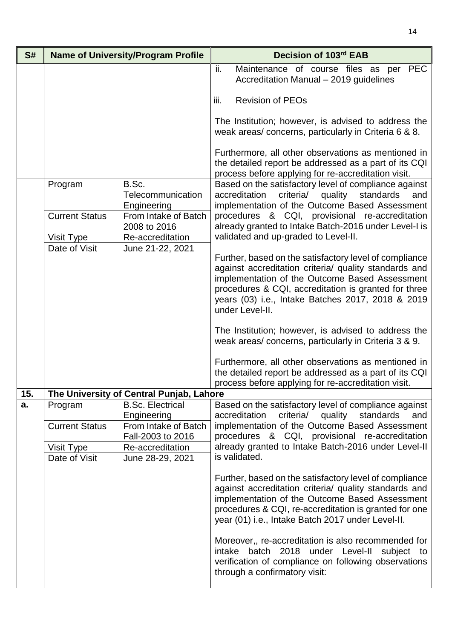| S#  | <b>Name of University/Program Profile</b> |                                                          | Decision of 103rd EAB                                                                                                                                                                                                                                                           |
|-----|-------------------------------------------|----------------------------------------------------------|---------------------------------------------------------------------------------------------------------------------------------------------------------------------------------------------------------------------------------------------------------------------------------|
|     |                                           |                                                          | Maintenance of course files as per PEC<br>ii.<br>Accreditation Manual - 2019 guidelines                                                                                                                                                                                         |
|     |                                           |                                                          | iii.<br><b>Revision of PEOs</b>                                                                                                                                                                                                                                                 |
|     |                                           |                                                          | The Institution; however, is advised to address the<br>weak areas/ concerns, particularly in Criteria 6 & 8.                                                                                                                                                                    |
|     |                                           |                                                          | Furthermore, all other observations as mentioned in<br>the detailed report be addressed as a part of its CQI<br>process before applying for re-accreditation visit.                                                                                                             |
|     | Program                                   | B.Sc.<br>Telecommunication<br>Engineering                | Based on the satisfactory level of compliance against<br>accreditation<br>criteria/<br>quality<br>standards<br>and<br>implementation of the Outcome Based Assessment                                                                                                            |
|     | <b>Current Status</b>                     | From Intake of Batch<br>2008 to 2016<br>Re-accreditation | procedures & CQI, provisional re-accreditation<br>already granted to Intake Batch-2016 under Level-I is<br>validated and up-graded to Level-II.                                                                                                                                 |
|     | Visit Type<br>Date of Visit               | June 21-22, 2021                                         | Further, based on the satisfactory level of compliance                                                                                                                                                                                                                          |
|     |                                           |                                                          | against accreditation criteria/ quality standards and<br>implementation of the Outcome Based Assessment<br>procedures & CQI, accreditation is granted for three<br>years (03) i.e., Intake Batches 2017, 2018 & 2019<br>under Level-II.                                         |
|     |                                           |                                                          | The Institution; however, is advised to address the<br>weak areas/ concerns, particularly in Criteria 3 & 9.                                                                                                                                                                    |
|     |                                           |                                                          | Furthermore, all other observations as mentioned in<br>the detailed report be addressed as a part of its CQI<br>process before applying for re-accreditation visit.                                                                                                             |
| 15. |                                           | The University of Central Punjab, Lahore                 |                                                                                                                                                                                                                                                                                 |
| a.  | Program                                   | <b>B.Sc. Electrical</b><br>Engineering                   | Based on the satisfactory level of compliance against<br>accreditation<br>criteria/ quality standards<br>and                                                                                                                                                                    |
|     | <b>Current Status</b>                     | From Intake of Batch<br>Fall-2003 to 2016                | implementation of the Outcome Based Assessment<br>procedures & CQI, provisional re-accreditation                                                                                                                                                                                |
|     | Visit Type                                | Re-accreditation                                         | already granted to Intake Batch-2016 under Level-II                                                                                                                                                                                                                             |
|     | Date of Visit                             | June 28-29, 2021                                         | is validated.                                                                                                                                                                                                                                                                   |
|     |                                           |                                                          | Further, based on the satisfactory level of compliance<br>against accreditation criteria/ quality standards and<br>implementation of the Outcome Based Assessment<br>procedures & CQI, re-accreditation is granted for one<br>year (01) i.e., Intake Batch 2017 under Level-II. |
|     |                                           |                                                          | Moreover,, re-accreditation is also recommended for<br>intake batch 2018 under Level-II subject to<br>verification of compliance on following observations<br>through a confirmatory visit:                                                                                     |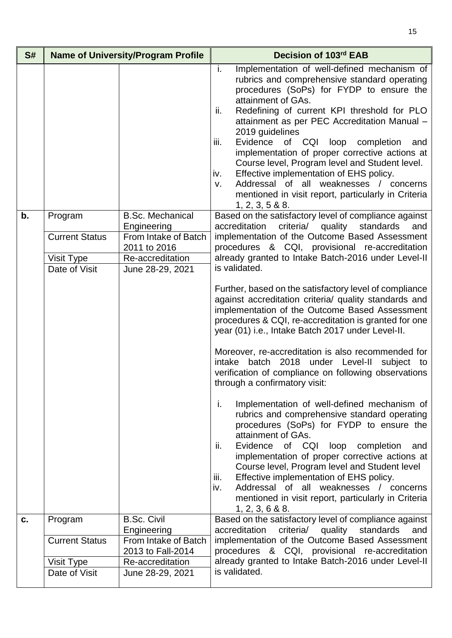| S# |                                  | <b>Name of University/Program Profile</b>                      | Decision of 103rd EAB                                                                                                                                                                                                                                                                                                                                                                                                                                                                                                                                                                                                           |
|----|----------------------------------|----------------------------------------------------------------|---------------------------------------------------------------------------------------------------------------------------------------------------------------------------------------------------------------------------------------------------------------------------------------------------------------------------------------------------------------------------------------------------------------------------------------------------------------------------------------------------------------------------------------------------------------------------------------------------------------------------------|
|    |                                  |                                                                | Implementation of well-defined mechanism of<br>i.<br>rubrics and comprehensive standard operating<br>procedures (SoPs) for FYDP to ensure the<br>attainment of GAs.<br>Redefining of current KPI threshold for PLO<br>ii.<br>attainment as per PEC Accreditation Manual -<br>2019 guidelines<br>Evidence of CQI loop completion<br>iii.<br>and<br>implementation of proper corrective actions at<br>Course level, Program level and Student level.<br>Effective implementation of EHS policy.<br>iv.<br>Addressal of all weaknesses / concerns<br>v.<br>mentioned in visit report, particularly in Criteria<br>1, 2, 3, 5 & 8.8 |
| b. | Program<br><b>Current Status</b> | <b>B.Sc. Mechanical</b><br>Engineering<br>From Intake of Batch | Based on the satisfactory level of compliance against<br>accreditation<br>criteria/<br>standards<br>quality<br>and<br>implementation of the Outcome Based Assessment                                                                                                                                                                                                                                                                                                                                                                                                                                                            |
|    |                                  | 2011 to 2016                                                   | procedures & CQI, provisional re-accreditation                                                                                                                                                                                                                                                                                                                                                                                                                                                                                                                                                                                  |
|    | Visit Type                       | Re-accreditation                                               | already granted to Intake Batch-2016 under Level-II<br>is validated.                                                                                                                                                                                                                                                                                                                                                                                                                                                                                                                                                            |
|    | Date of Visit                    | June 28-29, 2021                                               | Further, based on the satisfactory level of compliance<br>against accreditation criteria/ quality standards and<br>implementation of the Outcome Based Assessment<br>procedures & CQI, re-accreditation is granted for one<br>year (01) i.e., Intake Batch 2017 under Level-II.<br>Moreover, re-accreditation is also recommended for<br>batch 2018<br>under Level-II<br>intake<br>subject to<br>verification of compliance on following observations<br>through a confirmatory visit:<br>i.<br>Implementation of well-defined mechanism of                                                                                     |
|    |                                  |                                                                | rubrics and comprehensive standard operating<br>procedures (SoPs) for FYDP to ensure the<br>attainment of GAs.<br>Evidence of CQI<br>loop<br>completion<br>and<br>ii.<br>implementation of proper corrective actions at<br>Course level, Program level and Student level<br>Effective implementation of EHS policy.<br>iii.<br>iv.<br>Addressal of all weaknesses / concerns<br>mentioned in visit report, particularly in Criteria<br>1, 2, 3, 6 & 8.8                                                                                                                                                                         |
| c. | Program                          | <b>B.Sc. Civil</b><br>Engineering                              | Based on the satisfactory level of compliance against<br>accreditation<br>criteria/ quality<br>standards<br>and                                                                                                                                                                                                                                                                                                                                                                                                                                                                                                                 |
|    | <b>Current Status</b>            | From Intake of Batch<br>2013 to Fall-2014                      | implementation of the Outcome Based Assessment<br>procedures & CQI, provisional re-accreditation                                                                                                                                                                                                                                                                                                                                                                                                                                                                                                                                |
|    | Visit Type                       | Re-accreditation                                               | already granted to Intake Batch-2016 under Level-II                                                                                                                                                                                                                                                                                                                                                                                                                                                                                                                                                                             |
|    | Date of Visit                    | June 28-29, 2021                                               | is validated.                                                                                                                                                                                                                                                                                                                                                                                                                                                                                                                                                                                                                   |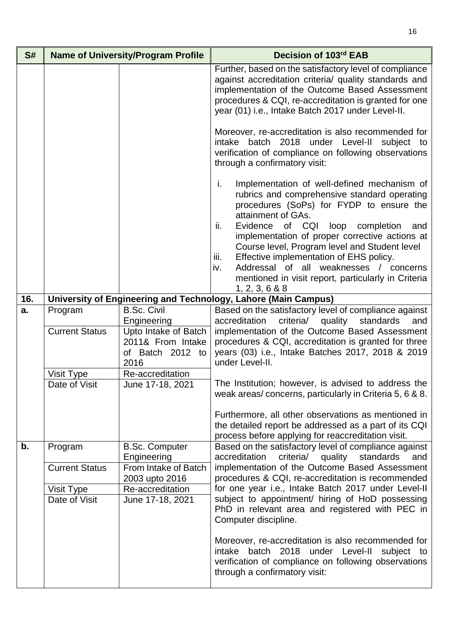| S#  |                             | <b>Name of University/Program Profile</b>                                            | Decision of 103rd EAB                                                                                                                                                                                                                                                                                                                                                                                                                                                                                |
|-----|-----------------------------|--------------------------------------------------------------------------------------|------------------------------------------------------------------------------------------------------------------------------------------------------------------------------------------------------------------------------------------------------------------------------------------------------------------------------------------------------------------------------------------------------------------------------------------------------------------------------------------------------|
|     |                             |                                                                                      | Further, based on the satisfactory level of compliance<br>against accreditation criteria/ quality standards and<br>implementation of the Outcome Based Assessment<br>procedures & CQI, re-accreditation is granted for one<br>year (01) i.e., Intake Batch 2017 under Level-II.                                                                                                                                                                                                                      |
|     |                             |                                                                                      | Moreover, re-accreditation is also recommended for<br>intake batch 2018 under Level-II<br>subject to<br>verification of compliance on following observations<br>through a confirmatory visit:                                                                                                                                                                                                                                                                                                        |
|     |                             |                                                                                      | i.<br>Implementation of well-defined mechanism of<br>rubrics and comprehensive standard operating<br>procedures (SoPs) for FYDP to ensure the<br>attainment of GAs.<br>Evidence of CQI loop completion<br>ii.<br>and<br>implementation of proper corrective actions at<br>Course level, Program level and Student level<br>iii.<br>Effective implementation of EHS policy.<br>Addressal of all weaknesses / concerns<br>iv.<br>mentioned in visit report, particularly in Criteria<br>1, 2, 3, 6 & 8 |
| 16. |                             |                                                                                      | University of Engineering and Technology, Lahore (Main Campus)                                                                                                                                                                                                                                                                                                                                                                                                                                       |
| a.  | Program                     | <b>B.Sc. Civil</b>                                                                   | Based on the satisfactory level of compliance against                                                                                                                                                                                                                                                                                                                                                                                                                                                |
|     | <b>Current Status</b>       | Engineering<br>Upto Intake of Batch<br>2011& From Intake<br>of Batch 2012 to<br>2016 | accreditation<br>criteria/ quality standards<br>and<br>implementation of the Outcome Based Assessment<br>procedures & CQI, accreditation is granted for three<br>years (03) i.e., Intake Batches 2017, 2018 & 2019<br>under Level-II.                                                                                                                                                                                                                                                                |
|     | Visit Type<br>Date of Visit | Re-accreditation<br>June 17-18, 2021                                                 | The Institution; however, is advised to address the<br>weak areas/concerns, particularly in Criteria 5, 6 & 8.                                                                                                                                                                                                                                                                                                                                                                                       |
|     |                             |                                                                                      | Furthermore, all other observations as mentioned in<br>the detailed report be addressed as a part of its CQI<br>process before applying for reaccreditation visit.                                                                                                                                                                                                                                                                                                                                   |
| b.  | Program                     | <b>B.Sc. Computer</b><br>Engineering                                                 | Based on the satisfactory level of compliance against<br>criteria/ quality standards<br>accreditation<br>and                                                                                                                                                                                                                                                                                                                                                                                         |
|     | <b>Current Status</b>       | From Intake of Batch<br>2003 upto 2016                                               | implementation of the Outcome Based Assessment<br>procedures & CQI, re-accreditation is recommended                                                                                                                                                                                                                                                                                                                                                                                                  |
|     | Visit Type                  | Re-accreditation                                                                     | for one year i.e., Intake Batch 2017 under Level-II                                                                                                                                                                                                                                                                                                                                                                                                                                                  |
|     | Date of Visit               | June 17-18, 2021                                                                     | subject to appointment/ hiring of HoD possessing<br>PhD in relevant area and registered with PEC in<br>Computer discipline.                                                                                                                                                                                                                                                                                                                                                                          |
|     |                             |                                                                                      | Moreover, re-accreditation is also recommended for<br>batch 2018<br>under Level-II<br>subject<br>intake<br>to<br>verification of compliance on following observations<br>through a confirmatory visit:                                                                                                                                                                                                                                                                                               |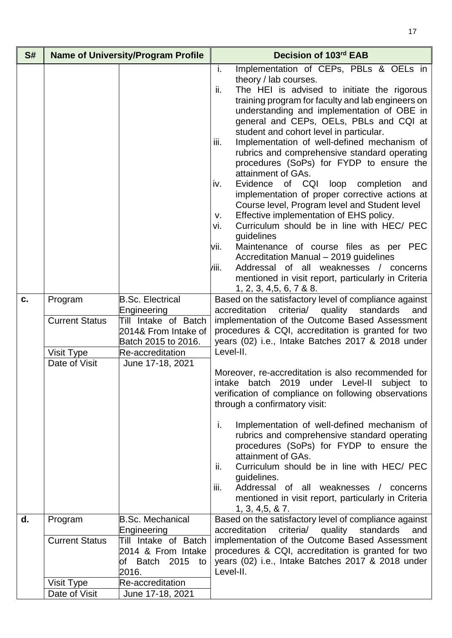| S# |                                                                 | <b>Name of University/Program Profile</b>                                                                                                             | Decision of 103rd EAB                                                                                                                                                                                                                                                                                                                                                                                                                                                                                                                                                                                                                                                                                                                                                                                                                                                                                                                                                                                                                                                                                                                                                                                                                                                                                                                                                                                                                                                                                                                                                                                                                                                                                                                                                                                                                                                                       |
|----|-----------------------------------------------------------------|-------------------------------------------------------------------------------------------------------------------------------------------------------|---------------------------------------------------------------------------------------------------------------------------------------------------------------------------------------------------------------------------------------------------------------------------------------------------------------------------------------------------------------------------------------------------------------------------------------------------------------------------------------------------------------------------------------------------------------------------------------------------------------------------------------------------------------------------------------------------------------------------------------------------------------------------------------------------------------------------------------------------------------------------------------------------------------------------------------------------------------------------------------------------------------------------------------------------------------------------------------------------------------------------------------------------------------------------------------------------------------------------------------------------------------------------------------------------------------------------------------------------------------------------------------------------------------------------------------------------------------------------------------------------------------------------------------------------------------------------------------------------------------------------------------------------------------------------------------------------------------------------------------------------------------------------------------------------------------------------------------------------------------------------------------------|
| C. | Program<br><b>Current Status</b><br>Visit Type<br>Date of Visit | <b>B.Sc. Electrical</b><br>Engineering<br>Till Intake of Batch<br>2014& From Intake of<br>Batch 2015 to 2016.<br>Re-accreditation<br>June 17-18, 2021 | Implementation of CEPs, PBLs & OELs in<br>i.<br>theory / lab courses.<br>The HEI is advised to initiate the rigorous<br>ii.<br>training program for faculty and lab engineers on<br>understanding and implementation of OBE in<br>general and CEPs, OELs, PBLs and CQI at<br>student and cohort level in particular.<br>Implementation of well-defined mechanism of<br>iii.<br>rubrics and comprehensive standard operating<br>procedures (SoPs) for FYDP to ensure the<br>attainment of GAs.<br>of CQI<br>Evidence<br>loop<br>completion<br>iv.<br>and<br>implementation of proper corrective actions at<br>Course level, Program level and Student level<br>Effective implementation of EHS policy.<br>v.<br>Curriculum should be in line with HEC/ PEC<br>vi.<br>quidelines<br>Maintenance of course files as per PEC<br>vii.<br>Accreditation Manual - 2019 guidelines<br>Addressal of all weaknesses / concerns<br>/iii.<br>mentioned in visit report, particularly in Criteria<br>1, 2, 3, 4, 5, 6, 7 & 88.<br>Based on the satisfactory level of compliance against<br>accreditation<br>criteria/<br>quality<br>standards<br>and<br>implementation of the Outcome Based Assessment<br>procedures & CQI, accreditation is granted for two<br>years (02) i.e., Intake Batches 2017 & 2018 under<br>Level-II.<br>Moreover, re-accreditation is also recommended for<br>intake batch 2019 under Level-II<br>subject to<br>verification of compliance on following observations<br>through a confirmatory visit:<br>i.<br>Implementation of well-defined mechanism of<br>rubrics and comprehensive standard operating<br>procedures (SoPs) for FYDP to ensure the<br>attainment of GAs.<br>Curriculum should be in line with HEC/ PEC<br>ii.<br>guidelines.<br>iii.<br>Addressal of all weaknesses / concerns<br>mentioned in visit report, particularly in Criteria<br>1, 3, 4, 5, 8, 7. |
| d. | Program<br><b>Current Status</b>                                | <b>B.Sc. Mechanical</b><br>Engineering<br>Till Intake of Batch                                                                                        | Based on the satisfactory level of compliance against<br>criteria/ quality standards<br>accreditation<br>and<br>implementation of the Outcome Based Assessment                                                                                                                                                                                                                                                                                                                                                                                                                                                                                                                                                                                                                                                                                                                                                                                                                                                                                                                                                                                                                                                                                                                                                                                                                                                                                                                                                                                                                                                                                                                                                                                                                                                                                                                              |
|    |                                                                 | 2014 & From Intake<br>of Batch 2015<br>to<br>2016.                                                                                                    | procedures & CQI, accreditation is granted for two<br>years (02) i.e., Intake Batches 2017 & 2018 under<br>Level-II.                                                                                                                                                                                                                                                                                                                                                                                                                                                                                                                                                                                                                                                                                                                                                                                                                                                                                                                                                                                                                                                                                                                                                                                                                                                                                                                                                                                                                                                                                                                                                                                                                                                                                                                                                                        |
|    | Visit Type                                                      | Re-accreditation                                                                                                                                      |                                                                                                                                                                                                                                                                                                                                                                                                                                                                                                                                                                                                                                                                                                                                                                                                                                                                                                                                                                                                                                                                                                                                                                                                                                                                                                                                                                                                                                                                                                                                                                                                                                                                                                                                                                                                                                                                                             |
|    | Date of Visit                                                   | June 17-18, 2021                                                                                                                                      |                                                                                                                                                                                                                                                                                                                                                                                                                                                                                                                                                                                                                                                                                                                                                                                                                                                                                                                                                                                                                                                                                                                                                                                                                                                                                                                                                                                                                                                                                                                                                                                                                                                                                                                                                                                                                                                                                             |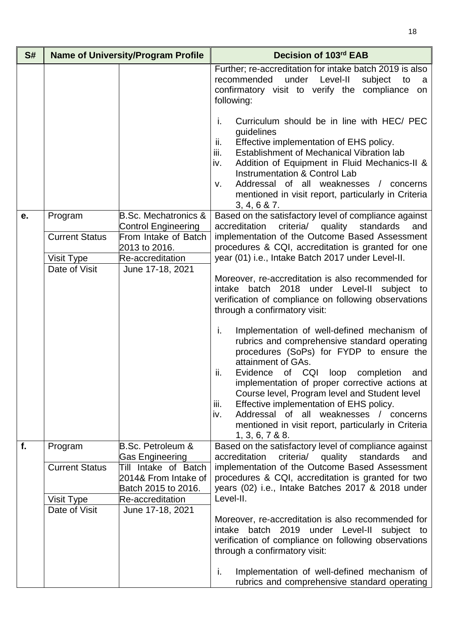| S# |                                                | <b>Name of University/Program Profile</b>                                                                                     | Decision of 103rd EAB                                                                                                                                                                                                                                                                                                                                                                                                                                                                                                                                                                                                                                                                                         |
|----|------------------------------------------------|-------------------------------------------------------------------------------------------------------------------------------|---------------------------------------------------------------------------------------------------------------------------------------------------------------------------------------------------------------------------------------------------------------------------------------------------------------------------------------------------------------------------------------------------------------------------------------------------------------------------------------------------------------------------------------------------------------------------------------------------------------------------------------------------------------------------------------------------------------|
|    |                                                |                                                                                                                               | Further; re-accreditation for intake batch 2019 is also<br>under Level-II<br>recommended<br>subject<br>to<br>a a<br>confirmatory visit to verify the compliance<br>on<br>following:                                                                                                                                                                                                                                                                                                                                                                                                                                                                                                                           |
|    |                                                |                                                                                                                               | j.<br>Curriculum should be in line with HEC/ PEC<br>guidelines<br>Effective implementation of EHS policy.<br>ii.<br>iii.<br>Establishment of Mechanical Vibration lab<br>Addition of Equipment in Fluid Mechanics-II &<br>iv.<br><b>Instrumentation &amp; Control Lab</b><br>Addressal of all weaknesses / concerns<br>v.<br>mentioned in visit report, particularly in Criteria<br>3, 4, 6 & 7.                                                                                                                                                                                                                                                                                                              |
| е. | Program<br><b>Current Status</b><br>Visit Type | <b>B.Sc. Mechatronics &amp;</b><br><b>Control Engineering</b><br>From Intake of Batch<br>2013 to 2016.<br>Re-accreditation    | Based on the satisfactory level of compliance against<br>criteria/<br>accreditation<br>quality<br>standards<br>and<br>implementation of the Outcome Based Assessment<br>procedures & CQI, accreditation is granted for one<br>year (01) i.e., Intake Batch 2017 under Level-II.                                                                                                                                                                                                                                                                                                                                                                                                                               |
|    | Date of Visit                                  | June 17-18, 2021                                                                                                              | Moreover, re-accreditation is also recommended for<br>intake batch 2018 under Level-II subject to<br>verification of compliance on following observations<br>through a confirmatory visit:<br>i.<br>Implementation of well-defined mechanism of<br>rubrics and comprehensive standard operating<br>procedures (SoPs) for FYDP to ensure the<br>attainment of GAs.<br>ii.<br>Evidence<br>of CQI<br>loop<br>completion<br>and<br>implementation of proper corrective actions at<br>Course level, Program level and Student level<br>Effective implementation of EHS policy.<br>iii.<br>Addressal of all weaknesses / concerns<br>iv.<br>mentioned in visit report, particularly in Criteria<br>1, 3, 6, 7 & 88. |
| f. | Program<br><b>Current Status</b>               | <b>B.Sc. Petroleum &amp;</b><br><b>Gas Engineering</b><br>Till Intake of Batch<br>2014& From Intake of<br>Batch 2015 to 2016. | Based on the satisfactory level of compliance against<br>criteria/ quality standards<br>accreditation<br>and<br>implementation of the Outcome Based Assessment<br>procedures & CQI, accreditation is granted for two<br>years (02) i.e., Intake Batches 2017 & 2018 under                                                                                                                                                                                                                                                                                                                                                                                                                                     |
|    | Visit Type<br>Date of Visit                    | Re-accreditation<br>June 17-18, 2021                                                                                          | Level-II.<br>Moreover, re-accreditation is also recommended for<br>intake batch 2019 under Level-II subject to<br>verification of compliance on following observations<br>through a confirmatory visit:<br>i.<br>Implementation of well-defined mechanism of<br>rubrics and comprehensive standard operating                                                                                                                                                                                                                                                                                                                                                                                                  |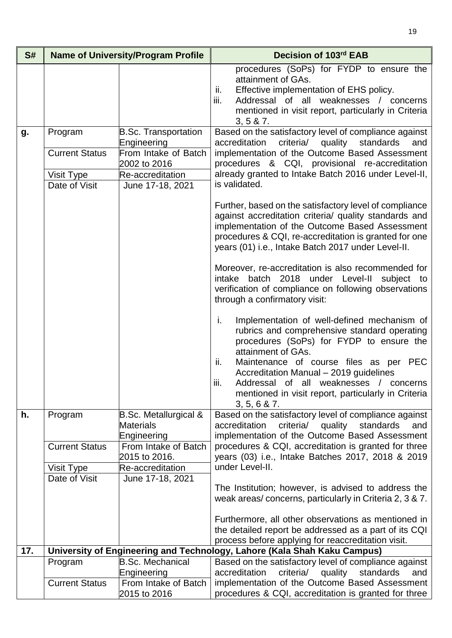| S#  | <b>Name of University/Program Profile</b> |                                                                     | Decision of 103rd EAB                                                                                                                                                                                                                                                            |
|-----|-------------------------------------------|---------------------------------------------------------------------|----------------------------------------------------------------------------------------------------------------------------------------------------------------------------------------------------------------------------------------------------------------------------------|
|     |                                           |                                                                     | procedures (SoPs) for FYDP to ensure the<br>attainment of GAs.<br>Effective implementation of EHS policy.<br>ii.<br>iii.<br>Addressal of all weaknesses / concerns<br>mentioned in visit report, particularly in Criteria<br>3, 5 & 7.                                           |
| g.  | Program                                   | <b>B.Sc. Transportation</b><br>Engineering                          | Based on the satisfactory level of compliance against<br>criteria/ quality standards<br>accreditation<br>and                                                                                                                                                                     |
|     | <b>Current Status</b>                     | From Intake of Batch<br>2002 to 2016<br>Re-accreditation            | implementation of the Outcome Based Assessment<br>procedures & CQI, provisional re-accreditation<br>already granted to Intake Batch 2016 under Level-II,                                                                                                                         |
|     | Visit Type<br>Date of Visit               | June 17-18, 2021                                                    | is validated.                                                                                                                                                                                                                                                                    |
|     |                                           |                                                                     | Further, based on the satisfactory level of compliance<br>against accreditation criteria/ quality standards and<br>implementation of the Outcome Based Assessment<br>procedures & CQI, re-accreditation is granted for one<br>years (01) i.e., Intake Batch 2017 under Level-II. |
|     |                                           |                                                                     | Moreover, re-accreditation is also recommended for<br>intake batch 2018 under Level-II subject to<br>verification of compliance on following observations<br>through a confirmatory visit:                                                                                       |
|     |                                           |                                                                     | i.<br>Implementation of well-defined mechanism of<br>rubrics and comprehensive standard operating<br>procedures (SoPs) for FYDP to ensure the<br>attainment of GAs.                                                                                                              |
|     |                                           |                                                                     | Maintenance of course files as per PEC<br>ii.<br>Accreditation Manual - 2019 guidelines<br>Addressal of all weaknesses / concerns<br>iii.<br>mentioned in visit report, particularly in Criteria<br>3, 5, 6 & 7.                                                                 |
| h.  | Program                                   | <b>B.Sc. Metallurgical &amp;</b><br><b>Materials</b><br>Engineering | Based on the satisfactory level of compliance against<br>accreditation<br>criteria/ quality standards<br>and<br>implementation of the Outcome Based Assessment                                                                                                                   |
|     | <b>Current Status</b>                     | From Intake of Batch<br>2015 to 2016.                               | procedures & CQI, accreditation is granted for three<br>years (03) i.e., Intake Batches 2017, 2018 & 2019                                                                                                                                                                        |
|     | Visit Type<br>Date of Visit               | Re-accreditation<br>June 17-18, 2021                                | under Level-II.                                                                                                                                                                                                                                                                  |
|     |                                           |                                                                     | The Institution; however, is advised to address the<br>weak areas/concerns, particularly in Criteria 2, 3 & 7.                                                                                                                                                                   |
|     |                                           |                                                                     | Furthermore, all other observations as mentioned in<br>the detailed report be addressed as a part of its CQI<br>process before applying for reaccreditation visit.                                                                                                               |
| 17. |                                           |                                                                     | University of Engineering and Technology, Lahore (Kala Shah Kaku Campus)                                                                                                                                                                                                         |
|     | Program                                   | <b>B.Sc. Mechanical</b><br>Engineering                              | Based on the satisfactory level of compliance against<br>accreditation<br>criteria/<br>quality<br>standards<br>and                                                                                                                                                               |
|     | <b>Current Status</b>                     | From Intake of Batch<br>2015 to 2016                                | implementation of the Outcome Based Assessment<br>procedures & CQI, accreditation is granted for three                                                                                                                                                                           |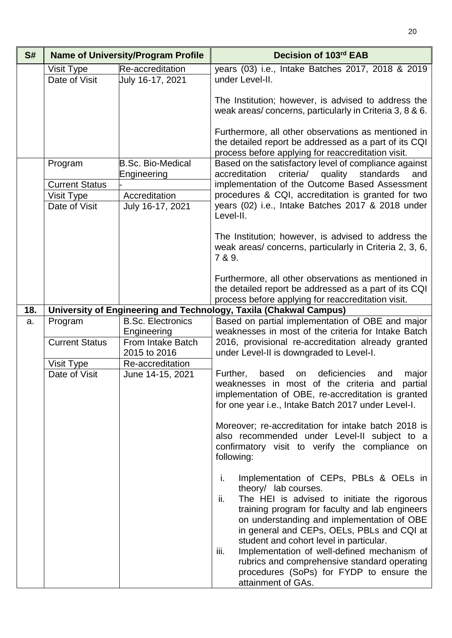| S#  | <b>Name of University/Program Profile</b>                       |                                                                                                                      | Decision of 103rd EAB                                                                                                                                                                                                                                                                                                                                                                                                                                                                                                                                                                                      |
|-----|-----------------------------------------------------------------|----------------------------------------------------------------------------------------------------------------------|------------------------------------------------------------------------------------------------------------------------------------------------------------------------------------------------------------------------------------------------------------------------------------------------------------------------------------------------------------------------------------------------------------------------------------------------------------------------------------------------------------------------------------------------------------------------------------------------------------|
|     | Visit Type<br>Date of Visit                                     | Re-accreditation<br>July 16-17, 2021                                                                                 | years (03) i.e., Intake Batches 2017, 2018 & 2019<br>under Level-II.                                                                                                                                                                                                                                                                                                                                                                                                                                                                                                                                       |
|     |                                                                 |                                                                                                                      | The Institution; however, is advised to address the<br>weak areas/concerns, particularly in Criteria 3, 8 & 6.<br>Furthermore, all other observations as mentioned in<br>the detailed report be addressed as a part of its CQI                                                                                                                                                                                                                                                                                                                                                                             |
|     | Program<br><b>Current Status</b><br>Visit Type<br>Date of Visit | <b>B.Sc. Bio-Medical</b><br>Engineering<br>Accreditation<br>July 16-17, 2021                                         | process before applying for reaccreditation visit.<br>Based on the satisfactory level of compliance against<br>standards<br>accreditation<br>criteria/<br>quality<br>and<br>implementation of the Outcome Based Assessment<br>procedures & CQI, accreditation is granted for two<br>years (02) i.e., Intake Batches 2017 & 2018 under<br>Level-II.<br>The Institution; however, is advised to address the<br>weak areas/ concerns, particularly in Criteria 2, 3, 6,<br>7 & 9.                                                                                                                             |
|     |                                                                 |                                                                                                                      | Furthermore, all other observations as mentioned in<br>the detailed report be addressed as a part of its CQI<br>process before applying for reaccreditation visit.                                                                                                                                                                                                                                                                                                                                                                                                                                         |
| 18. |                                                                 |                                                                                                                      | University of Engineering and Technology, Taxila (Chakwal Campus)                                                                                                                                                                                                                                                                                                                                                                                                                                                                                                                                          |
| a.  | Program<br><b>Current Status</b><br>Visit Type<br>Date of Visit | <b>B.Sc. Electronics</b><br>Engineering<br>From Intake Batch<br>2015 to 2016<br>Re-accreditation<br>June 14-15, 2021 | Based on partial implementation of OBE and major<br>weaknesses in most of the criteria for Intake Batch<br>2016, provisional re-accreditation already granted<br>under Level-II is downgraded to Level-I.<br>deficiencies<br>Further,<br>based<br>on<br>and<br>major<br>weaknesses in most of the criteria and partial<br>implementation of OBE, re-accreditation is granted<br>for one year i.e., Intake Batch 2017 under Level-I.<br>Moreover; re-accreditation for intake batch 2018 is<br>also recommended under Level-II subject to a<br>confirmatory visit to verify the compliance on<br>following: |
|     |                                                                 |                                                                                                                      | Implementation of CEPs, PBLs & OELs in<br>i.<br>theory/ lab courses.<br>The HEI is advised to initiate the rigorous<br>ii.<br>training program for faculty and lab engineers<br>on understanding and implementation of OBE<br>in general and CEPs, OELs, PBLs and CQI at<br>student and cohort level in particular.<br>Implementation of well-defined mechanism of<br>iii.<br>rubrics and comprehensive standard operating<br>procedures (SoPs) for FYDP to ensure the<br>attainment of GAs.                                                                                                               |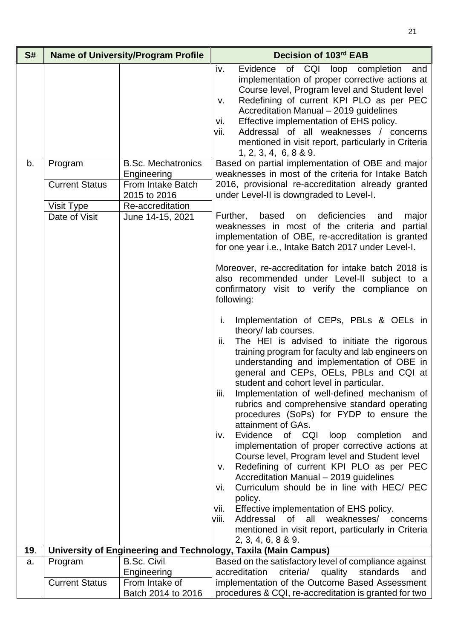| S#  |                       | <b>Name of University/Program Profile</b>        | Decision of 103rd EAB                                                                                                                                                                                                                                                                                                                                                                                                                                                                                                                                                                                                                                                                                                                                                                                                                                                                                                         |
|-----|-----------------------|--------------------------------------------------|-------------------------------------------------------------------------------------------------------------------------------------------------------------------------------------------------------------------------------------------------------------------------------------------------------------------------------------------------------------------------------------------------------------------------------------------------------------------------------------------------------------------------------------------------------------------------------------------------------------------------------------------------------------------------------------------------------------------------------------------------------------------------------------------------------------------------------------------------------------------------------------------------------------------------------|
| b.  | Program               | <b>B.Sc. Mechatronics</b>                        | Evidence of CQI loop completion<br>iv.<br>and<br>implementation of proper corrective actions at<br>Course level, Program level and Student level<br>Redefining of current KPI PLO as per PEC<br>V.<br>Accreditation Manual - 2019 guidelines<br>Effective implementation of EHS policy.<br>Vİ.<br>Addressal of all weaknesses / concerns<br>vii.<br>mentioned in visit report, particularly in Criteria<br>1, 2, 3, 4, 6, 8 & 9.<br>Based on partial implementation of OBE and major                                                                                                                                                                                                                                                                                                                                                                                                                                          |
|     | <b>Current Status</b> | Engineering<br>From Intake Batch<br>2015 to 2016 | weaknesses in most of the criteria for Intake Batch<br>2016, provisional re-accreditation already granted<br>under Level-II is downgraded to Level-I.                                                                                                                                                                                                                                                                                                                                                                                                                                                                                                                                                                                                                                                                                                                                                                         |
|     | Visit Type            | Re-accreditation                                 |                                                                                                                                                                                                                                                                                                                                                                                                                                                                                                                                                                                                                                                                                                                                                                                                                                                                                                                               |
|     | Date of Visit         | June 14-15, 2021                                 | based on deficiencies<br>Further,<br>major<br>and<br>weaknesses in most of the criteria and<br>partial<br>implementation of OBE, re-accreditation is granted<br>for one year i.e., Intake Batch 2017 under Level-I.                                                                                                                                                                                                                                                                                                                                                                                                                                                                                                                                                                                                                                                                                                           |
|     |                       |                                                  | Moreover, re-accreditation for intake batch 2018 is<br>also recommended under Level-II subject to a<br>confirmatory visit to verify the compliance on<br>following:                                                                                                                                                                                                                                                                                                                                                                                                                                                                                                                                                                                                                                                                                                                                                           |
|     |                       |                                                  | Implementation of CEPs, PBLs & OELs in<br>i.<br>theory/ lab courses.<br>The HEI is advised to initiate the rigorous<br>ii.<br>training program for faculty and lab engineers on<br>understanding and implementation of OBE in<br>general and CEPs, OELs, PBLs and CQI at<br>student and cohort level in particular.<br>Implementation of well-defined mechanism of<br>iii.<br>rubrics and comprehensive standard operating<br>procedures (SoPs) for FYDP to ensure the<br>attainment of GAs.<br>Evidence of CQI<br>loop<br>completion<br>and<br>IV.<br>implementation of proper corrective actions at<br>Course level, Program level and Student level<br>Redefining of current KPI PLO as per PEC<br>ν.<br>Accreditation Manual - 2019 guidelines<br>Curriculum should be in line with HEC/ PEC<br>Vİ.<br>policy.<br>Effective implementation of EHS policy.<br>vii.<br>Addressal<br>of all<br>weaknesses/ concerns<br>viii. |
|     |                       |                                                  | mentioned in visit report, particularly in Criteria<br>2, 3, 4, 6, 8 & 9.                                                                                                                                                                                                                                                                                                                                                                                                                                                                                                                                                                                                                                                                                                                                                                                                                                                     |
| 19. |                       |                                                  | University of Engineering and Technology, Taxila (Main Campus)                                                                                                                                                                                                                                                                                                                                                                                                                                                                                                                                                                                                                                                                                                                                                                                                                                                                |
| a.  | Program               | <b>B.Sc. Civil</b>                               | Based on the satisfactory level of compliance against                                                                                                                                                                                                                                                                                                                                                                                                                                                                                                                                                                                                                                                                                                                                                                                                                                                                         |
|     |                       | Engineering                                      | accreditation<br>criteria/ quality<br>standards<br>and                                                                                                                                                                                                                                                                                                                                                                                                                                                                                                                                                                                                                                                                                                                                                                                                                                                                        |
|     | <b>Current Status</b> | From Intake of                                   | implementation of the Outcome Based Assessment                                                                                                                                                                                                                                                                                                                                                                                                                                                                                                                                                                                                                                                                                                                                                                                                                                                                                |
|     |                       | Batch 2014 to 2016                               | procedures & CQI, re-accreditation is granted for two                                                                                                                                                                                                                                                                                                                                                                                                                                                                                                                                                                                                                                                                                                                                                                                                                                                                         |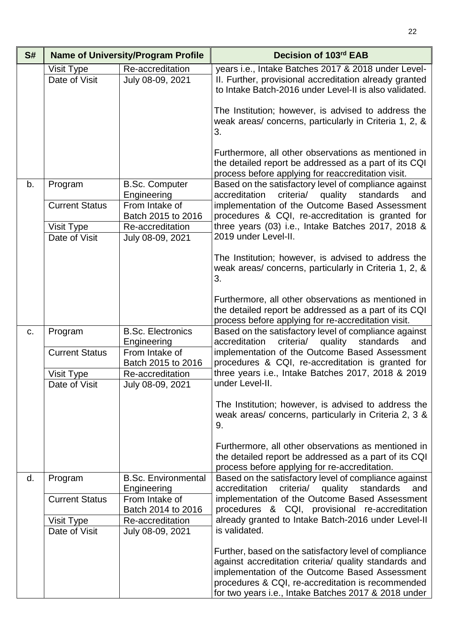| S# | <b>Name of University/Program Profile</b> |                                           | Decision of 103rd EAB                                                                                                                                                                                                                                                          |
|----|-------------------------------------------|-------------------------------------------|--------------------------------------------------------------------------------------------------------------------------------------------------------------------------------------------------------------------------------------------------------------------------------|
|    | Visit Type<br>Date of Visit               | Re-accreditation<br>July 08-09, 2021      | years i.e., Intake Batches 2017 & 2018 under Level-<br>II. Further, provisional accreditation already granted<br>to Intake Batch-2016 under Level-II is also validated.                                                                                                        |
|    |                                           |                                           | The Institution; however, is advised to address the<br>weak areas/ concerns, particularly in Criteria 1, 2, &<br>3.                                                                                                                                                            |
|    |                                           |                                           | Furthermore, all other observations as mentioned in<br>the detailed report be addressed as a part of its CQI<br>process before applying for reaccreditation visit.                                                                                                             |
| b. | Program                                   | <b>B.Sc. Computer</b><br>Engineering      | Based on the satisfactory level of compliance against<br>criteria/ quality standards<br>accreditation<br>and                                                                                                                                                                   |
|    | <b>Current Status</b>                     | From Intake of<br>Batch 2015 to 2016      | implementation of the Outcome Based Assessment<br>procedures & CQI, re-accreditation is granted for                                                                                                                                                                            |
|    | Visit Type<br>Date of Visit               | Re-accreditation<br>July 08-09, 2021      | three years (03) i.e., Intake Batches 2017, 2018 &<br>2019 under Level-II.                                                                                                                                                                                                     |
|    |                                           |                                           | The Institution; however, is advised to address the<br>weak areas/ concerns, particularly in Criteria 1, 2, &<br>3.                                                                                                                                                            |
|    |                                           |                                           | Furthermore, all other observations as mentioned in<br>the detailed report be addressed as a part of its CQI<br>process before applying for re-accreditation visit.                                                                                                            |
| C. | Program                                   | <b>B.Sc. Electronics</b><br>Engineering   | Based on the satisfactory level of compliance against<br>criteria/<br>accreditation<br>quality<br>standards<br>and                                                                                                                                                             |
|    | <b>Current Status</b>                     | From Intake of<br>Batch 2015 to 2016      | implementation of the Outcome Based Assessment<br>procedures & CQI, re-accreditation is granted for                                                                                                                                                                            |
|    | Visit Type<br>Date of Visit               | Re-accreditation<br>July 08-09, 2021      | three years i.e., Intake Batches 2017, 2018 & 2019<br>under Level-II.                                                                                                                                                                                                          |
|    |                                           |                                           | The Institution; however, is advised to address the<br>weak areas/ concerns, particularly in Criteria 2, 3 &<br>9.                                                                                                                                                             |
|    |                                           |                                           | Furthermore, all other observations as mentioned in<br>the detailed report be addressed as a part of its CQI<br>process before applying for re-accreditation.                                                                                                                  |
| d. | Program                                   | <b>B.Sc. Environmental</b><br>Engineering | Based on the satisfactory level of compliance against<br>accreditation<br>criteria/<br>quality<br>standards<br>and                                                                                                                                                             |
|    | <b>Current Status</b>                     | From Intake of<br>Batch 2014 to 2016      | implementation of the Outcome Based Assessment<br>procedures & CQI, provisional re-accreditation                                                                                                                                                                               |
|    | Visit Type<br>Date of Visit               | Re-accreditation<br>July 08-09, 2021      | already granted to Intake Batch-2016 under Level-II<br>is validated.                                                                                                                                                                                                           |
|    |                                           |                                           | Further, based on the satisfactory level of compliance<br>against accreditation criteria/ quality standards and<br>implementation of the Outcome Based Assessment<br>procedures & CQI, re-accreditation is recommended<br>for two years i.e., Intake Batches 2017 & 2018 under |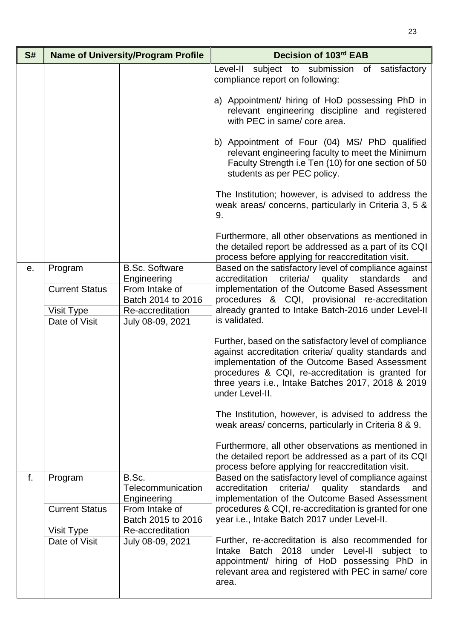| S# | <b>Name of University/Program Profile</b> |                                                                                                                                   | Decision of 103rd EAB                                                                                                                                                                                                                                                                           |
|----|-------------------------------------------|-----------------------------------------------------------------------------------------------------------------------------------|-------------------------------------------------------------------------------------------------------------------------------------------------------------------------------------------------------------------------------------------------------------------------------------------------|
|    |                                           |                                                                                                                                   | Level-II<br>subject to submission<br>satisfactory<br>of<br>compliance report on following:                                                                                                                                                                                                      |
|    |                                           | a) Appointment/ hiring of HoD possessing PhD in<br>relevant engineering discipline and registered<br>with PEC in same/ core area. |                                                                                                                                                                                                                                                                                                 |
|    |                                           |                                                                                                                                   | b) Appointment of Four (04) MS/ PhD qualified<br>relevant engineering faculty to meet the Minimum<br>Faculty Strength i.e Ten (10) for one section of 50<br>students as per PEC policy.                                                                                                         |
|    |                                           |                                                                                                                                   | The Institution; however, is advised to address the<br>weak areas/ concerns, particularly in Criteria 3, 5 &<br>9.                                                                                                                                                                              |
|    |                                           |                                                                                                                                   | Furthermore, all other observations as mentioned in<br>the detailed report be addressed as a part of its CQI<br>process before applying for reaccreditation visit.                                                                                                                              |
| е. | Program                                   | <b>B.Sc. Software</b>                                                                                                             | Based on the satisfactory level of compliance against<br>and                                                                                                                                                                                                                                    |
|    | <b>Current Status</b>                     | Engineering<br>From Intake of<br>Batch 2014 to 2016                                                                               | criteria/ quality standards<br>accreditation<br>implementation of the Outcome Based Assessment<br>procedures & CQI, provisional re-accreditation<br>already granted to Intake Batch-2016 under Level-II                                                                                         |
|    | Visit Type                                | Re-accreditation                                                                                                                  |                                                                                                                                                                                                                                                                                                 |
|    | Date of Visit                             | July 08-09, 2021                                                                                                                  | is validated.                                                                                                                                                                                                                                                                                   |
|    |                                           |                                                                                                                                   | Further, based on the satisfactory level of compliance<br>against accreditation criteria/ quality standards and<br>implementation of the Outcome Based Assessment<br>procedures & CQI, re-accreditation is granted for<br>three years i.e., Intake Batches 2017, 2018 & 2019<br>under Level-II. |
|    |                                           |                                                                                                                                   | The Institution, however, is advised to address the<br>weak areas/concerns, particularly in Criteria 8 & 9.                                                                                                                                                                                     |
|    |                                           |                                                                                                                                   | Furthermore, all other observations as mentioned in<br>the detailed report be addressed as a part of its CQI<br>process before applying for reaccreditation visit.                                                                                                                              |
| f. | Program                                   | B.Sc.<br>Telecommunication                                                                                                        | Based on the satisfactory level of compliance against<br>accreditation<br>criteria/ quality standards<br>and                                                                                                                                                                                    |
|    |                                           | Engineering                                                                                                                       | implementation of the Outcome Based Assessment                                                                                                                                                                                                                                                  |
|    | <b>Current Status</b>                     | From Intake of<br>Batch 2015 to 2016                                                                                              | procedures & CQI, re-accreditation is granted for one<br>year i.e., Intake Batch 2017 under Level-II.                                                                                                                                                                                           |
|    | Visit Type<br>Date of Visit               | Re-accreditation<br>July 08-09, 2021                                                                                              | Further, re-accreditation is also recommended for                                                                                                                                                                                                                                               |
|    |                                           |                                                                                                                                   | Intake Batch 2018 under Level-II subject to<br>appointment/ hiring of HoD possessing PhD in<br>relevant area and registered with PEC in same/ core<br>area.                                                                                                                                     |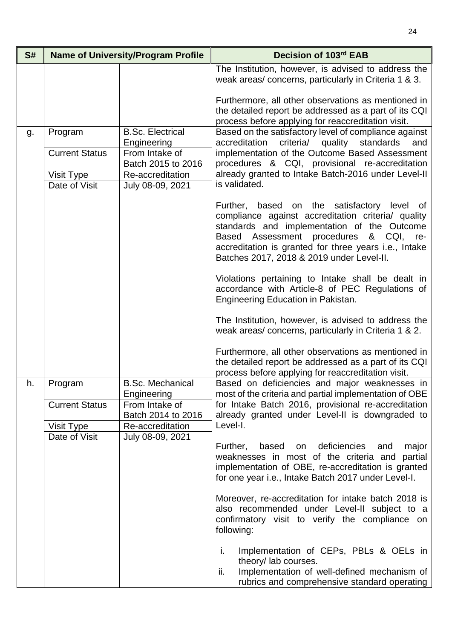| S# |                                  | <b>Name of University/Program Profile</b>                | Decision of 103rd EAB                                                                                                                                                                                                                                                                                            |
|----|----------------------------------|----------------------------------------------------------|------------------------------------------------------------------------------------------------------------------------------------------------------------------------------------------------------------------------------------------------------------------------------------------------------------------|
|    |                                  |                                                          | The Institution, however, is advised to address the<br>weak areas/concerns, particularly in Criteria 1 & 3.                                                                                                                                                                                                      |
|    |                                  |                                                          | Furthermore, all other observations as mentioned in<br>the detailed report be addressed as a part of its CQI<br>process before applying for reaccreditation visit.                                                                                                                                               |
| g. | Program<br><b>Current Status</b> | <b>B.Sc. Electrical</b><br>Engineering<br>From Intake of | Based on the satisfactory level of compliance against<br>criteria/ quality standards<br>accreditation<br>and<br>implementation of the Outcome Based Assessment                                                                                                                                                   |
|    | Visit Type                       | Batch 2015 to 2016<br>Re-accreditation                   | procedures & CQI, provisional re-accreditation<br>already granted to Intake Batch-2016 under Level-II                                                                                                                                                                                                            |
|    | Date of Visit                    | July 08-09, 2021                                         | is validated.                                                                                                                                                                                                                                                                                                    |
|    |                                  |                                                          | Further, based on the satisfactory level of<br>compliance against accreditation criteria/ quality<br>standards and implementation of the Outcome<br><b>Based</b><br>Assessment procedures<br>& CQI,<br>re-<br>accreditation is granted for three years i.e., Intake<br>Batches 2017, 2018 & 2019 under Level-II. |
|    |                                  |                                                          | Violations pertaining to Intake shall be dealt in<br>accordance with Article-8 of PEC Regulations of<br>Engineering Education in Pakistan.                                                                                                                                                                       |
|    |                                  |                                                          | The Institution, however, is advised to address the<br>weak areas/concerns, particularly in Criteria 1 & 2.                                                                                                                                                                                                      |
|    |                                  |                                                          | Furthermore, all other observations as mentioned in<br>the detailed report be addressed as a part of its CQI<br>process before applying for reaccreditation visit.                                                                                                                                               |
| h. | Program                          | <b>B.Sc. Mechanical</b><br>Engineering                   | Based on deficiencies and major weaknesses in<br>most of the criteria and partial implementation of OBE                                                                                                                                                                                                          |
|    | <b>Current Status</b>            | From Intake of<br>Batch 2014 to 2016                     | for Intake Batch 2016, provisional re-accreditation<br>already granted under Level-II is downgraded to                                                                                                                                                                                                           |
|    | Visit Type<br>Date of Visit      | Re-accreditation<br>July 08-09, 2021                     | Level-I.                                                                                                                                                                                                                                                                                                         |
|    |                                  |                                                          | deficiencies<br>Further,<br>based<br>major<br>on<br>and<br>weaknesses in most of the criteria and<br>partial<br>implementation of OBE, re-accreditation is granted<br>for one year i.e., Intake Batch 2017 under Level-I.                                                                                        |
|    |                                  |                                                          | Moreover, re-accreditation for intake batch 2018 is<br>also recommended under Level-II subject to a<br>confirmatory visit to verify the compliance on<br>following:                                                                                                                                              |
|    |                                  |                                                          | Implementation of CEPs, PBLs & OELs in<br>i.<br>theory/ lab courses.<br>Implementation of well-defined mechanism of<br>ii.<br>rubrics and comprehensive standard operating                                                                                                                                       |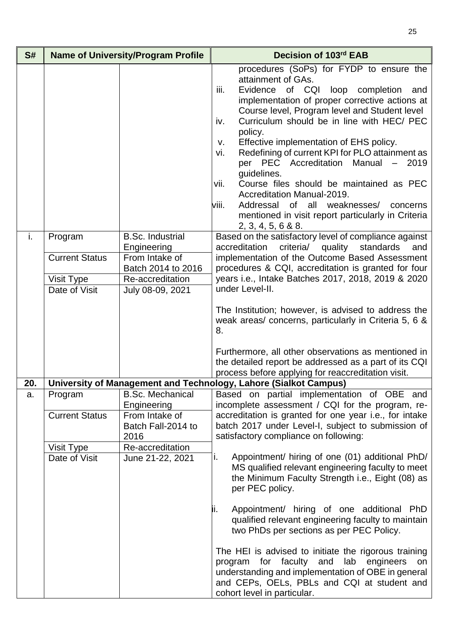| S#  |                                                                 | <b>Name of University/Program Profile</b>                                                                              | Decision of 103rd EAB                                                                                                                                                                                                                                                                                                                                                                                                                                                                                                                                                                                                                                                        |
|-----|-----------------------------------------------------------------|------------------------------------------------------------------------------------------------------------------------|------------------------------------------------------------------------------------------------------------------------------------------------------------------------------------------------------------------------------------------------------------------------------------------------------------------------------------------------------------------------------------------------------------------------------------------------------------------------------------------------------------------------------------------------------------------------------------------------------------------------------------------------------------------------------|
|     |                                                                 |                                                                                                                        | procedures (SoPs) for FYDP to ensure the<br>attainment of GAs.<br>iii.<br>Evidence of CQI loop completion<br>and<br>implementation of proper corrective actions at<br>Course level, Program level and Student level<br>Curriculum should be in line with HEC/ PEC<br>iv.<br>policy.<br>Effective implementation of EHS policy.<br>V.<br>Redefining of current KPI for PLO attainment as<br>vi.<br>per PEC Accreditation<br>Manual -<br>2019<br>guidelines.<br>Course files should be maintained as PEC<br>vii.<br>Accreditation Manual-2019.<br>Addressal of all weaknesses/ concerns<br>viii.<br>mentioned in visit report particularly in Criteria<br>2, 3, 4, 5, 6 & 8.8. |
| i.  | Program<br><b>Current Status</b><br>Visit Type<br>Date of Visit | <b>B.Sc. Industrial</b><br>Engineering<br>From Intake of<br>Batch 2014 to 2016<br>Re-accreditation<br>July 08-09, 2021 | Based on the satisfactory level of compliance against<br>criteria/ quality standards<br>accreditation<br>and<br>implementation of the Outcome Based Assessment<br>procedures & CQI, accreditation is granted for four<br>years i.e., Intake Batches 2017, 2018, 2019 & 2020<br>under Level-II.<br>The Institution; however, is advised to address the<br>weak areas/ concerns, particularly in Criteria 5, 6 &<br>8.                                                                                                                                                                                                                                                         |
|     |                                                                 |                                                                                                                        | Furthermore, all other observations as mentioned in<br>the detailed report be addressed as a part of its CQI<br>process before applying for reaccreditation visit.                                                                                                                                                                                                                                                                                                                                                                                                                                                                                                           |
| 20. |                                                                 |                                                                                                                        | University of Management and Technology, Lahore (Sialkot Campus)                                                                                                                                                                                                                                                                                                                                                                                                                                                                                                                                                                                                             |
| a.  | Program<br><b>Current Status</b>                                | <b>B.Sc. Mechanical</b><br>Engineering<br>From Intake of<br>Batch Fall-2014 to<br>2016                                 | Based on partial implementation of OBE and<br>incomplete assessment / CQI for the program, re-<br>accreditation is granted for one year i.e., for intake<br>batch 2017 under Level-I, subject to submission of<br>satisfactory compliance on following:                                                                                                                                                                                                                                                                                                                                                                                                                      |
|     | Visit Type                                                      | Re-accreditation                                                                                                       |                                                                                                                                                                                                                                                                                                                                                                                                                                                                                                                                                                                                                                                                              |
|     | Date of Visit                                                   | June 21-22, 2021                                                                                                       | Appointment/ hiring of one (01) additional PhD/<br>i.<br>MS qualified relevant engineering faculty to meet<br>the Minimum Faculty Strength <i>i.e.</i> , Eight (08) as<br>per PEC policy.<br>Appointment/ hiring of one additional PhD<br>ļi.<br>qualified relevant engineering faculty to maintain<br>two PhDs per sections as per PEC Policy.<br>The HEI is advised to initiate the rigorous training<br>program for faculty and lab engineers<br>on<br>understanding and implementation of OBE in general<br>and CEPs, OELs, PBLs and CQI at student and<br>cohort level in particular.                                                                                   |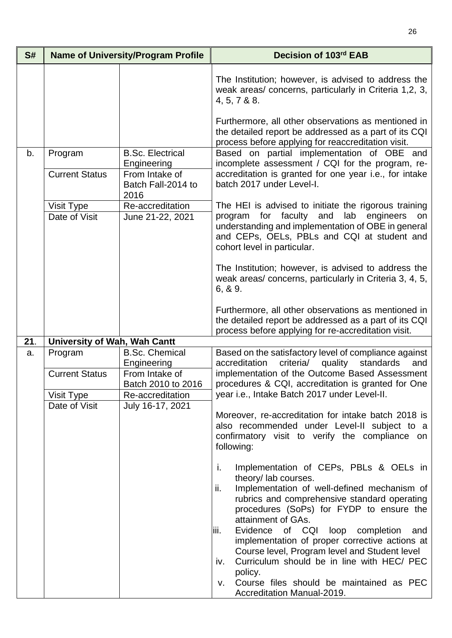| S#  |                              | <b>Name of University/Program Profile</b>    | Decision of 103rd EAB                                                                                                                                                                                                                                                |
|-----|------------------------------|----------------------------------------------|----------------------------------------------------------------------------------------------------------------------------------------------------------------------------------------------------------------------------------------------------------------------|
|     |                              |                                              | The Institution; however, is advised to address the<br>weak areas/ concerns, particularly in Criteria 1,2, 3,<br>4, 5, 7 & 88.                                                                                                                                       |
| b.  | Program                      | <b>B.Sc. Electrical</b><br>Engineering       | Furthermore, all other observations as mentioned in<br>the detailed report be addressed as a part of its CQI<br>process before applying for reaccreditation visit.<br>Based on partial implementation of OBE and<br>incomplete assessment / CQI for the program, re- |
|     | <b>Current Status</b>        | From Intake of<br>Batch Fall-2014 to<br>2016 | accreditation is granted for one year i.e., for intake<br>batch 2017 under Level-I.                                                                                                                                                                                  |
|     | Visit Type<br>Date of Visit  | Re-accreditation<br>June 21-22, 2021         | The HEI is advised to initiate the rigorous training<br>faculty<br>and<br>lab<br>engineers<br>program<br>for<br>on<br>understanding and implementation of OBE in general<br>and CEPs, OELs, PBLs and CQI at student and<br>cohort level in particular.               |
|     |                              |                                              | The Institution; however, is advised to address the<br>weak areas/ concerns, particularly in Criteria 3, 4, 5,<br>6, 8, 9.                                                                                                                                           |
|     |                              |                                              | Furthermore, all other observations as mentioned in<br>the detailed report be addressed as a part of its CQI<br>process before applying for re-accreditation visit.                                                                                                  |
| 21. | University of Wah, Wah Cantt |                                              |                                                                                                                                                                                                                                                                      |
| a.  | Program                      | <b>B.Sc. Chemical</b><br>Engineering         | Based on the satisfactory level of compliance against<br>accreditation<br>standards<br>criteria/<br>quality<br>and                                                                                                                                                   |
|     | <b>Current Status</b>        | From Intake of<br>Batch 2010 to 2016         | implementation of the Outcome Based Assessment<br>procedures & CQI, accreditation is granted for One                                                                                                                                                                 |
|     | Visit Type                   | Re-accreditation                             | year i.e., Intake Batch 2017 under Level-II.                                                                                                                                                                                                                         |
|     | Date of Visit                | July 16-17, 2021                             | Moreover, re-accreditation for intake batch 2018 is<br>also recommended under Level-II subject to a<br>confirmatory visit to verify the compliance on<br>following:                                                                                                  |
|     |                              |                                              | j.<br>Implementation of CEPs, PBLs & OELs in<br>theory/ lab courses.<br>Implementation of well-defined mechanism of<br>ii.<br>rubrics and comprehensive standard operating<br>procedures (SoPs) for FYDP to ensure the<br>attainment of GAs.                         |
|     |                              |                                              | Evidence of CQI loop completion<br>liii.<br>and<br>implementation of proper corrective actions at<br>Course level, Program level and Student level                                                                                                                   |
|     |                              |                                              | Curriculum should be in line with HEC/ PEC<br>iv.<br>policy.<br>Course files should be maintained as PEC                                                                                                                                                             |
|     |                              |                                              | V.<br>Accreditation Manual-2019.                                                                                                                                                                                                                                     |

26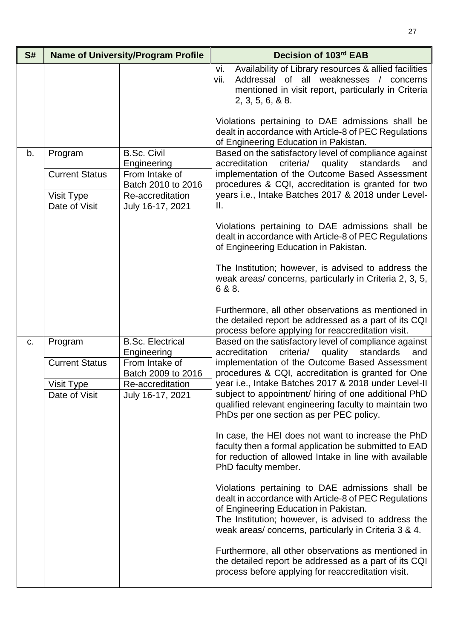| S# |                                                                 | <b>Name of University/Program Profile</b>                                                                         | Decision of 103rd EAB                                                                                                                                                                                                                                                                   |
|----|-----------------------------------------------------------------|-------------------------------------------------------------------------------------------------------------------|-----------------------------------------------------------------------------------------------------------------------------------------------------------------------------------------------------------------------------------------------------------------------------------------|
|    |                                                                 |                                                                                                                   | Availability of Library resources & allied facilities<br>vi.<br>Addressal of all weaknesses / concerns<br>vii.<br>mentioned in visit report, particularly in Criteria<br>2, 3, 5, 6, 8, 8.                                                                                              |
|    |                                                                 |                                                                                                                   | Violations pertaining to DAE admissions shall be<br>dealt in accordance with Article-8 of PEC Regulations<br>of Engineering Education in Pakistan.                                                                                                                                      |
| b. | Program<br><b>Current Status</b><br>Visit Type<br>Date of Visit | <b>B.Sc. Civil</b><br>Engineering<br>From Intake of<br>Batch 2010 to 2016<br>Re-accreditation<br>July 16-17, 2021 | Based on the satisfactory level of compliance against<br>criteria/<br>accreditation<br>quality<br>standards<br>and<br>implementation of the Outcome Based Assessment<br>procedures & CQI, accreditation is granted for two<br>years i.e., Intake Batches 2017 & 2018 under Level-<br>Ш. |
|    |                                                                 |                                                                                                                   | Violations pertaining to DAE admissions shall be<br>dealt in accordance with Article-8 of PEC Regulations<br>of Engineering Education in Pakistan.                                                                                                                                      |
|    |                                                                 |                                                                                                                   | The Institution; however, is advised to address the<br>weak areas/concerns, particularly in Criteria 2, 3, 5,<br>6 & 8.                                                                                                                                                                 |
|    |                                                                 |                                                                                                                   | Furthermore, all other observations as mentioned in<br>the detailed report be addressed as a part of its CQI<br>process before applying for reaccreditation visit.                                                                                                                      |
| C. | Program                                                         | <b>B.Sc. Electrical</b><br>Engineering                                                                            | Based on the satisfactory level of compliance against<br>criteria/<br>quality<br>standards<br>accreditation<br>and                                                                                                                                                                      |
|    | <b>Current Status</b>                                           | From Intake of<br>Batch 2009 to 2016                                                                              | implementation of the Outcome Based Assessment<br>procedures & CQI, accreditation is granted for One                                                                                                                                                                                    |
|    | <b>Visit Type</b>                                               | Re-accreditation                                                                                                  | year i.e., Intake Batches 2017 & 2018 under Level-II                                                                                                                                                                                                                                    |
|    | Date of Visit                                                   | July 16-17, 2021                                                                                                  | subject to appointment/ hiring of one additional PhD<br>qualified relevant engineering faculty to maintain two<br>PhDs per one section as per PEC policy.                                                                                                                               |
|    |                                                                 |                                                                                                                   | In case, the HEI does not want to increase the PhD<br>faculty then a formal application be submitted to EAD<br>for reduction of allowed Intake in line with available<br>PhD faculty member.                                                                                            |
|    |                                                                 |                                                                                                                   | Violations pertaining to DAE admissions shall be<br>dealt in accordance with Article-8 of PEC Regulations<br>of Engineering Education in Pakistan.<br>The Institution; however, is advised to address the<br>weak areas/ concerns, particularly in Criteria 3 & 4.                      |
|    |                                                                 |                                                                                                                   | Furthermore, all other observations as mentioned in<br>the detailed report be addressed as a part of its CQI<br>process before applying for reaccreditation visit.                                                                                                                      |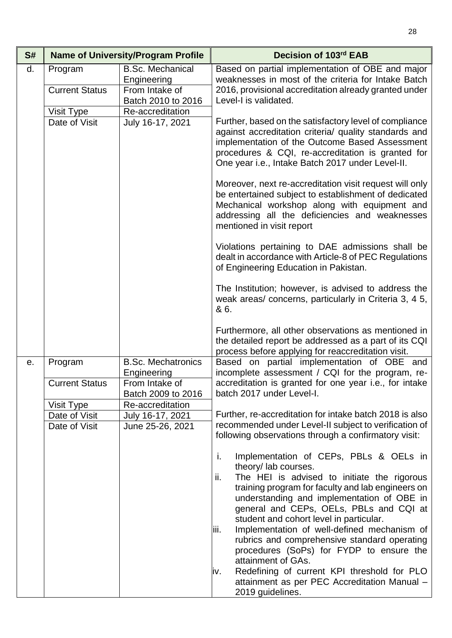| S# |                                  | <b>Name of University/Program Profile</b>                  | Decision of 103rd EAB                                                                                                                                                                                                                                                                                                                                                                                                                                                                                                                                                                                                  |
|----|----------------------------------|------------------------------------------------------------|------------------------------------------------------------------------------------------------------------------------------------------------------------------------------------------------------------------------------------------------------------------------------------------------------------------------------------------------------------------------------------------------------------------------------------------------------------------------------------------------------------------------------------------------------------------------------------------------------------------------|
| d. | Program<br><b>Current Status</b> | <b>B.Sc. Mechanical</b><br>Engineering<br>From Intake of   | Based on partial implementation of OBE and major<br>weaknesses in most of the criteria for Intake Batch<br>2016, provisional accreditation already granted under                                                                                                                                                                                                                                                                                                                                                                                                                                                       |
|    |                                  | Batch 2010 to 2016                                         | Level-I is validated.                                                                                                                                                                                                                                                                                                                                                                                                                                                                                                                                                                                                  |
|    | Visit Type<br>Date of Visit      | Re-accreditation<br>July 16-17, 2021                       | Further, based on the satisfactory level of compliance<br>against accreditation criteria/ quality standards and<br>implementation of the Outcome Based Assessment<br>procedures & CQI, re-accreditation is granted for<br>One year i.e., Intake Batch 2017 under Level-II.                                                                                                                                                                                                                                                                                                                                             |
|    |                                  |                                                            | Moreover, next re-accreditation visit request will only<br>be entertained subject to establishment of dedicated<br>Mechanical workshop along with equipment and<br>addressing all the deficiencies and weaknesses<br>mentioned in visit report                                                                                                                                                                                                                                                                                                                                                                         |
|    |                                  |                                                            | Violations pertaining to DAE admissions shall be<br>dealt in accordance with Article-8 of PEC Regulations<br>of Engineering Education in Pakistan.                                                                                                                                                                                                                                                                                                                                                                                                                                                                     |
|    |                                  |                                                            | The Institution; however, is advised to address the<br>weak areas/ concerns, particularly in Criteria 3, 4 5,<br>& 6.                                                                                                                                                                                                                                                                                                                                                                                                                                                                                                  |
|    |                                  |                                                            | Furthermore, all other observations as mentioned in<br>the detailed report be addressed as a part of its CQI<br>process before applying for reaccreditation visit.                                                                                                                                                                                                                                                                                                                                                                                                                                                     |
| е. | Program<br><b>Current Status</b> | <b>B.Sc. Mechatronics</b><br>Engineering<br>From Intake of | Based on partial implementation of OBE and<br>incomplete assessment / CQI for the program, re-<br>accreditation is granted for one year <i>i.e.</i> , for intake                                                                                                                                                                                                                                                                                                                                                                                                                                                       |
|    |                                  | Batch 2009 to 2016                                         | batch 2017 under Level-I.                                                                                                                                                                                                                                                                                                                                                                                                                                                                                                                                                                                              |
|    | Visit Type<br>Date of Visit      | Re-accreditation<br>July 16-17, 2021                       | Further, re-accreditation for intake batch 2018 is also                                                                                                                                                                                                                                                                                                                                                                                                                                                                                                                                                                |
|    | Date of Visit                    | June 25-26, 2021                                           | recommended under Level-II subject to verification of<br>following observations through a confirmatory visit:                                                                                                                                                                                                                                                                                                                                                                                                                                                                                                          |
|    |                                  |                                                            | i.<br>Implementation of CEPs, PBLs & OELs in<br>theory/lab courses.<br>The HEI is advised to initiate the rigorous<br>ii.<br>training program for faculty and lab engineers on<br>understanding and implementation of OBE in<br>general and CEPs, OELs, PBLs and CQI at<br>student and cohort level in particular.<br>Implementation of well-defined mechanism of<br>liii.<br>rubrics and comprehensive standard operating<br>procedures (SoPs) for FYDP to ensure the<br>attainment of GAs.<br>Redefining of current KPI threshold for PLO<br>iv.<br>attainment as per PEC Accreditation Manual -<br>2019 guidelines. |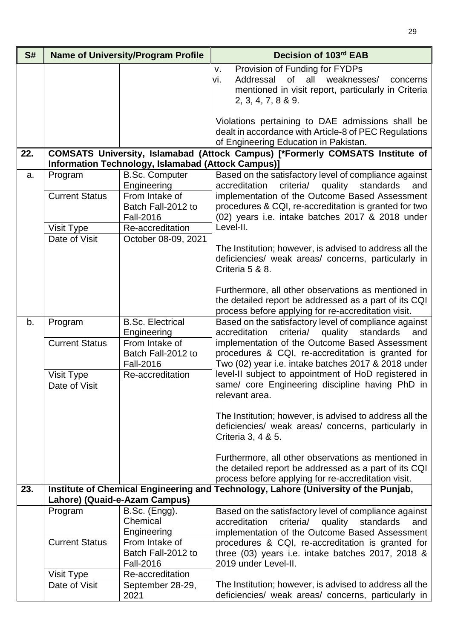| S#  |                                                                                                                                            | <b>Name of University/Program Profile</b>                  | Decision of 103rd EAB                                                                                                                                                   |
|-----|--------------------------------------------------------------------------------------------------------------------------------------------|------------------------------------------------------------|-------------------------------------------------------------------------------------------------------------------------------------------------------------------------|
|     |                                                                                                                                            |                                                            | Provision of Funding for FYDPs<br>v.<br>of all weaknesses/<br>Addressal<br>vi.<br>concerns<br>mentioned in visit report, particularly in Criteria<br>2, 3, 4, 7, 8 & 9. |
|     |                                                                                                                                            |                                                            | Violations pertaining to DAE admissions shall be<br>dealt in accordance with Article-8 of PEC Regulations<br>of Engineering Education in Pakistan.                      |
| 22. | COMSATS University, Islamabad (Attock Campus) [*Formerly COMSATS Institute of<br><b>Information Technology, Islamabad (Attock Campus)]</b> |                                                            |                                                                                                                                                                         |
| a.  | Program<br><b>Current Status</b>                                                                                                           | <b>B.Sc. Computer</b><br>Engineering<br>From Intake of     | Based on the satisfactory level of compliance against<br>criteria/ quality standards<br>accreditation<br>and<br>implementation of the Outcome Based Assessment          |
|     | Visit Type                                                                                                                                 | Batch Fall-2012 to<br><b>Fall-2016</b><br>Re-accreditation | procedures & CQI, re-accreditation is granted for two<br>(02) years i.e. intake batches 2017 & 2018 under<br>Level-II.                                                  |
|     | Date of Visit                                                                                                                              | October 08-09, 2021                                        | The Institution; however, is advised to address all the<br>deficiencies/ weak areas/ concerns, particularly in<br>Criteria 5 & 8.                                       |
|     |                                                                                                                                            |                                                            | Furthermore, all other observations as mentioned in<br>the detailed report be addressed as a part of its CQI<br>process before applying for re-accreditation visit.     |
| b.  | Program<br><b>Current Status</b>                                                                                                           | <b>B.Sc. Electrical</b><br>Engineering<br>From Intake of   | Based on the satisfactory level of compliance against<br>criteria/<br>quality standards<br>accreditation<br>and<br>implementation of the Outcome Based Assessment       |
|     |                                                                                                                                            | Batch Fall-2012 to<br><b>Fall-2016</b>                     | procedures & CQI, re-accreditation is granted for<br>Two (02) year i.e. intake batches 2017 & 2018 under                                                                |
|     | Visit Type<br>Date of Visit                                                                                                                | Re-accreditation                                           | level-II subject to appointment of HoD registered in<br>same/ core Engineering discipline having PhD in<br>relevant area.                                               |
|     |                                                                                                                                            |                                                            | The Institution; however, is advised to address all the<br>deficiencies/ weak areas/ concerns, particularly in<br>Criteria 3, 4 & 5.                                    |
|     |                                                                                                                                            |                                                            | Furthermore, all other observations as mentioned in<br>the detailed report be addressed as a part of its CQI<br>process before applying for re-accreditation visit.     |
| 23. |                                                                                                                                            | Lahore) (Quaid-e-Azam Campus)                              | Institute of Chemical Engineering and Technology, Lahore (University of the Punjab,                                                                                     |
|     | Program                                                                                                                                    | B.Sc. (Engg).<br>Chemical<br>Engineering                   | Based on the satisfactory level of compliance against<br>criteria/<br>accreditation<br>quality<br>standards<br>and<br>implementation of the Outcome Based Assessment    |
|     | <b>Current Status</b>                                                                                                                      | From Intake of<br>Batch Fall-2012 to<br><b>Fall-2016</b>   | procedures & CQI, re-accreditation is granted for<br>three (03) years i.e. intake batches 2017, 2018 &<br>2019 under Level-II.                                          |
|     | Visit Type<br>Date of Visit                                                                                                                | Re-accreditation<br>September 28-29,                       | The Institution; however, is advised to address all the                                                                                                                 |
|     |                                                                                                                                            | 2021                                                       | deficiencies/ weak areas/ concerns, particularly in                                                                                                                     |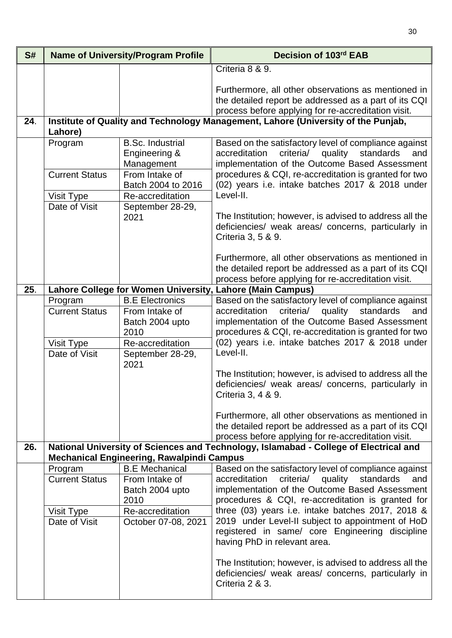| S#  |                                     | <b>Name of University/Program Profile</b>                                | Decision of 103rd EAB                                                                                                                                                                                                                                                                                       |
|-----|-------------------------------------|--------------------------------------------------------------------------|-------------------------------------------------------------------------------------------------------------------------------------------------------------------------------------------------------------------------------------------------------------------------------------------------------------|
|     |                                     |                                                                          | Criteria 8 & 9.                                                                                                                                                                                                                                                                                             |
|     |                                     |                                                                          | Furthermore, all other observations as mentioned in<br>the detailed report be addressed as a part of its CQI<br>process before applying for re-accreditation visit.                                                                                                                                         |
| 24. | Lahore)                             |                                                                          | Institute of Quality and Technology Management, Lahore (University of the Punjab,                                                                                                                                                                                                                           |
|     | Program<br><b>Current Status</b>    | <b>B.Sc. Industrial</b><br>Engineering &<br>Management<br>From Intake of | Based on the satisfactory level of compliance against<br>accreditation<br>criteria/<br>quality<br>standards<br>and<br>implementation of the Outcome Based Assessment<br>procedures & CQI, re-accreditation is granted for two                                                                               |
|     |                                     | Batch 2004 to 2016<br>Re-accreditation                                   | (02) years i.e. intake batches 2017 & 2018 under<br>Level-II.                                                                                                                                                                                                                                               |
|     | Visit Type<br>Date of Visit         | September 28-29,                                                         |                                                                                                                                                                                                                                                                                                             |
|     |                                     | 2021                                                                     | The Institution; however, is advised to address all the<br>deficiencies/ weak areas/ concerns, particularly in<br>Criteria 3, 5 & 9.                                                                                                                                                                        |
|     |                                     |                                                                          | Furthermore, all other observations as mentioned in<br>the detailed report be addressed as a part of its CQI<br>process before applying for re-accreditation visit.                                                                                                                                         |
| 25. |                                     |                                                                          | Lahore College for Women University, Lahore (Main Campus)                                                                                                                                                                                                                                                   |
|     | Program<br><b>Current Status</b>    | <b>B.E Electronics</b><br>From Intake of<br>Batch 2004 upto<br>2010      | Based on the satisfactory level of compliance against<br>accreditation<br>standards<br>criteria/<br>quality<br>and<br>implementation of the Outcome Based Assessment<br>procedures & CQI, re-accreditation is granted for two                                                                               |
|     | Visit Type<br>Date of Visit         | Re-accreditation<br>September 28-29,                                     | (02) years i.e. intake batches 2017 & 2018 under<br>Level-II.                                                                                                                                                                                                                                               |
|     |                                     | 2021                                                                     | The Institution; however, is advised to address all the<br>deficiencies/ weak areas/ concerns, particularly in<br>Criteria 3, 4 & 9.<br>Furthermore, all other observations as mentioned in<br>the detailed report be addressed as a part of its CQI<br>process before applying for re-accreditation visit. |
| 26. |                                     | <b>Mechanical Engineering, Rawalpindi Campus</b>                         | National University of Sciences and Technology, Islamabad - College of Electrical and                                                                                                                                                                                                                       |
|     | Program                             | <b>B.E</b> Mechanical                                                    | Based on the satisfactory level of compliance against                                                                                                                                                                                                                                                       |
|     | <b>Current Status</b><br>Visit Type | From Intake of<br>Batch 2004 upto<br>2010<br>Re-accreditation            | accreditation<br>criteria/<br>quality<br>standards<br>and<br>implementation of the Outcome Based Assessment<br>procedures & CQI, re-accreditation is granted for<br>three (03) years i.e. intake batches 2017, 2018 &                                                                                       |
|     | Date of Visit                       | October 07-08, 2021                                                      | 2019 under Level-II subject to appointment of HoD<br>registered in same/ core Engineering discipline<br>having PhD in relevant area.                                                                                                                                                                        |
|     |                                     |                                                                          | The Institution; however, is advised to address all the<br>deficiencies/ weak areas/ concerns, particularly in<br>Criteria 2 & 3.                                                                                                                                                                           |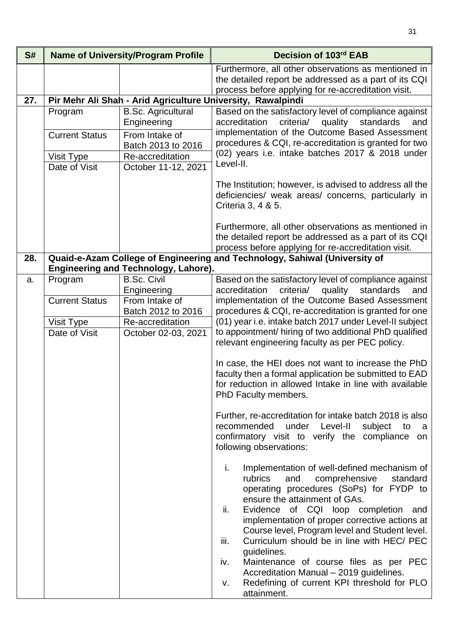| S#  |                             | <b>Name of University/Program Profile</b>                  | Decision of 103rd EAB                                                                                                                                                                                                                                                                                                                                                                                                                                                                                                                                               |
|-----|-----------------------------|------------------------------------------------------------|---------------------------------------------------------------------------------------------------------------------------------------------------------------------------------------------------------------------------------------------------------------------------------------------------------------------------------------------------------------------------------------------------------------------------------------------------------------------------------------------------------------------------------------------------------------------|
|     |                             |                                                            | Furthermore, all other observations as mentioned in<br>the detailed report be addressed as a part of its CQI                                                                                                                                                                                                                                                                                                                                                                                                                                                        |
|     |                             |                                                            | process before applying for re-accreditation visit.                                                                                                                                                                                                                                                                                                                                                                                                                                                                                                                 |
| 27. |                             |                                                            | Pir Mehr Ali Shah - Arid Agriculture University, Rawalpindi                                                                                                                                                                                                                                                                                                                                                                                                                                                                                                         |
|     | Program                     | <b>B.Sc. Agricultural</b><br>Engineering                   | Based on the satisfactory level of compliance against<br>criteria/<br>quality<br>standards<br>accreditation<br>and                                                                                                                                                                                                                                                                                                                                                                                                                                                  |
|     | <b>Current Status</b>       | From Intake of                                             | implementation of the Outcome Based Assessment                                                                                                                                                                                                                                                                                                                                                                                                                                                                                                                      |
|     |                             | Batch 2013 to 2016                                         | procedures & CQI, re-accreditation is granted for two                                                                                                                                                                                                                                                                                                                                                                                                                                                                                                               |
|     | <b>Visit Type</b>           | Re-accreditation                                           | (02) years i.e. intake batches 2017 & 2018 under<br>Level-II.                                                                                                                                                                                                                                                                                                                                                                                                                                                                                                       |
|     | Date of Visit               | October 11-12, 2021                                        |                                                                                                                                                                                                                                                                                                                                                                                                                                                                                                                                                                     |
|     |                             |                                                            | The Institution; however, is advised to address all the<br>deficiencies/ weak areas/ concerns, particularly in<br>Criteria 3, 4 & 5.                                                                                                                                                                                                                                                                                                                                                                                                                                |
|     |                             |                                                            | Furthermore, all other observations as mentioned in<br>the detailed report be addressed as a part of its CQI<br>process before applying for re-accreditation visit.                                                                                                                                                                                                                                                                                                                                                                                                 |
| 28. |                             |                                                            | Quaid-e-Azam College of Engineering and Technology, Sahiwal (University of                                                                                                                                                                                                                                                                                                                                                                                                                                                                                          |
|     |                             | Engineering and Technology, Lahore).<br><b>B.Sc. Civil</b> |                                                                                                                                                                                                                                                                                                                                                                                                                                                                                                                                                                     |
| a.  | Program                     | Engineering                                                | Based on the satisfactory level of compliance against<br>accreditation<br>criteria/<br>quality<br>standards<br>and                                                                                                                                                                                                                                                                                                                                                                                                                                                  |
|     | <b>Current Status</b>       | From Intake of                                             | implementation of the Outcome Based Assessment                                                                                                                                                                                                                                                                                                                                                                                                                                                                                                                      |
|     |                             | Batch 2012 to 2016<br>Re-accreditation                     | procedures & CQI, re-accreditation is granted for one<br>(01) year i.e. intake batch 2017 under Level-II subject                                                                                                                                                                                                                                                                                                                                                                                                                                                    |
|     | Visit Type<br>Date of Visit | October 02-03, 2021                                        | to appointment/ hiring of two additional PhD qualified<br>relevant engineering faculty as per PEC policy.                                                                                                                                                                                                                                                                                                                                                                                                                                                           |
|     |                             |                                                            | In case, the HEI does not want to increase the PhD<br>faculty then a formal application be submitted to EAD<br>for reduction in allowed Intake in line with available<br>PhD Faculty members.                                                                                                                                                                                                                                                                                                                                                                       |
|     |                             |                                                            | Further, re-accreditation for intake batch 2018 is also<br>recommended under Level-II<br>subject<br>to<br>- a<br>confirmatory visit to verify the compliance<br>on<br>following observations:                                                                                                                                                                                                                                                                                                                                                                       |
|     |                             |                                                            | i.<br>Implementation of well-defined mechanism of<br>rubrics<br>comprehensive<br>standard<br>and<br>operating procedures (SoPs) for FYDP to<br>ensure the attainment of GAs.<br>ii.<br>Evidence of CQI loop completion and<br>implementation of proper corrective actions at<br>Course level, Program level and Student level.<br>iii.<br>Curriculum should be in line with HEC/ PEC<br>guidelines.<br>Maintenance of course files as per PEC<br>iv.<br>Accreditation Manual - 2019 guidelines.<br>Redefining of current KPI threshold for PLO<br>v.<br>attainment. |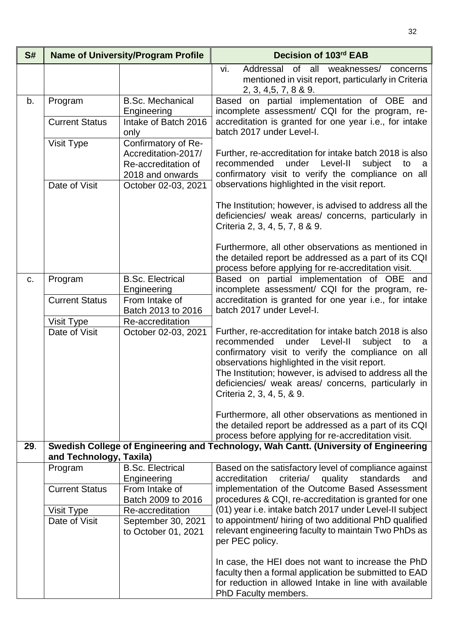| S#                                     |                                        | <b>Name of University/Program Profile</b>                                                     | Decision of 103rd EAB                                                                                                                                                                                                                                                                                                                                                     |
|----------------------------------------|----------------------------------------|-----------------------------------------------------------------------------------------------|---------------------------------------------------------------------------------------------------------------------------------------------------------------------------------------------------------------------------------------------------------------------------------------------------------------------------------------------------------------------------|
|                                        |                                        |                                                                                               | vi.<br>Addressal of all weaknesses/ concerns<br>mentioned in visit report, particularly in Criteria<br>2, 3, 4, 5, 7, 8 & 9.                                                                                                                                                                                                                                              |
| b.                                     | Program                                | <b>B.Sc. Mechanical</b><br>Engineering                                                        | Based on partial implementation of OBE and<br>incomplete assessment/ CQI for the program, re-                                                                                                                                                                                                                                                                             |
|                                        | <b>Current Status</b>                  | Intake of Batch 2016<br>only                                                                  | accreditation is granted for one year i.e., for intake<br>batch 2017 under Level-I.                                                                                                                                                                                                                                                                                       |
|                                        | Visit Type                             | Confirmatory of Re-<br>Accreditation-2017/                                                    | Further, re-accreditation for intake batch 2018 is also                                                                                                                                                                                                                                                                                                                   |
|                                        |                                        | Re-accreditation of<br>2018 and onwards                                                       | recommended<br>under<br>Level-II<br>subject<br>to<br>- a<br>confirmatory visit to verify the compliance on all<br>observations highlighted in the visit report.                                                                                                                                                                                                           |
|                                        | Date of Visit                          | October 02-03, 2021                                                                           |                                                                                                                                                                                                                                                                                                                                                                           |
|                                        |                                        |                                                                                               | The Institution; however, is advised to address all the<br>deficiencies/ weak areas/ concerns, particularly in<br>Criteria 2, 3, 4, 5, 7, 8 & 9.                                                                                                                                                                                                                          |
|                                        |                                        |                                                                                               | Furthermore, all other observations as mentioned in<br>the detailed report be addressed as a part of its CQI<br>process before applying for re-accreditation visit.                                                                                                                                                                                                       |
| Program<br>C.<br><b>Current Status</b> | <b>B.Sc. Electrical</b><br>Engineering | Based on partial implementation of OBE and<br>incomplete assessment/ CQI for the program, re- |                                                                                                                                                                                                                                                                                                                                                                           |
|                                        |                                        | From Intake of<br>Batch 2013 to 2016                                                          | accreditation is granted for one year i.e., for intake<br>batch 2017 under Level-I.                                                                                                                                                                                                                                                                                       |
|                                        | Visit Type                             | Re-accreditation                                                                              |                                                                                                                                                                                                                                                                                                                                                                           |
|                                        | Date of Visit                          | October 02-03, 2021                                                                           | Further, re-accreditation for intake batch 2018 is also<br>Level-II<br>recommended<br>under<br>subject<br>to<br>- a<br>confirmatory visit to verify the compliance on all<br>observations highlighted in the visit report.<br>The Institution; however, is advised to address all the<br>deficiencies/ weak areas/ concerns, particularly in<br>Criteria 2, 3, 4, 5, & 9. |
|                                        |                                        |                                                                                               | Furthermore, all other observations as mentioned in<br>the detailed report be addressed as a part of its CQI<br>process before applying for re-accreditation visit.                                                                                                                                                                                                       |
| 29.                                    | and Technology, Taxila)                |                                                                                               | Swedish College of Engineering and Technology, Wah Cantt. (University of Engineering                                                                                                                                                                                                                                                                                      |
|                                        | Program                                | <b>B.Sc. Electrical</b>                                                                       | Based on the satisfactory level of compliance against<br>accreditation<br>and                                                                                                                                                                                                                                                                                             |
|                                        | <b>Current Status</b>                  | Engineering<br>From Intake of                                                                 | criteria/ quality standards<br>implementation of the Outcome Based Assessment                                                                                                                                                                                                                                                                                             |
|                                        |                                        | Batch 2009 to 2016                                                                            | procedures & CQI, re-accreditation is granted for one                                                                                                                                                                                                                                                                                                                     |
|                                        | Visit Type                             | Re-accreditation                                                                              | (01) year i.e. intake batch 2017 under Level-II subject<br>to appointment/ hiring of two additional PhD qualified                                                                                                                                                                                                                                                         |
|                                        | Date of Visit                          | September 30, 2021<br>to October 01, 2021                                                     | relevant engineering faculty to maintain Two PhDs as<br>per PEC policy.                                                                                                                                                                                                                                                                                                   |
|                                        |                                        |                                                                                               | In case, the HEI does not want to increase the PhD<br>faculty then a formal application be submitted to EAD<br>for reduction in allowed Intake in line with available<br>PhD Faculty members.                                                                                                                                                                             |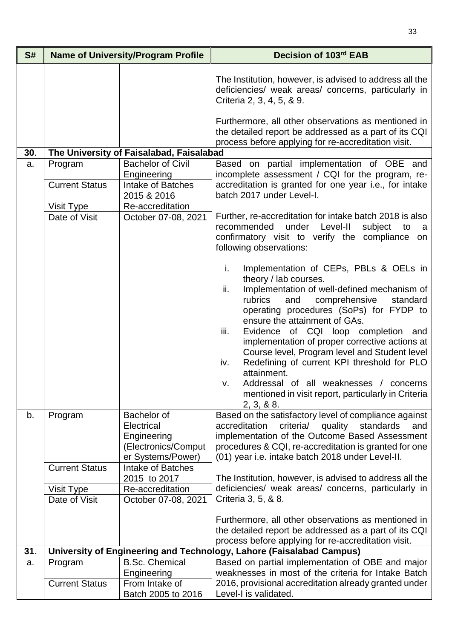| S#  |                                  | <b>Name of University/Program Profile</b>                                                   | Decision of 103rd EAB                                                                                                                                                                                                                                                                                                                                                                                                                                                                                                                                                                               |
|-----|----------------------------------|---------------------------------------------------------------------------------------------|-----------------------------------------------------------------------------------------------------------------------------------------------------------------------------------------------------------------------------------------------------------------------------------------------------------------------------------------------------------------------------------------------------------------------------------------------------------------------------------------------------------------------------------------------------------------------------------------------------|
|     |                                  |                                                                                             | The Institution, however, is advised to address all the<br>deficiencies/ weak areas/ concerns, particularly in<br>Criteria 2, 3, 4, 5, & 9.<br>Furthermore, all other observations as mentioned in                                                                                                                                                                                                                                                                                                                                                                                                  |
| 30. |                                  | The University of Faisalabad, Faisalabad                                                    | the detailed report be addressed as a part of its CQI<br>process before applying for re-accreditation visit.                                                                                                                                                                                                                                                                                                                                                                                                                                                                                        |
|     |                                  | <b>Bachelor of Civil</b>                                                                    |                                                                                                                                                                                                                                                                                                                                                                                                                                                                                                                                                                                                     |
| a.  | Program<br><b>Current Status</b> | Engineering<br>Intake of Batches                                                            | Based on partial implementation of OBE and<br>incomplete assessment / CQI for the program, re-<br>accreditation is granted for one year i.e., for intake                                                                                                                                                                                                                                                                                                                                                                                                                                            |
|     |                                  | 2015 & 2016                                                                                 | batch 2017 under Level-I.                                                                                                                                                                                                                                                                                                                                                                                                                                                                                                                                                                           |
|     | Visit Type<br>Date of Visit      | Re-accreditation<br>October 07-08, 2021                                                     | Further, re-accreditation for intake batch 2018 is also<br>recommended<br>under<br>Level-II<br>subject<br>to<br>a<br>confirmatory visit to verify the compliance<br>on<br>following observations:                                                                                                                                                                                                                                                                                                                                                                                                   |
|     |                                  |                                                                                             | Implementation of CEPs, PBLs & OELs in<br>i.<br>theory / lab courses.<br>ii.<br>Implementation of well-defined mechanism of<br>rubrics<br>comprehensive<br>standard<br>and<br>operating procedures (SoPs) for FYDP to<br>ensure the attainment of GAs.<br>iii.<br>Evidence of CQI loop completion and<br>implementation of proper corrective actions at<br>Course level, Program level and Student level<br>Redefining of current KPI threshold for PLO<br>iv.<br>attainment.<br>Addressal of all weaknesses / concerns<br>v.<br>mentioned in visit report, particularly in Criteria<br>2, 3, 8, 8. |
| b.  | Program                          | <b>Bachelor of</b><br>Electrical<br>Engineering<br>(Electronics/Comput<br>er Systems/Power) | Based on the satisfactory level of compliance against<br>criteria/<br>standards<br>accreditation<br>quality<br>and<br>implementation of the Outcome Based Assessment<br>procedures & CQI, re-accreditation is granted for one<br>(01) year i.e. intake batch 2018 under Level-II.                                                                                                                                                                                                                                                                                                                   |
|     | <b>Current Status</b>            | Intake of Batches<br>2015 to 2017                                                           |                                                                                                                                                                                                                                                                                                                                                                                                                                                                                                                                                                                                     |
|     | Visit Type                       | Re-accreditation                                                                            | The Institution, however, is advised to address all the<br>deficiencies/ weak areas/ concerns, particularly in                                                                                                                                                                                                                                                                                                                                                                                                                                                                                      |
|     | Date of Visit                    | October 07-08, 2021                                                                         | Criteria 3, 5, & 8.                                                                                                                                                                                                                                                                                                                                                                                                                                                                                                                                                                                 |
|     |                                  |                                                                                             | Furthermore, all other observations as mentioned in<br>the detailed report be addressed as a part of its CQI<br>process before applying for re-accreditation visit.                                                                                                                                                                                                                                                                                                                                                                                                                                 |
| 31. |                                  |                                                                                             | University of Engineering and Technology, Lahore (Faisalabad Campus)                                                                                                                                                                                                                                                                                                                                                                                                                                                                                                                                |
| a.  | Program<br><b>Current Status</b> | <b>B.Sc. Chemical</b><br>Engineering<br>From Intake of<br>Batch 2005 to 2016                | Based on partial implementation of OBE and major<br>weaknesses in most of the criteria for Intake Batch<br>2016, provisional accreditation already granted under<br>Level-I is validated.                                                                                                                                                                                                                                                                                                                                                                                                           |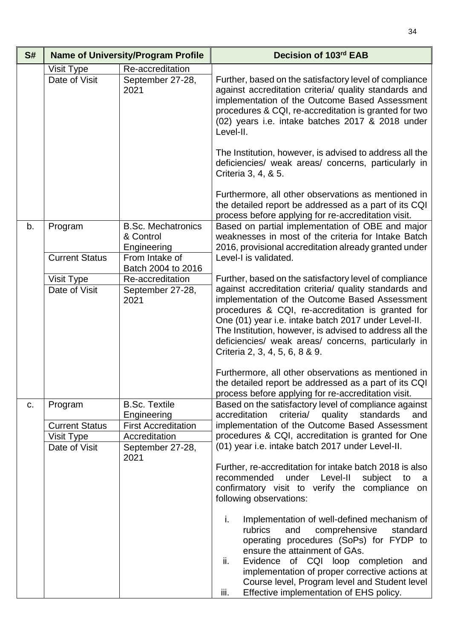| S# | <b>Name of University/Program Profile</b>                       |                                                                                                                                               | Decision of 103rd EAB                                                                                                                                                                                                                                                                                                                                                                                                                                                                                                                                                                                                                                                                                                                                                                                                                                            |
|----|-----------------------------------------------------------------|-----------------------------------------------------------------------------------------------------------------------------------------------|------------------------------------------------------------------------------------------------------------------------------------------------------------------------------------------------------------------------------------------------------------------------------------------------------------------------------------------------------------------------------------------------------------------------------------------------------------------------------------------------------------------------------------------------------------------------------------------------------------------------------------------------------------------------------------------------------------------------------------------------------------------------------------------------------------------------------------------------------------------|
|    | Visit Type<br>Date of Visit                                     | Re-accreditation<br>September 27-28,<br>2021                                                                                                  | Further, based on the satisfactory level of compliance<br>against accreditation criteria/ quality standards and<br>implementation of the Outcome Based Assessment<br>procedures & CQI, re-accreditation is granted for two<br>(02) years i.e. intake batches 2017 & 2018 under<br>Level-II.<br>The Institution, however, is advised to address all the<br>deficiencies/ weak areas/ concerns, particularly in<br>Criteria 3, 4, & 5.<br>Furthermore, all other observations as mentioned in<br>the detailed report be addressed as a part of its CQI                                                                                                                                                                                                                                                                                                             |
| b. | Program<br><b>Current Status</b><br>Visit Type<br>Date of Visit | <b>B.Sc. Mechatronics</b><br>& Control<br>Engineering<br>From Intake of<br>Batch 2004 to 2016<br>Re-accreditation<br>September 27-28,<br>2021 | process before applying for re-accreditation visit.<br>Based on partial implementation of OBE and major<br>weaknesses in most of the criteria for Intake Batch<br>2016, provisional accreditation already granted under<br>Level-I is validated.<br>Further, based on the satisfactory level of compliance<br>against accreditation criteria/ quality standards and<br>implementation of the Outcome Based Assessment<br>procedures & CQI, re-accreditation is granted for<br>One (01) year i.e. intake batch 2017 under Level-II.<br>The Institution, however, is advised to address all the<br>deficiencies/ weak areas/ concerns, particularly in<br>Criteria 2, 3, 4, 5, 6, 8 & 9.<br>Furthermore, all other observations as mentioned in<br>the detailed report be addressed as a part of its CQI<br>process before applying for re-accreditation visit.    |
| C. | Program<br><b>Current Status</b><br>Visit Type<br>Date of Visit | <b>B.Sc. Textile</b><br>Engineering<br><b>First Accreditation</b><br>Accreditation<br>September 27-28,<br>2021                                | Based on the satisfactory level of compliance against<br>accreditation<br>criteria/ quality standards<br>and<br>implementation of the Outcome Based Assessment<br>procedures & CQI, accreditation is granted for One<br>(01) year i.e. intake batch 2017 under Level-II.<br>Further, re-accreditation for intake batch 2018 is also<br>recommended<br>under<br>Level-II<br>subject<br>to<br>- a<br>confirmatory visit to verify the compliance on<br>following observations:<br>Implementation of well-defined mechanism of<br>i.<br>comprehensive<br>rubrics<br>and<br>standard<br>operating procedures (SoPs) for FYDP to<br>ensure the attainment of GAs.<br>ii.<br>Evidence of CQI loop completion and<br>implementation of proper corrective actions at<br>Course level, Program level and Student level<br>Effective implementation of EHS policy.<br>iii. |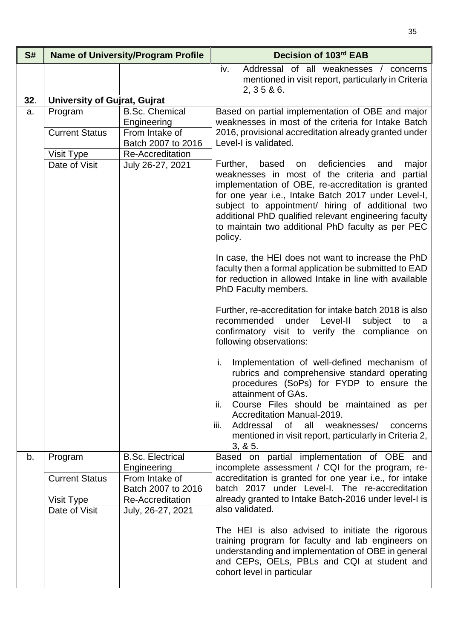| S#  |                                     | <b>Name of University/Program Profile</b>              | Decision of 103rd EAB                                                                                                                                                                                                                                                                                                                                                                                  |
|-----|-------------------------------------|--------------------------------------------------------|--------------------------------------------------------------------------------------------------------------------------------------------------------------------------------------------------------------------------------------------------------------------------------------------------------------------------------------------------------------------------------------------------------|
|     |                                     |                                                        | iv.<br>Addressal of all weaknesses / concerns<br>mentioned in visit report, particularly in Criteria<br>2, 35 & 6.                                                                                                                                                                                                                                                                                     |
| 32. | <b>University of Gujrat, Gujrat</b> |                                                        |                                                                                                                                                                                                                                                                                                                                                                                                        |
| a.  | Program<br><b>Current Status</b>    | <b>B.Sc. Chemical</b><br>Engineering<br>From Intake of | Based on partial implementation of OBE and major<br>weaknesses in most of the criteria for Intake Batch<br>2016, provisional accreditation already granted under                                                                                                                                                                                                                                       |
|     |                                     | Batch 2007 to 2016                                     | Level-I is validated.                                                                                                                                                                                                                                                                                                                                                                                  |
|     | Visit Type<br>Date of Visit         | Re-Accreditation<br>July 26-27, 2021                   | Further,<br>based<br>deficiencies<br>major<br>on<br>and<br>weaknesses in most of the criteria and<br>partial<br>implementation of OBE, re-accreditation is granted<br>for one year i.e., Intake Batch 2017 under Level-I,<br>subject to appointment/ hiring of additional two<br>additional PhD qualified relevant engineering faculty<br>to maintain two additional PhD faculty as per PEC<br>policy. |
|     |                                     |                                                        | In case, the HEI does not want to increase the PhD<br>faculty then a formal application be submitted to EAD<br>for reduction in allowed Intake in line with available<br>PhD Faculty members.                                                                                                                                                                                                          |
|     |                                     |                                                        | Further, re-accreditation for intake batch 2018 is also<br>under Level-II<br>recommended<br>subject<br>to<br>a a<br>confirmatory visit to verify the compliance on<br>following observations:                                                                                                                                                                                                          |
|     |                                     |                                                        | Implementation of well-defined mechanism of<br>i.<br>rubrics and comprehensive standard operating<br>procedures (SoPs) for FYDP to ensure the<br>attainment of GAs.<br>ii.<br>Course Files should be maintained as per<br><b>Accreditation Manual-2019.</b><br>iii.<br>Addressal of all weaknesses/<br>concerns<br>mentioned in visit report, particularly in Criteria 2,<br>3, 8, 5.                  |
| b.  | Program                             | <b>B.Sc. Electrical</b><br>Engineering                 | Based on partial implementation of OBE and<br>incomplete assessment / CQI for the program, re-                                                                                                                                                                                                                                                                                                         |
|     | <b>Current Status</b>               | From Intake of<br>Batch 2007 to 2016                   | accreditation is granted for one year i.e., for intake<br>batch 2017 under Level-I. The re-accreditation                                                                                                                                                                                                                                                                                               |
|     | Visit Type<br>Date of Visit         | <b>Re-Accreditation</b><br>July, 26-27, 2021           | already granted to Intake Batch-2016 under level-I is<br>also validated.                                                                                                                                                                                                                                                                                                                               |
|     |                                     |                                                        | The HEI is also advised to initiate the rigorous<br>training program for faculty and lab engineers on<br>understanding and implementation of OBE in general<br>and CEPs, OELs, PBLs and CQI at student and<br>cohort level in particular                                                                                                                                                               |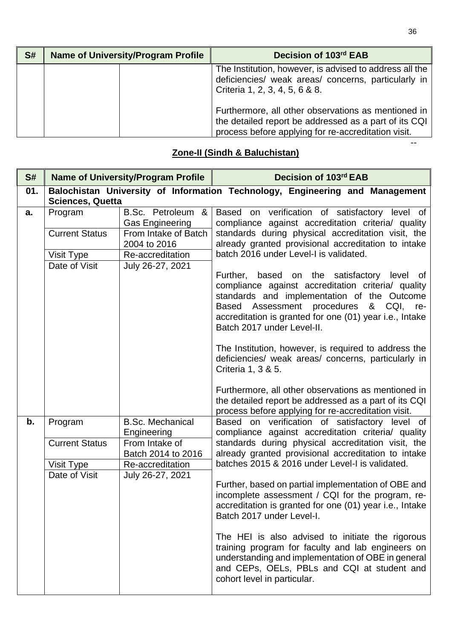| S# | <b>Name of University/Program Profile</b> | Decision of 103rd EAB                                                                                                                                               |
|----|-------------------------------------------|---------------------------------------------------------------------------------------------------------------------------------------------------------------------|
|    |                                           | The Institution, however, is advised to address all the<br>deficiencies/ weak areas/ concerns, particularly in<br>Criteria 1, 2, 3, 4, 5, 6 & 8.                    |
|    |                                           | Furthermore, all other observations as mentioned in<br>the detailed report be addressed as a part of its CQI<br>process before applying for re-accreditation visit. |

## **Zone-II (Sindh & Baluchistan)**

| S#  | <b>Name of University/Program Profile</b>                                                               |                                                          | Decision of 103rd EAB                                                                                                                                                                                                                                                                                                                                                                                                             |
|-----|---------------------------------------------------------------------------------------------------------|----------------------------------------------------------|-----------------------------------------------------------------------------------------------------------------------------------------------------------------------------------------------------------------------------------------------------------------------------------------------------------------------------------------------------------------------------------------------------------------------------------|
| 01. | Balochistan University of Information Technology, Engineering and Management<br><b>Sciences, Quetta</b> |                                                          |                                                                                                                                                                                                                                                                                                                                                                                                                                   |
| a.  | Program                                                                                                 | B.Sc. Petroleum &<br><b>Gas Engineering</b>              | Based on verification of satisfactory level of<br>compliance against accreditation criteria/ quality                                                                                                                                                                                                                                                                                                                              |
|     | <b>Current Status</b>                                                                                   | From Intake of Batch<br>2004 to 2016                     | standards during physical accreditation visit, the<br>already granted provisional accreditation to intake                                                                                                                                                                                                                                                                                                                         |
|     | Visit Type                                                                                              | Re-accreditation                                         | batch 2016 under Level-I is validated.                                                                                                                                                                                                                                                                                                                                                                                            |
|     | Date of Visit                                                                                           | July 26-27, 2021                                         | Further, based on the satisfactory level of<br>compliance against accreditation criteria/ quality<br>standards and implementation of the Outcome<br>Assessment procedures<br>Based<br>& CQI,<br>re-<br>accreditation is granted for one (01) year i.e., Intake<br>Batch 2017 under Level-II.<br>The Institution, however, is required to address the<br>deficiencies/ weak areas/ concerns, particularly in<br>Criteria 1, 3 & 5. |
|     |                                                                                                         |                                                          | Furthermore, all other observations as mentioned in<br>the detailed report be addressed as a part of its CQI<br>process before applying for re-accreditation visit.                                                                                                                                                                                                                                                               |
| b.  | Program<br><b>Current Status</b>                                                                        | <b>B.Sc. Mechanical</b><br>Engineering<br>From Intake of | Based on verification of satisfactory level of<br>compliance against accreditation criteria/ quality<br>standards during physical accreditation visit, the                                                                                                                                                                                                                                                                        |
|     |                                                                                                         | Batch 2014 to 2016                                       | already granted provisional accreditation to intake                                                                                                                                                                                                                                                                                                                                                                               |
|     | Visit Type                                                                                              | Re-accreditation                                         | batches 2015 & 2016 under Level-I is validated.                                                                                                                                                                                                                                                                                                                                                                                   |
|     | Date of Visit                                                                                           | July 26-27, 2021                                         | Further, based on partial implementation of OBE and<br>incomplete assessment / CQI for the program, re-<br>accreditation is granted for one (01) year i.e., Intake<br>Batch 2017 under Level-I.                                                                                                                                                                                                                                   |
|     |                                                                                                         |                                                          | The HEI is also advised to initiate the rigorous<br>training program for faculty and lab engineers on<br>understanding and implementation of OBE in general<br>and CEPs, OELs, PBLs and CQI at student and<br>cohort level in particular.                                                                                                                                                                                         |

--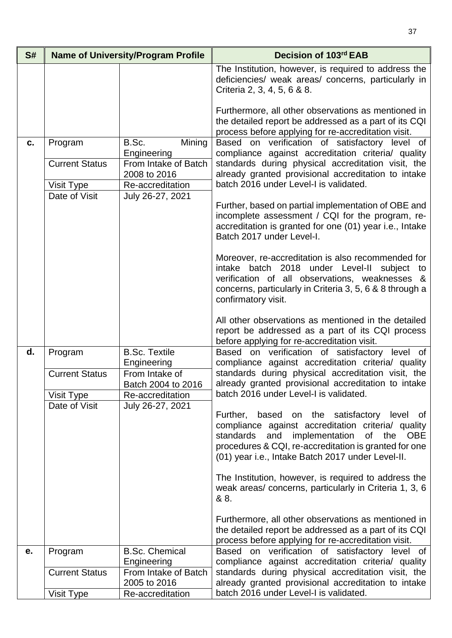| S# |                                     | <b>Name of University/Program Profile</b>                | Decision of 103rd EAB                                                                                                                                                                                                                                               |
|----|-------------------------------------|----------------------------------------------------------|---------------------------------------------------------------------------------------------------------------------------------------------------------------------------------------------------------------------------------------------------------------------|
|    |                                     |                                                          | The Institution, however, is required to address the<br>deficiencies/ weak areas/ concerns, particularly in<br>Criteria 2, 3, 4, 5, 6 & 8.                                                                                                                          |
|    |                                     |                                                          | Furthermore, all other observations as mentioned in<br>the detailed report be addressed as a part of its CQI<br>process before applying for re-accreditation visit.                                                                                                 |
| C. | Program                             | Mining<br>B.Sc.<br>Engineering                           | Based on verification of satisfactory level of<br>compliance against accreditation criteria/ quality                                                                                                                                                                |
|    | <b>Current Status</b><br>Visit Type | From Intake of Batch<br>2008 to 2016<br>Re-accreditation | standards during physical accreditation visit, the<br>already granted provisional accreditation to intake<br>batch 2016 under Level-I is validated.                                                                                                                 |
|    | Date of Visit                       | July 26-27, 2021                                         |                                                                                                                                                                                                                                                                     |
|    |                                     |                                                          | Further, based on partial implementation of OBE and<br>incomplete assessment / CQI for the program, re-<br>accreditation is granted for one (01) year i.e., Intake<br>Batch 2017 under Level-I.                                                                     |
|    |                                     |                                                          | Moreover, re-accreditation is also recommended for<br>intake batch 2018 under Level-II subject to<br>verification of all observations, weaknesses &<br>concerns, particularly in Criteria 3, 5, 6 & 8 through a<br>confirmatory visit.                              |
|    |                                     |                                                          | All other observations as mentioned in the detailed<br>report be addressed as a part of its CQI process<br>before applying for re-accreditation visit.                                                                                                              |
| d. | Program<br><b>Current Status</b>    | <b>B.Sc. Textile</b><br>Engineering<br>From Intake of    | Based on verification of satisfactory level of<br>compliance against accreditation criteria/ quality<br>standards during physical accreditation visit, the                                                                                                          |
|    | Visit Type                          | Batch 2004 to 2016<br>Re-accreditation                   | already granted provisional accreditation to intake<br>batch 2016 under Level-I is validated.                                                                                                                                                                       |
|    | Date of Visit                       | July 26-27, 2021                                         | Further, based on the satisfactory level of<br>compliance against accreditation criteria/ quality<br>standards<br>and implementation<br>of<br>the OBE<br>procedures & CQI, re-accreditation is granted for one<br>(01) year i.e., Intake Batch 2017 under Level-II. |
|    |                                     |                                                          | The Institution, however, is required to address the<br>weak areas/concerns, particularly in Criteria 1, 3, 6<br>& 8.                                                                                                                                               |
|    |                                     |                                                          | Furthermore, all other observations as mentioned in<br>the detailed report be addressed as a part of its CQI<br>process before applying for re-accreditation visit.                                                                                                 |
| е. | Program                             | <b>B.Sc. Chemical</b>                                    | Based on verification of satisfactory level of                                                                                                                                                                                                                      |
|    | <b>Current Status</b>               | Engineering<br>From Intake of Batch                      | compliance against accreditation criteria/ quality<br>standards during physical accreditation visit, the                                                                                                                                                            |
|    |                                     | 2005 to 2016                                             | already granted provisional accreditation to intake                                                                                                                                                                                                                 |
|    | Visit Type                          | Re-accreditation                                         | batch 2016 under Level-I is validated.                                                                                                                                                                                                                              |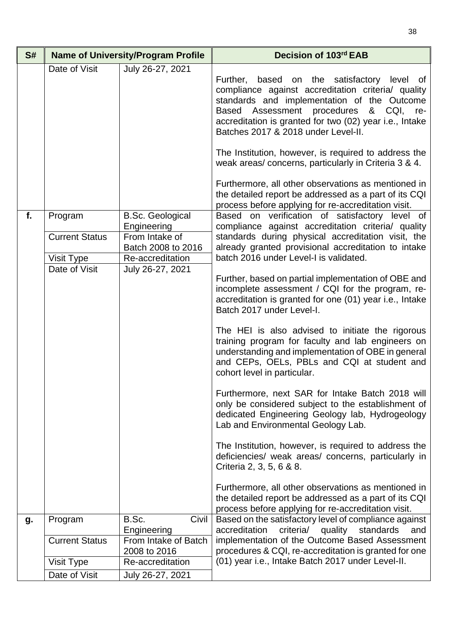| S# | <b>Name of University/Program Profile</b>                       |                                                                                                                        | Decision of 103rd EAB                                                                                                                                                                                                                                                                                                                                                                                                                                                                                                                                                                                                                                                                                                                                                                                                                                                                                                                                                                                                                                                                                                                                                                                                            |
|----|-----------------------------------------------------------------|------------------------------------------------------------------------------------------------------------------------|----------------------------------------------------------------------------------------------------------------------------------------------------------------------------------------------------------------------------------------------------------------------------------------------------------------------------------------------------------------------------------------------------------------------------------------------------------------------------------------------------------------------------------------------------------------------------------------------------------------------------------------------------------------------------------------------------------------------------------------------------------------------------------------------------------------------------------------------------------------------------------------------------------------------------------------------------------------------------------------------------------------------------------------------------------------------------------------------------------------------------------------------------------------------------------------------------------------------------------|
|    | Date of Visit                                                   | July 26-27, 2021                                                                                                       | Further, based on the satisfactory level of<br>compliance against accreditation criteria/ quality<br>standards and implementation of the Outcome<br>Based Assessment procedures & CQI, re-<br>accreditation is granted for two (02) year i.e., Intake<br>Batches 2017 & 2018 under Level-II.<br>The Institution, however, is required to address the<br>weak areas/concerns, particularly in Criteria 3 & 4.<br>Furthermore, all other observations as mentioned in<br>the detailed report be addressed as a part of its CQI                                                                                                                                                                                                                                                                                                                                                                                                                                                                                                                                                                                                                                                                                                     |
| f. | Program<br><b>Current Status</b><br>Visit Type<br>Date of Visit | <b>B.Sc. Geological</b><br>Engineering<br>From Intake of<br>Batch 2008 to 2016<br>Re-accreditation<br>July 26-27, 2021 | process before applying for re-accreditation visit.<br>Based on verification of satisfactory level of<br>compliance against accreditation criteria/ quality<br>standards during physical accreditation visit, the<br>already granted provisional accreditation to intake<br>batch 2016 under Level-I is validated.<br>Further, based on partial implementation of OBE and<br>incomplete assessment / CQI for the program, re-<br>accreditation is granted for one (01) year i.e., Intake<br>Batch 2017 under Level-I.<br>The HEI is also advised to initiate the rigorous<br>training program for faculty and lab engineers on<br>understanding and implementation of OBE in general<br>and CEPs, OELs, PBLs and CQI at student and<br>cohort level in particular.<br>Furthermore, next SAR for Intake Batch 2018 will<br>only be considered subject to the establishment of<br>dedicated Engineering Geology lab, Hydrogeology<br>Lab and Environmental Geology Lab.<br>The Institution, however, is required to address the<br>deficiencies/ weak areas/ concerns, particularly in<br>Criteria 2, 3, 5, 6 & 8.<br>Furthermore, all other observations as mentioned in<br>the detailed report be addressed as a part of its CQI |
| g. | Program                                                         | B.Sc.<br>Civil<br>Engineering                                                                                          | process before applying for re-accreditation visit.<br>Based on the satisfactory level of compliance against<br>criteria/<br>accreditation<br>quality<br>standards<br>and                                                                                                                                                                                                                                                                                                                                                                                                                                                                                                                                                                                                                                                                                                                                                                                                                                                                                                                                                                                                                                                        |
|    | <b>Current Status</b>                                           | From Intake of Batch<br>2008 to 2016                                                                                   | implementation of the Outcome Based Assessment<br>procedures & CQI, re-accreditation is granted for one                                                                                                                                                                                                                                                                                                                                                                                                                                                                                                                                                                                                                                                                                                                                                                                                                                                                                                                                                                                                                                                                                                                          |
|    | Visit Type                                                      | Re-accreditation                                                                                                       | (01) year i.e., Intake Batch 2017 under Level-II.                                                                                                                                                                                                                                                                                                                                                                                                                                                                                                                                                                                                                                                                                                                                                                                                                                                                                                                                                                                                                                                                                                                                                                                |
|    | Date of Visit                                                   | July 26-27, 2021                                                                                                       |                                                                                                                                                                                                                                                                                                                                                                                                                                                                                                                                                                                                                                                                                                                                                                                                                                                                                                                                                                                                                                                                                                                                                                                                                                  |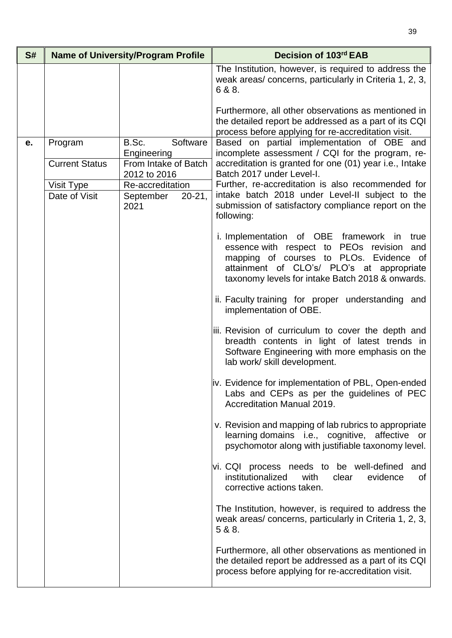| S# |                       | <b>Name of University/Program Profile</b> | Decision of 103rd EAB                                                                                                                                                                                                                     |
|----|-----------------------|-------------------------------------------|-------------------------------------------------------------------------------------------------------------------------------------------------------------------------------------------------------------------------------------------|
|    |                       |                                           | The Institution, however, is required to address the<br>weak areas/concerns, particularly in Criteria 1, 2, 3,<br>6 & 8.                                                                                                                  |
|    |                       |                                           | Furthermore, all other observations as mentioned in<br>the detailed report be addressed as a part of its CQI<br>process before applying for re-accreditation visit.                                                                       |
| e. | Program               | Software<br>B.Sc.<br>Engineering          | Based on partial implementation of OBE and<br>incomplete assessment / CQI for the program, re-                                                                                                                                            |
|    | <b>Current Status</b> | From Intake of Batch<br>2012 to 2016      | accreditation is granted for one (01) year i.e., Intake<br>Batch 2017 under Level-I.                                                                                                                                                      |
|    | Visit Type            | Re-accreditation                          | Further, re-accreditation is also recommended for                                                                                                                                                                                         |
|    | Date of Visit         | September<br>$20 - 21$ ,<br>2021          | intake batch 2018 under Level-II subject to the<br>submission of satisfactory compliance report on the<br>following:                                                                                                                      |
|    |                       |                                           | i. Implementation of OBE framework in<br>true<br>essence with respect to PEOs revision<br>and<br>mapping of courses to PLOs. Evidence of<br>attainment of CLO's/ PLO's at appropriate<br>taxonomy levels for intake Batch 2018 & onwards. |
|    |                       |                                           | ii. Faculty training for proper understanding and<br>implementation of OBE.                                                                                                                                                               |
|    |                       |                                           | iii. Revision of curriculum to cover the depth and<br>breadth contents in light of latest trends in<br>Software Engineering with more emphasis on the<br>lab work/ skill development.                                                     |
|    |                       |                                           | iv. Evidence for implementation of PBL, Open-ended<br>Labs and CEPs as per the guidelines of PEC<br><b>Accreditation Manual 2019.</b>                                                                                                     |
|    |                       |                                           | v. Revision and mapping of lab rubrics to appropriate<br>learning domains i.e., cognitive, affective or<br>psychomotor along with justifiable taxonomy level.                                                                             |
|    |                       |                                           | vi. CQI process needs to be well-defined<br>and<br>institutionalized<br>with<br>evidence<br>clear<br>0f<br>corrective actions taken.                                                                                                      |
|    |                       |                                           | The Institution, however, is required to address the<br>weak areas/concerns, particularly in Criteria 1, 2, 3,<br>5 & 8.                                                                                                                  |
|    |                       |                                           | Furthermore, all other observations as mentioned in<br>the detailed report be addressed as a part of its CQI<br>process before applying for re-accreditation visit.                                                                       |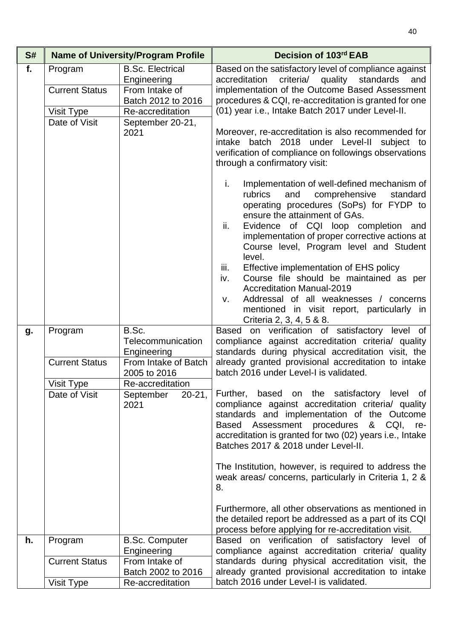| S# |                                                                        | <b>Name of University/Program Profile</b>                                                                                      | Decision of 103rd EAB                                                                                                                                                                                                                                                                                                                                                                                                                                                                                                                                                                               |
|----|------------------------------------------------------------------------|--------------------------------------------------------------------------------------------------------------------------------|-----------------------------------------------------------------------------------------------------------------------------------------------------------------------------------------------------------------------------------------------------------------------------------------------------------------------------------------------------------------------------------------------------------------------------------------------------------------------------------------------------------------------------------------------------------------------------------------------------|
| f. | Program<br><b>Current Status</b><br><b>Visit Type</b><br>Date of Visit | <b>B.Sc. Electrical</b><br>Engineering<br>From Intake of<br>Batch 2012 to 2016<br>Re-accreditation<br>September 20-21,<br>2021 | Based on the satisfactory level of compliance against<br>criteria/ quality standards<br>accreditation<br>and<br>implementation of the Outcome Based Assessment<br>procedures & CQI, re-accreditation is granted for one<br>(01) year i.e., Intake Batch 2017 under Level-II.<br>Moreover, re-accreditation is also recommended for                                                                                                                                                                                                                                                                  |
|    |                                                                        |                                                                                                                                | intake batch 2018 under Level-II subject to<br>verification of compliance on followings observations<br>through a confirmatory visit:                                                                                                                                                                                                                                                                                                                                                                                                                                                               |
|    |                                                                        |                                                                                                                                | Implementation of well-defined mechanism of<br>i.<br>rubrics<br>and<br>comprehensive<br>standard<br>operating procedures (SoPs) for FYDP to<br>ensure the attainment of GAs.<br>ii.<br>Evidence of CQI loop completion and<br>implementation of proper corrective actions at<br>Course level, Program level and Student<br>level.<br>iii.<br>Effective implementation of EHS policy<br>Course file should be maintained as per<br>iv.<br><b>Accreditation Manual-2019</b><br>Addressal of all weaknesses / concerns<br>V.<br>mentioned in visit report, particularly in<br>Criteria 2, 3, 4, 5 & 8. |
| g. | Program                                                                | B.Sc.<br>Telecommunication<br>Engineering                                                                                      | Based on verification of satisfactory level of<br>compliance against accreditation criteria/ quality<br>standards during physical accreditation visit, the                                                                                                                                                                                                                                                                                                                                                                                                                                          |
|    | <b>Current Status</b>                                                  | From Intake of Batch<br>2005 to 2016                                                                                           | already granted provisional accreditation to intake<br>batch 2016 under Level-I is validated.                                                                                                                                                                                                                                                                                                                                                                                                                                                                                                       |
|    | Visit Type<br>Date of Visit                                            | Re-accreditation<br>$20 - 21$ ,<br>September<br>2021                                                                           | Further, based on the satisfactory level of<br>compliance against accreditation criteria/ quality<br>standards and implementation of the Outcome<br>Assessment procedures<br><b>Based</b><br>&<br>CQI,<br>re-<br>accreditation is granted for two (02) years i.e., Intake<br>Batches 2017 & 2018 under Level-II.                                                                                                                                                                                                                                                                                    |
|    |                                                                        |                                                                                                                                | The Institution, however, is required to address the<br>weak areas/ concerns, particularly in Criteria 1, 2 &<br>8.                                                                                                                                                                                                                                                                                                                                                                                                                                                                                 |
|    |                                                                        |                                                                                                                                | Furthermore, all other observations as mentioned in<br>the detailed report be addressed as a part of its CQI<br>process before applying for re-accreditation visit.                                                                                                                                                                                                                                                                                                                                                                                                                                 |
| h. | Program                                                                | <b>B.Sc. Computer</b>                                                                                                          | Based on verification of satisfactory level of                                                                                                                                                                                                                                                                                                                                                                                                                                                                                                                                                      |
|    | <b>Current Status</b>                                                  | Engineering<br>From Intake of<br>Batch 2002 to 2016                                                                            | compliance against accreditation criteria/ quality<br>standards during physical accreditation visit, the<br>already granted provisional accreditation to intake                                                                                                                                                                                                                                                                                                                                                                                                                                     |
|    | Visit Type                                                             | Re-accreditation                                                                                                               | batch 2016 under Level-I is validated.                                                                                                                                                                                                                                                                                                                                                                                                                                                                                                                                                              |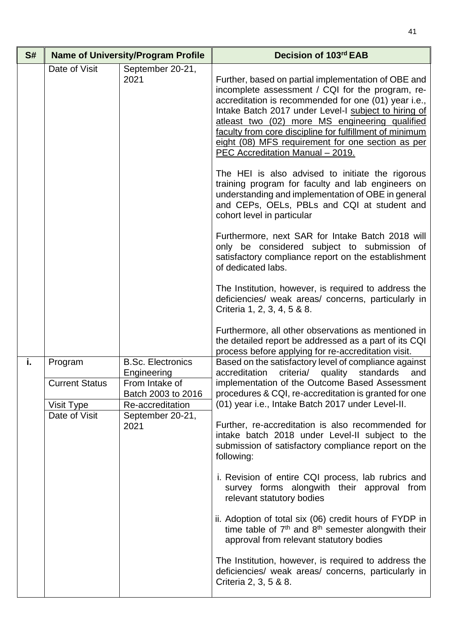| S# |                                                                 | <b>Name of University/Program Profile</b>                                                                                       | Decision of 103rd EAB                                                                                                                                                                                                                                                                                                                                                                                                                                                                                                                                                                                                                                                                                                                                                                                                                                                                                                                                                                                                                                                                                                   |
|----|-----------------------------------------------------------------|---------------------------------------------------------------------------------------------------------------------------------|-------------------------------------------------------------------------------------------------------------------------------------------------------------------------------------------------------------------------------------------------------------------------------------------------------------------------------------------------------------------------------------------------------------------------------------------------------------------------------------------------------------------------------------------------------------------------------------------------------------------------------------------------------------------------------------------------------------------------------------------------------------------------------------------------------------------------------------------------------------------------------------------------------------------------------------------------------------------------------------------------------------------------------------------------------------------------------------------------------------------------|
|    | Date of Visit                                                   | September 20-21,<br>2021                                                                                                        | Further, based on partial implementation of OBE and<br>incomplete assessment / CQI for the program, re-<br>accreditation is recommended for one (01) year i.e.,<br>Intake Batch 2017 under Level-I subject to hiring of<br>atleast two (02) more MS engineering qualified<br>faculty from core discipline for fulfillment of minimum<br>eight (08) MFS requirement for one section as per<br>PEC Accreditation Manual - 2019.<br>The HEI is also advised to initiate the rigorous<br>training program for faculty and lab engineers on<br>understanding and implementation of OBE in general<br>and CEPs, OELs, PBLs and CQI at student and<br>cohort level in particular<br>Furthermore, next SAR for Intake Batch 2018 will<br>only be considered subject to submission of<br>satisfactory compliance report on the establishment<br>of dedicated labs.<br>The Institution, however, is required to address the<br>deficiencies/ weak areas/ concerns, particularly in<br>Criteria 1, 2, 3, 4, 5 & 8.<br>Furthermore, all other observations as mentioned in<br>the detailed report be addressed as a part of its CQI |
| i. | Program<br><b>Current Status</b><br>Visit Type<br>Date of Visit | <b>B.Sc. Electronics</b><br>Engineering<br>From Intake of<br>Batch 2003 to 2016<br>Re-accreditation<br>September 20-21,<br>2021 | process before applying for re-accreditation visit.<br>Based on the satisfactory level of compliance against<br>standards<br>accreditation<br>criteria/<br>quality<br>and<br>implementation of the Outcome Based Assessment<br>procedures & CQI, re-accreditation is granted for one<br>(01) year i.e., Intake Batch 2017 under Level-II.<br>Further, re-accreditation is also recommended for<br>intake batch 2018 under Level-II subject to the<br>submission of satisfactory compliance report on the<br>following:<br>i. Revision of entire CQI process, lab rubrics and<br>survey forms alongwith their approval from<br>relevant statutory bodies<br>ii. Adoption of total six (06) credit hours of FYDP in<br>time table of $7th$ and $8th$ semester alongwith their<br>approval from relevant statutory bodies<br>The Institution, however, is required to address the<br>deficiencies/ weak areas/ concerns, particularly in<br>Criteria 2, 3, 5 & 8.                                                                                                                                                          |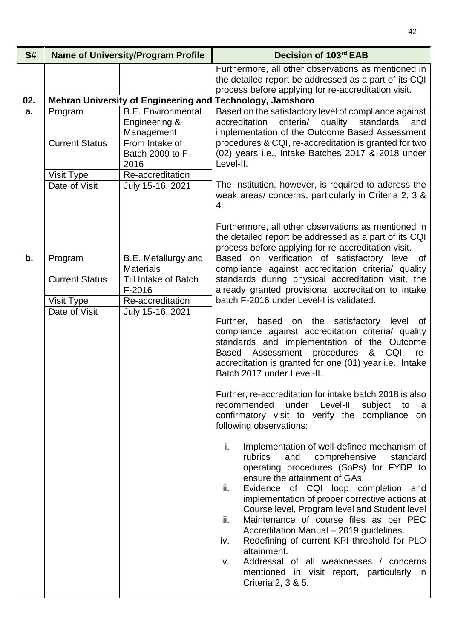| S#                                                                                                        |                                                                                                       | <b>Name of University/Program Profile</b>                                                                                                                                                                                                                                                                                                                                                                                                                                                                                                     | Decision of 103rd EAB                                                                                                                                                                                                                                                                                                                                                                                                                                                                                                                                          |
|-----------------------------------------------------------------------------------------------------------|-------------------------------------------------------------------------------------------------------|-----------------------------------------------------------------------------------------------------------------------------------------------------------------------------------------------------------------------------------------------------------------------------------------------------------------------------------------------------------------------------------------------------------------------------------------------------------------------------------------------------------------------------------------------|----------------------------------------------------------------------------------------------------------------------------------------------------------------------------------------------------------------------------------------------------------------------------------------------------------------------------------------------------------------------------------------------------------------------------------------------------------------------------------------------------------------------------------------------------------------|
|                                                                                                           |                                                                                                       |                                                                                                                                                                                                                                                                                                                                                                                                                                                                                                                                               | Furthermore, all other observations as mentioned in<br>the detailed report be addressed as a part of its CQI<br>process before applying for re-accreditation visit.                                                                                                                                                                                                                                                                                                                                                                                            |
| 02.                                                                                                       |                                                                                                       |                                                                                                                                                                                                                                                                                                                                                                                                                                                                                                                                               | Mehran University of Engineering and Technology, Jamshoro                                                                                                                                                                                                                                                                                                                                                                                                                                                                                                      |
| a.                                                                                                        | Program<br><b>Current Status</b><br>Visit Type<br>Date of Visit                                       | <b>B.E. Environmental</b><br>Engineering &<br>Management<br>From Intake of<br>Batch 2009 to F-<br>2016<br>Re-accreditation<br>July 15-16, 2021                                                                                                                                                                                                                                                                                                                                                                                                | Based on the satisfactory level of compliance against<br>accreditation criteria/ quality<br>standards<br>and<br>implementation of the Outcome Based Assessment<br>procedures & CQI, re-accreditation is granted for two<br>(02) years i.e., Intake Batches 2017 & 2018 under<br>Level-II.<br>The Institution, however, is required to address the<br>weak areas/ concerns, particularly in Criteria 2, 3 &<br>4.<br>Furthermore, all other observations as mentioned in<br>the detailed report be addressed as a part of its CQI                               |
| B.E. Metallurgy and<br>b.<br>Program<br><b>Materials</b><br><b>Current Status</b><br>Till Intake of Batch | process before applying for re-accreditation visit.<br>Based on verification of satisfactory level of |                                                                                                                                                                                                                                                                                                                                                                                                                                                                                                                                               |                                                                                                                                                                                                                                                                                                                                                                                                                                                                                                                                                                |
|                                                                                                           |                                                                                                       | $F-2016$                                                                                                                                                                                                                                                                                                                                                                                                                                                                                                                                      | compliance against accreditation criteria/ quality<br>standards during physical accreditation visit, the<br>already granted provisional accreditation to intake                                                                                                                                                                                                                                                                                                                                                                                                |
|                                                                                                           | Visit Type                                                                                            | Re-accreditation                                                                                                                                                                                                                                                                                                                                                                                                                                                                                                                              | batch F-2016 under Level-I is validated.                                                                                                                                                                                                                                                                                                                                                                                                                                                                                                                       |
| Date of Visit                                                                                             | July 15-16, 2021                                                                                      | Further, based on the satisfactory level of<br>compliance against accreditation criteria/ quality<br>standards and implementation of the Outcome<br>Based Assessment procedures & CQI,<br>re-<br>accreditation is granted for one (01) year i.e., Intake<br>Batch 2017 under Level-II.<br>Further; re-accreditation for intake batch 2018 is also<br>recommended<br>under<br>Level-II<br>subject<br>to<br>a<br>confirmatory visit to verify the compliance on<br>following observations:<br>Implementation of well-defined mechanism of<br>i. |                                                                                                                                                                                                                                                                                                                                                                                                                                                                                                                                                                |
|                                                                                                           |                                                                                                       |                                                                                                                                                                                                                                                                                                                                                                                                                                                                                                                                               | and<br>comprehensive<br>rubrics<br>standard<br>operating procedures (SoPs) for FYDP to<br>ensure the attainment of GAs.<br>ii.<br>Evidence of CQI loop completion and<br>implementation of proper corrective actions at<br>Course level, Program level and Student level<br>Maintenance of course files as per PEC<br>iii.<br>Accreditation Manual - 2019 guidelines.<br>Redefining of current KPI threshold for PLO<br>iv.<br>attainment.<br>Addressal of all weaknesses / concerns<br>V.<br>mentioned in visit report, particularly in<br>Criteria 2, 3 & 5. |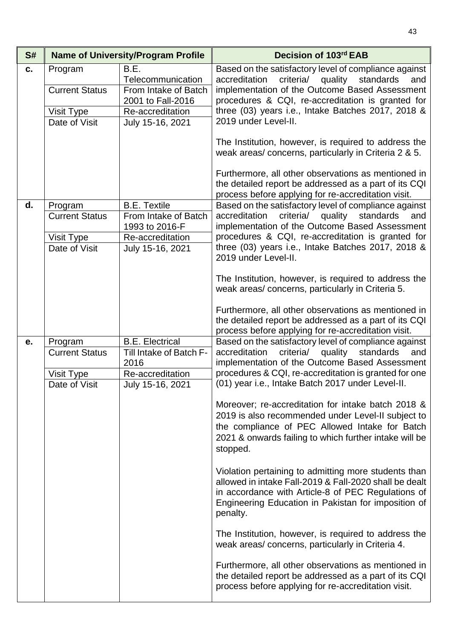| S# |                                                                 | <b>Name of University/Program Profile</b>                                                                      | Decision of 103rd EAB                                                                                                                                                                                                                                                                                                                                                                                                                                                                                                                                                                                                                                                                                                                                                                                                                                                                                                                                                                                                                             |
|----|-----------------------------------------------------------------|----------------------------------------------------------------------------------------------------------------|---------------------------------------------------------------------------------------------------------------------------------------------------------------------------------------------------------------------------------------------------------------------------------------------------------------------------------------------------------------------------------------------------------------------------------------------------------------------------------------------------------------------------------------------------------------------------------------------------------------------------------------------------------------------------------------------------------------------------------------------------------------------------------------------------------------------------------------------------------------------------------------------------------------------------------------------------------------------------------------------------------------------------------------------------|
| C. | Program<br><b>Current Status</b><br>Visit Type<br>Date of Visit | B.E.<br>Telecommunication<br>From Intake of Batch<br>2001 to Fall-2016<br>Re-accreditation<br>July 15-16, 2021 | Based on the satisfactory level of compliance against<br>criteria/ quality<br>accreditation<br>standards<br>and<br>implementation of the Outcome Based Assessment<br>procedures & CQI, re-accreditation is granted for<br>three (03) years i.e., Intake Batches 2017, 2018 &<br>2019 under Level-II.<br>The Institution, however, is required to address the<br>weak areas/ concerns, particularly in Criteria 2 & 5.                                                                                                                                                                                                                                                                                                                                                                                                                                                                                                                                                                                                                             |
|    |                                                                 |                                                                                                                | Furthermore, all other observations as mentioned in<br>the detailed report be addressed as a part of its CQI<br>process before applying for re-accreditation visit.                                                                                                                                                                                                                                                                                                                                                                                                                                                                                                                                                                                                                                                                                                                                                                                                                                                                               |
| d. | Program<br><b>Current Status</b><br>Visit Type<br>Date of Visit | <b>B.E. Textile</b><br>From Intake of Batch<br>1993 to 2016-F<br>Re-accreditation<br>July 15-16, 2021          | Based on the satisfactory level of compliance against<br>criteria/ quality<br>standards<br>accreditation<br>and<br>implementation of the Outcome Based Assessment<br>procedures & CQI, re-accreditation is granted for<br>three (03) years i.e., Intake Batches 2017, 2018 &<br>2019 under Level-II.<br>The Institution, however, is required to address the<br>weak areas/concerns, particularly in Criteria 5.                                                                                                                                                                                                                                                                                                                                                                                                                                                                                                                                                                                                                                  |
|    |                                                                 |                                                                                                                | Furthermore, all other observations as mentioned in<br>the detailed report be addressed as a part of its CQI<br>process before applying for re-accreditation visit.                                                                                                                                                                                                                                                                                                                                                                                                                                                                                                                                                                                                                                                                                                                                                                                                                                                                               |
| е. | Program<br><b>Current Status</b><br>Visit Type<br>Date of Visit | <b>B.E. Electrical</b><br>Till Intake of Batch F-<br>2016<br>Re-accreditation<br>July 15-16, 2021              | Based on the satisfactory level of compliance against<br>criteria/ quality<br>standards<br>accreditation<br>and<br>implementation of the Outcome Based Assessment<br>procedures & CQI, re-accreditation is granted for one<br>(01) year i.e., Intake Batch 2017 under Level-II.<br>Moreover; re-accreditation for intake batch 2018 &<br>2019 is also recommended under Level-II subject to<br>the compliance of PEC Allowed Intake for Batch<br>2021 & onwards failing to which further intake will be<br>stopped.<br>Violation pertaining to admitting more students than<br>allowed in intake Fall-2019 & Fall-2020 shall be dealt<br>in accordance with Article-8 of PEC Regulations of<br>Engineering Education in Pakistan for imposition of<br>penalty.<br>The Institution, however, is required to address the<br>weak areas/concerns, particularly in Criteria 4.<br>Furthermore, all other observations as mentioned in<br>the detailed report be addressed as a part of its CQI<br>process before applying for re-accreditation visit. |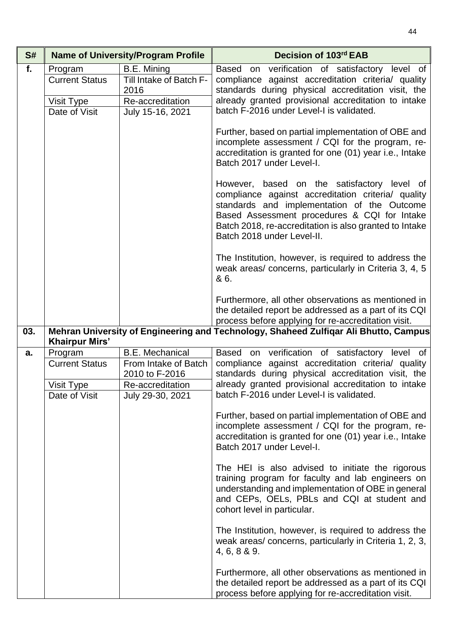| S#  |                                                                 | <b>Name of University/Program Profile</b>                                                                | Decision of 103rd EAB                                                                                                                                                                                                                                                                    |
|-----|-----------------------------------------------------------------|----------------------------------------------------------------------------------------------------------|------------------------------------------------------------------------------------------------------------------------------------------------------------------------------------------------------------------------------------------------------------------------------------------|
| f.  | Program<br><b>Current Status</b>                                | B.E. Mining<br>Till Intake of Batch F-<br>2016                                                           | Based on verification of satisfactory level of<br>compliance against accreditation criteria/ quality<br>standards during physical accreditation visit, the                                                                                                                               |
|     | Visit Type<br>Date of Visit                                     | Re-accreditation<br>July 15-16, 2021                                                                     | already granted provisional accreditation to intake<br>batch F-2016 under Level-I is validated.                                                                                                                                                                                          |
|     |                                                                 |                                                                                                          | Further, based on partial implementation of OBE and<br>incomplete assessment / CQI for the program, re-<br>accreditation is granted for one (01) year i.e., Intake<br>Batch 2017 under Level-I.                                                                                          |
|     |                                                                 |                                                                                                          | However, based on the satisfactory level of<br>compliance against accreditation criteria/ quality<br>standards and implementation of the Outcome<br>Based Assessment procedures & CQI for Intake<br>Batch 2018, re-accreditation is also granted to Intake<br>Batch 2018 under Level-II. |
|     |                                                                 |                                                                                                          | The Institution, however, is required to address the<br>weak areas/ concerns, particularly in Criteria 3, 4, 5<br>& 6.                                                                                                                                                                   |
|     |                                                                 |                                                                                                          | Furthermore, all other observations as mentioned in<br>the detailed report be addressed as a part of its CQI<br>process before applying for re-accreditation visit.                                                                                                                      |
| 03. | <b>Khairpur Mirs'</b>                                           |                                                                                                          | Mehran University of Engineering and Technology, Shaheed Zulfiqar Ali Bhutto, Campus                                                                                                                                                                                                     |
| a.  | Program<br><b>Current Status</b><br>Visit Type<br>Date of Visit | <b>B.E. Mechanical</b><br>From Intake of Batch<br>2010 to F-2016<br>Re-accreditation<br>July 29-30, 2021 | Based on verification of satisfactory level of<br>compliance against accreditation criteria/ quality<br>standards during physical accreditation visit, the<br>already granted provisional accreditation to intake<br>batch F-2016 under Level-I is validated.                            |
|     |                                                                 |                                                                                                          | Further, based on partial implementation of OBE and<br>incomplete assessment / CQI for the program, re-<br>accreditation is granted for one (01) year i.e., Intake<br>Batch 2017 under Level-I.                                                                                          |
|     |                                                                 |                                                                                                          | The HEI is also advised to initiate the rigorous<br>training program for faculty and lab engineers on<br>understanding and implementation of OBE in general<br>and CEPs, OELs, PBLs and CQI at student and<br>cohort level in particular.                                                |
|     |                                                                 |                                                                                                          | The Institution, however, is required to address the<br>weak areas/ concerns, particularly in Criteria 1, 2, 3,<br>4, 6, 8 & 9.                                                                                                                                                          |
|     |                                                                 |                                                                                                          | Furthermore, all other observations as mentioned in<br>the detailed report be addressed as a part of its CQI<br>process before applying for re-accreditation visit.                                                                                                                      |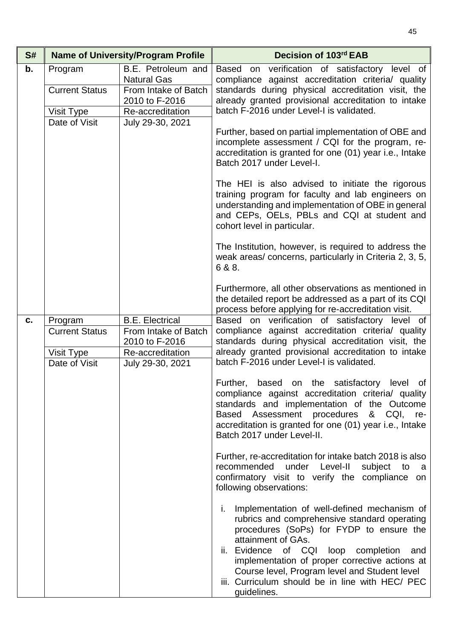| S# |                                  | <b>Name of University/Program Profile</b>                                          | Decision of 103rd EAB                                                                                                                                                                                                                                                                                                                                                                        |
|----|----------------------------------|------------------------------------------------------------------------------------|----------------------------------------------------------------------------------------------------------------------------------------------------------------------------------------------------------------------------------------------------------------------------------------------------------------------------------------------------------------------------------------------|
| b. | Program<br><b>Current Status</b> | B.E. Petroleum and<br><b>Natural Gas</b><br>From Intake of Batch<br>2010 to F-2016 | Based on verification of satisfactory level of<br>compliance against accreditation criteria/ quality<br>standards during physical accreditation visit, the<br>already granted provisional accreditation to intake                                                                                                                                                                            |
|    | Visit Type<br>Date of Visit      | Re-accreditation                                                                   | batch F-2016 under Level-I is validated.                                                                                                                                                                                                                                                                                                                                                     |
|    |                                  | July 29-30, 2021                                                                   | Further, based on partial implementation of OBE and<br>incomplete assessment / CQI for the program, re-<br>accreditation is granted for one (01) year i.e., Intake<br>Batch 2017 under Level-I.                                                                                                                                                                                              |
|    |                                  |                                                                                    | The HEI is also advised to initiate the rigorous<br>training program for faculty and lab engineers on<br>understanding and implementation of OBE in general<br>and CEPs, OELs, PBLs and CQI at student and<br>cohort level in particular.                                                                                                                                                    |
|    |                                  |                                                                                    | The Institution, however, is required to address the<br>weak areas/concerns, particularly in Criteria 2, 3, 5,<br>6 & 8.                                                                                                                                                                                                                                                                     |
|    |                                  |                                                                                    | Furthermore, all other observations as mentioned in<br>the detailed report be addressed as a part of its CQI<br>process before applying for re-accreditation visit.                                                                                                                                                                                                                          |
| c. | Program<br><b>Current Status</b> | <b>B.E. Electrical</b><br>From Intake of Batch<br>2010 to F-2016                   | Based on verification of satisfactory level of<br>compliance against accreditation criteria/ quality<br>standards during physical accreditation visit, the<br>already granted provisional accreditation to intake                                                                                                                                                                            |
|    | Visit Type<br>Date of Visit      | Re-accreditation<br>July 29-30, 2021                                               | batch F-2016 under Level-I is validated.                                                                                                                                                                                                                                                                                                                                                     |
|    |                                  |                                                                                    | Further,<br>based on the satisfactory<br>level<br>of<br>compliance against accreditation criteria/ quality<br>standards and implementation of the Outcome<br>Based Assessment procedures & CQI, re-<br>accreditation is granted for one (01) year i.e., Intake<br>Batch 2017 under Level-II.                                                                                                 |
|    |                                  |                                                                                    | Further, re-accreditation for intake batch 2018 is also<br>under Level-II<br>recommended<br>subject<br>to<br>a a<br>confirmatory visit to verify the compliance on<br>following observations:                                                                                                                                                                                                |
|    |                                  |                                                                                    | Implementation of well-defined mechanism of<br>L.<br>rubrics and comprehensive standard operating<br>procedures (SoPs) for FYDP to ensure the<br>attainment of GAs.<br>of CQI loop<br>ii. Evidence<br>completion<br>and<br>implementation of proper corrective actions at<br>Course level, Program level and Student level<br>iii. Curriculum should be in line with HEC/ PEC<br>guidelines. |

45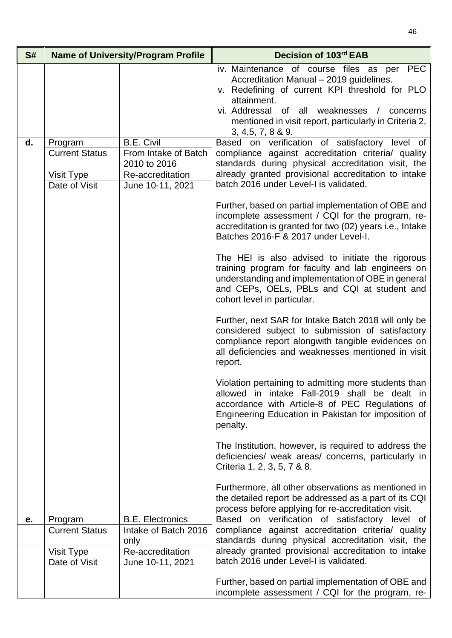| S# |                                                                 | <b>Name of University/Program Profile</b>                                                         | Decision of 103rd EAB                                                                                                                                                                                                                                                                                                                                                                                                                                                                                                                                                                                                                                                                                                                                                                                                                                                                                                                                                                                              |
|----|-----------------------------------------------------------------|---------------------------------------------------------------------------------------------------|--------------------------------------------------------------------------------------------------------------------------------------------------------------------------------------------------------------------------------------------------------------------------------------------------------------------------------------------------------------------------------------------------------------------------------------------------------------------------------------------------------------------------------------------------------------------------------------------------------------------------------------------------------------------------------------------------------------------------------------------------------------------------------------------------------------------------------------------------------------------------------------------------------------------------------------------------------------------------------------------------------------------|
| d. | Program<br><b>Current Status</b><br>Visit Type<br>Date of Visit | <b>B.E. Civil</b><br>From Intake of Batch<br>2010 to 2016<br>Re-accreditation<br>June 10-11, 2021 | iv. Maintenance of course files as per PEC<br>Accreditation Manual - 2019 guidelines.<br>v. Redefining of current KPI threshold for PLO<br>attainment.<br>vi. Addressal of all weaknesses /<br>concerns<br>mentioned in visit report, particularly in Criteria 2,<br>3, 4, 5, 7, 8 & 9.<br>Based on verification of satisfactory level of<br>compliance against accreditation criteria/ quality<br>standards during physical accreditation visit, the<br>already granted provisional accreditation to intake<br>batch 2016 under Level-I is validated.<br>Further, based on partial implementation of OBE and<br>incomplete assessment / CQI for the program, re-<br>accreditation is granted for two (02) years i.e., Intake<br>Batches 2016-F & 2017 under Level-I.<br>The HEI is also advised to initiate the rigorous<br>training program for faculty and lab engineers on<br>understanding and implementation of OBE in general<br>and CEPs, OELs, PBLs and CQI at student and<br>cohort level in particular. |
|    |                                                                 |                                                                                                   | Further, next SAR for Intake Batch 2018 will only be<br>considered subject to submission of satisfactory<br>compliance report alongwith tangible evidences on<br>all deficiencies and weaknesses mentioned in visit<br>report.                                                                                                                                                                                                                                                                                                                                                                                                                                                                                                                                                                                                                                                                                                                                                                                     |
|    |                                                                 |                                                                                                   | Violation pertaining to admitting more students than<br>allowed in intake Fall-2019 shall be dealt in<br>accordance with Article-8 of PEC Regulations of<br>Engineering Education in Pakistan for imposition of<br>penalty.                                                                                                                                                                                                                                                                                                                                                                                                                                                                                                                                                                                                                                                                                                                                                                                        |
|    |                                                                 |                                                                                                   | The Institution, however, is required to address the<br>deficiencies/ weak areas/ concerns, particularly in<br>Criteria 1, 2, 3, 5, 7 & 8.                                                                                                                                                                                                                                                                                                                                                                                                                                                                                                                                                                                                                                                                                                                                                                                                                                                                         |
|    |                                                                 |                                                                                                   | Furthermore, all other observations as mentioned in<br>the detailed report be addressed as a part of its CQI<br>process before applying for re-accreditation visit.                                                                                                                                                                                                                                                                                                                                                                                                                                                                                                                                                                                                                                                                                                                                                                                                                                                |
| е. | Program                                                         | <b>B.E. Electronics</b>                                                                           | Based on verification of satisfactory level of                                                                                                                                                                                                                                                                                                                                                                                                                                                                                                                                                                                                                                                                                                                                                                                                                                                                                                                                                                     |
|    | <b>Current Status</b>                                           | Intake of Batch 2016                                                                              | compliance against accreditation criteria/ quality                                                                                                                                                                                                                                                                                                                                                                                                                                                                                                                                                                                                                                                                                                                                                                                                                                                                                                                                                                 |
|    |                                                                 | only                                                                                              | standards during physical accreditation visit, the                                                                                                                                                                                                                                                                                                                                                                                                                                                                                                                                                                                                                                                                                                                                                                                                                                                                                                                                                                 |
|    | Visit Type<br>Date of Visit                                     | Re-accreditation<br>June 10-11, 2021                                                              | already granted provisional accreditation to intake<br>batch 2016 under Level-I is validated.                                                                                                                                                                                                                                                                                                                                                                                                                                                                                                                                                                                                                                                                                                                                                                                                                                                                                                                      |
|    |                                                                 |                                                                                                   |                                                                                                                                                                                                                                                                                                                                                                                                                                                                                                                                                                                                                                                                                                                                                                                                                                                                                                                                                                                                                    |
|    |                                                                 |                                                                                                   | Further, based on partial implementation of OBE and<br>incomplete assessment / CQI for the program, re-                                                                                                                                                                                                                                                                                                                                                                                                                                                                                                                                                                                                                                                                                                                                                                                                                                                                                                            |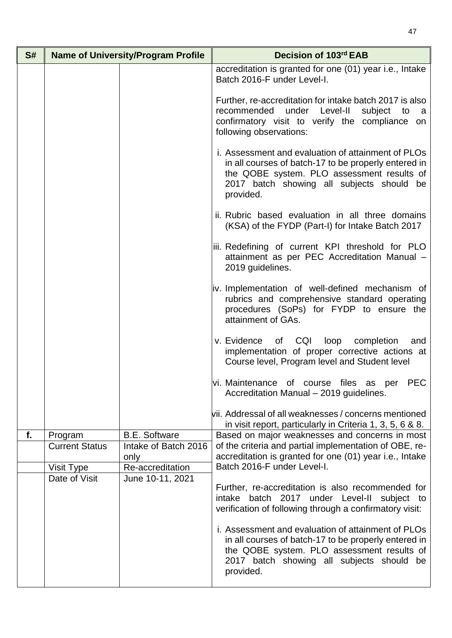| S# |                       | <b>Name of University/Program Profile</b> | Decision of 103rd EAB                                                                                                                                                                                              |
|----|-----------------------|-------------------------------------------|--------------------------------------------------------------------------------------------------------------------------------------------------------------------------------------------------------------------|
|    |                       |                                           | accreditation is granted for one (01) year i.e., Intake<br>Batch 2016-F under Level-I.                                                                                                                             |
|    |                       |                                           | Further, re-accreditation for intake batch 2017 is also<br>under Level-II<br>subject<br>recommended<br>to<br>a a<br>confirmatory visit to verify the compliance on<br>following observations:                      |
|    |                       |                                           | i. Assessment and evaluation of attainment of PLOs<br>in all courses of batch-17 to be properly entered in<br>the QOBE system. PLO assessment results of<br>2017 batch showing all subjects should be<br>provided. |
|    |                       |                                           | ii. Rubric based evaluation in all three domains<br>(KSA) of the FYDP (Part-I) for Intake Batch 2017                                                                                                               |
|    |                       |                                           | iii. Redefining of current KPI threshold for PLO<br>attainment as per PEC Accreditation Manual -<br>2019 guidelines.                                                                                               |
|    |                       |                                           | iv. Implementation of well-defined mechanism of<br>rubrics and comprehensive standard operating<br>procedures (SoPs) for FYDP to ensure the<br>attainment of GAs.                                                  |
|    |                       |                                           | of CQI<br>loop<br>completion<br>v. Evidence<br>and<br>implementation of proper corrective actions at<br>Course level, Program level and Student level                                                              |
|    |                       |                                           | vi. Maintenance of course files as per PEC<br>Accreditation Manual - 2019 guidelines.                                                                                                                              |
|    |                       |                                           | vii. Addressal of all weaknesses / concerns mentioned<br>in visit report, particularly in Criteria 1, 3, 5, 6 & 8.                                                                                                 |
| f. | Program               | <b>B.E. Software</b>                      | Based on major weaknesses and concerns in most                                                                                                                                                                     |
|    | <b>Current Status</b> | Intake of Batch 2016                      | of the criteria and partial implementation of OBE, re-                                                                                                                                                             |
|    | Visit Type            | only<br>Re-accreditation                  | accreditation is granted for one (01) year i.e., Intake<br>Batch 2016-F under Level-I.                                                                                                                             |
|    | Date of Visit         | June 10-11, 2021                          |                                                                                                                                                                                                                    |
|    |                       |                                           | Further, re-accreditation is also recommended for<br>intake batch 2017 under Level-II subject to<br>verification of following through a confirmatory visit:                                                        |
|    |                       |                                           | i. Assessment and evaluation of attainment of PLOs<br>in all courses of batch-17 to be properly entered in<br>the QOBE system. PLO assessment results of<br>2017 batch showing all subjects should be<br>provided. |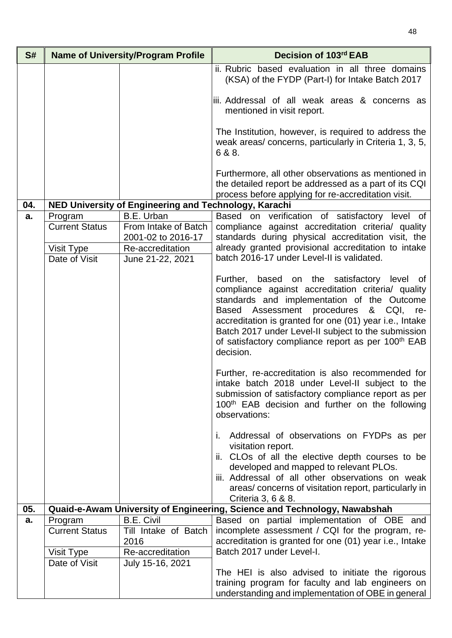| S#  |                       | <b>Name of University/Program Profile</b>             | Decision of 103rd EAB                                                                                                                                                                                                                                                                                                                                                                       |
|-----|-----------------------|-------------------------------------------------------|---------------------------------------------------------------------------------------------------------------------------------------------------------------------------------------------------------------------------------------------------------------------------------------------------------------------------------------------------------------------------------------------|
|     |                       |                                                       | ii. Rubric based evaluation in all three domains<br>(KSA) of the FYDP (Part-I) for Intake Batch 2017                                                                                                                                                                                                                                                                                        |
|     |                       |                                                       | iii. Addressal of all weak areas & concerns as<br>mentioned in visit report.                                                                                                                                                                                                                                                                                                                |
|     |                       |                                                       | The Institution, however, is required to address the<br>weak areas/concerns, particularly in Criteria 1, 3, 5,<br>6 & 8.                                                                                                                                                                                                                                                                    |
|     |                       |                                                       | Furthermore, all other observations as mentioned in<br>the detailed report be addressed as a part of its CQI<br>process before applying for re-accreditation visit.                                                                                                                                                                                                                         |
| 04. |                       | NED University of Engineering and Technology, Karachi |                                                                                                                                                                                                                                                                                                                                                                                             |
| a.  | Program               | B.E. Urban                                            | Based on verification of satisfactory level of                                                                                                                                                                                                                                                                                                                                              |
|     | <b>Current Status</b> | From Intake of Batch                                  | compliance against accreditation criteria/ quality                                                                                                                                                                                                                                                                                                                                          |
|     |                       | 2001-02 to 2016-17                                    | standards during physical accreditation visit, the                                                                                                                                                                                                                                                                                                                                          |
|     | Visit Type            | Re-accreditation                                      | already granted provisional accreditation to intake                                                                                                                                                                                                                                                                                                                                         |
|     | Date of Visit         | June 21-22, 2021                                      | batch 2016-17 under Level-II is validated.                                                                                                                                                                                                                                                                                                                                                  |
|     |                       |                                                       | Further, based on the satisfactory level of<br>compliance against accreditation criteria/ quality<br>standards and implementation of the Outcome<br>Based Assessment procedures & CQI, re-<br>accreditation is granted for one (01) year i.e., Intake<br>Batch 2017 under Level-II subject to the submission<br>of satisfactory compliance report as per 100 <sup>th</sup> EAB<br>decision. |
|     |                       |                                                       | Further, re-accreditation is also recommended for<br>intake batch 2018 under Level-II subject to the<br>submission of satisfactory compliance report as per<br>100 <sup>th</sup> EAB decision and further on the following<br>observations:                                                                                                                                                 |
|     |                       |                                                       | Addressal of observations on FYDPs as per<br>T.<br>visitation report.<br>ii. CLOs of all the elective depth courses to be<br>developed and mapped to relevant PLOs.<br>iii. Addressal of all other observations on weak<br>areas/ concerns of visitation report, particularly in<br>Criteria 3, 6 & 8.                                                                                      |
| 05. |                       |                                                       | Quaid-e-Awam University of Engineering, Science and Technology, Nawabshah                                                                                                                                                                                                                                                                                                                   |
| a.  | Program               | <b>B.E. Civil</b>                                     | Based on partial implementation of OBE and                                                                                                                                                                                                                                                                                                                                                  |
|     | <b>Current Status</b> | Till Intake of Batch                                  | incomplete assessment / CQI for the program, re-                                                                                                                                                                                                                                                                                                                                            |
|     |                       | 2016                                                  | accreditation is granted for one (01) year i.e., Intake                                                                                                                                                                                                                                                                                                                                     |
|     | Visit Type            | Re-accreditation                                      | Batch 2017 under Level-I.                                                                                                                                                                                                                                                                                                                                                                   |
|     | Date of Visit         | July 15-16, 2021                                      | The HEI is also advised to initiate the rigorous                                                                                                                                                                                                                                                                                                                                            |
|     |                       |                                                       | training program for faculty and lab engineers on<br>understanding and implementation of OBE in general                                                                                                                                                                                                                                                                                     |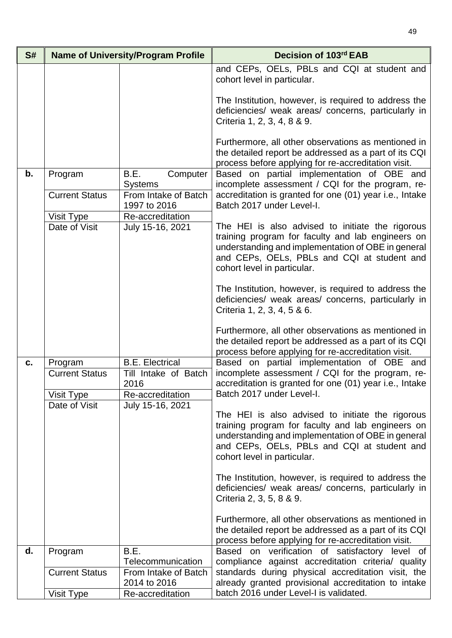| S# |                                  | <b>Name of University/Program Profile</b>                 | Decision of 103rd EAB                                                                                                                                                                                                                     |
|----|----------------------------------|-----------------------------------------------------------|-------------------------------------------------------------------------------------------------------------------------------------------------------------------------------------------------------------------------------------------|
|    |                                  |                                                           | and CEPs, OELs, PBLs and CQI at student and<br>cohort level in particular.                                                                                                                                                                |
|    |                                  |                                                           | The Institution, however, is required to address the<br>deficiencies/ weak areas/ concerns, particularly in<br>Criteria 1, 2, 3, 4, 8 & 9.                                                                                                |
|    |                                  |                                                           | Furthermore, all other observations as mentioned in<br>the detailed report be addressed as a part of its CQI<br>process before applying for re-accreditation visit.                                                                       |
| b. | Program                          | B.E.<br>Computer                                          | Based on partial implementation of OBE and<br>incomplete assessment / CQI for the program, re-                                                                                                                                            |
|    | <b>Current Status</b>            | <b>Systems</b><br>From Intake of Batch<br>1997 to 2016    | accreditation is granted for one (01) year i.e., Intake<br>Batch 2017 under Level-I.                                                                                                                                                      |
|    | Visit Type                       | Re-accreditation                                          |                                                                                                                                                                                                                                           |
|    | Date of Visit                    | July 15-16, 2021                                          | The HEI is also advised to initiate the rigorous<br>training program for faculty and lab engineers on<br>understanding and implementation of OBE in general<br>and CEPs, OELs, PBLs and CQI at student and<br>cohort level in particular. |
|    |                                  |                                                           | The Institution, however, is required to address the<br>deficiencies/ weak areas/ concerns, particularly in<br>Criteria 1, 2, 3, 4, 5 & 6.                                                                                                |
|    |                                  |                                                           | Furthermore, all other observations as mentioned in<br>the detailed report be addressed as a part of its CQI<br>process before applying for re-accreditation visit.                                                                       |
| c. | Program<br><b>Current Status</b> | <b>B.E. Electrical</b><br>Till Intake of Batch            | Based on partial implementation of OBE and<br>incomplete assessment / CQI for the program, re-                                                                                                                                            |
|    |                                  | 2016                                                      | accreditation is granted for one (01) year i.e., Intake                                                                                                                                                                                   |
|    | Visit Type<br>Date of Visit      | Re-accreditation<br>July 15-16, 2021                      | Batch 2017 under Level-I.                                                                                                                                                                                                                 |
|    |                                  |                                                           | The HEI is also advised to initiate the rigorous<br>training program for faculty and lab engineers on<br>understanding and implementation of OBE in general<br>and CEPs, OELs, PBLs and CQI at student and<br>cohort level in particular. |
|    |                                  |                                                           | The Institution, however, is required to address the<br>deficiencies/ weak areas/ concerns, particularly in<br>Criteria 2, 3, 5, 8 & 9.                                                                                                   |
|    |                                  |                                                           | Furthermore, all other observations as mentioned in<br>the detailed report be addressed as a part of its CQI<br>process before applying for re-accreditation visit.                                                                       |
| d. | Program                          | B.E.                                                      | Based on verification of satisfactory level of                                                                                                                                                                                            |
|    | <b>Current Status</b>            | Telecommunication<br>From Intake of Batch<br>2014 to 2016 | compliance against accreditation criteria/ quality<br>standards during physical accreditation visit, the<br>already granted provisional accreditation to intake                                                                           |
|    | Visit Type                       | Re-accreditation                                          | batch 2016 under Level-I is validated.                                                                                                                                                                                                    |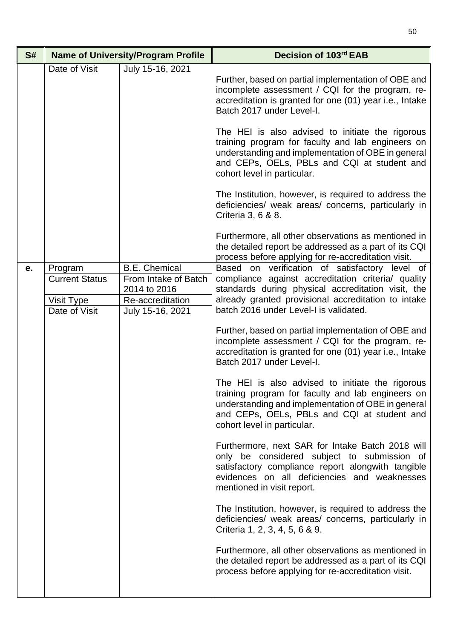| S#                                                                                                                                                                            |                                                                                                                                                                                                                                                             | <b>Name of University/Program Profile</b> | Decision of 103rd EAB                                                                                                                                                                                                                     |
|-------------------------------------------------------------------------------------------------------------------------------------------------------------------------------|-------------------------------------------------------------------------------------------------------------------------------------------------------------------------------------------------------------------------------------------------------------|-------------------------------------------|-------------------------------------------------------------------------------------------------------------------------------------------------------------------------------------------------------------------------------------------|
|                                                                                                                                                                               | Date of Visit                                                                                                                                                                                                                                               | July 15-16, 2021                          | Further, based on partial implementation of OBE and<br>incomplete assessment / CQI for the program, re-<br>accreditation is granted for one (01) year i.e., Intake<br>Batch 2017 under Level-I.                                           |
|                                                                                                                                                                               |                                                                                                                                                                                                                                                             |                                           | The HEI is also advised to initiate the rigorous<br>training program for faculty and lab engineers on<br>understanding and implementation of OBE in general<br>and CEPs, OELs, PBLs and CQI at student and<br>cohort level in particular. |
|                                                                                                                                                                               |                                                                                                                                                                                                                                                             |                                           | The Institution, however, is required to address the<br>deficiencies/ weak areas/ concerns, particularly in<br>Criteria 3, 6 & 8.                                                                                                         |
|                                                                                                                                                                               |                                                                                                                                                                                                                                                             |                                           | Furthermore, all other observations as mentioned in<br>the detailed report be addressed as a part of its CQI<br>process before applying for re-accreditation visit.                                                                       |
| <b>B.E. Chemical</b><br>Program<br>е.<br><b>Current Status</b><br>From Intake of Batch<br>2014 to 2016<br>Re-accreditation<br>Visit Type<br>Date of Visit<br>July 15-16, 2021 | Based on verification of satisfactory level of<br>compliance against accreditation criteria/ quality<br>standards during physical accreditation visit, the<br>already granted provisional accreditation to intake<br>batch 2016 under Level-I is validated. |                                           |                                                                                                                                                                                                                                           |
|                                                                                                                                                                               |                                                                                                                                                                                                                                                             |                                           | Further, based on partial implementation of OBE and<br>incomplete assessment / CQI for the program, re-<br>accreditation is granted for one (01) year i.e., Intake<br>Batch 2017 under Level-I.                                           |
|                                                                                                                                                                               |                                                                                                                                                                                                                                                             |                                           | The HEI is also advised to initiate the rigorous<br>training program for faculty and lab engineers on<br>understanding and implementation of OBE in general<br>and CEPs, OELs, PBLs and CQI at student and<br>cohort level in particular. |
|                                                                                                                                                                               |                                                                                                                                                                                                                                                             |                                           | Furthermore, next SAR for Intake Batch 2018 will<br>only be considered subject to submission of<br>satisfactory compliance report alongwith tangible<br>evidences on all deficiencies and weaknesses<br>mentioned in visit report.        |
|                                                                                                                                                                               |                                                                                                                                                                                                                                                             |                                           | The Institution, however, is required to address the<br>deficiencies/ weak areas/ concerns, particularly in<br>Criteria 1, 2, 3, 4, 5, 6 & 9.                                                                                             |
|                                                                                                                                                                               |                                                                                                                                                                                                                                                             |                                           | Furthermore, all other observations as mentioned in<br>the detailed report be addressed as a part of its CQI<br>process before applying for re-accreditation visit.                                                                       |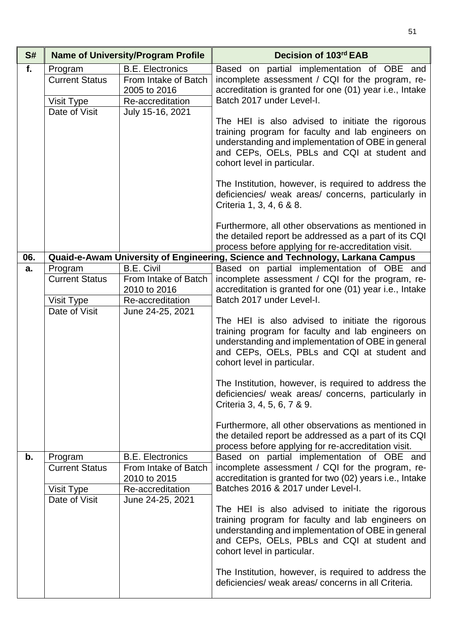| S#  |                                                | <b>Name of University/Program Profile</b>                                                                                                                                                                                                 | Decision of 103rd EAB                                                                                                                                                                                                                     |
|-----|------------------------------------------------|-------------------------------------------------------------------------------------------------------------------------------------------------------------------------------------------------------------------------------------------|-------------------------------------------------------------------------------------------------------------------------------------------------------------------------------------------------------------------------------------------|
| f.  | Program<br><b>Current Status</b><br>Visit Type | <b>B.E. Electronics</b><br>From Intake of Batch<br>2005 to 2016<br>Re-accreditation                                                                                                                                                       | Based on partial implementation of OBE and<br>incomplete assessment / CQI for the program, re-<br>accreditation is granted for one (01) year i.e., Intake<br>Batch 2017 under Level-I.                                                    |
|     | Date of Visit                                  | July 15-16, 2021                                                                                                                                                                                                                          | The HEI is also advised to initiate the rigorous<br>training program for faculty and lab engineers on<br>understanding and implementation of OBE in general<br>and CEPs, OELs, PBLs and CQI at student and<br>cohort level in particular. |
|     |                                                |                                                                                                                                                                                                                                           | The Institution, however, is required to address the<br>deficiencies/ weak areas/ concerns, particularly in<br>Criteria 1, 3, 4, 6 & 8.                                                                                                   |
|     |                                                |                                                                                                                                                                                                                                           | Furthermore, all other observations as mentioned in<br>the detailed report be addressed as a part of its CQI<br>process before applying for re-accreditation visit.                                                                       |
| 06. |                                                |                                                                                                                                                                                                                                           | Quaid-e-Awam University of Engineering, Science and Technology, Larkana Campus                                                                                                                                                            |
| a.  | Program<br><b>Current Status</b>               | <b>B.E. Civil</b><br>From Intake of Batch<br>2010 to 2016                                                                                                                                                                                 | Based on partial implementation of OBE and<br>incomplete assessment / CQI for the program, re-<br>accreditation is granted for one (01) year i.e., Intake                                                                                 |
|     | Visit Type                                     | Re-accreditation                                                                                                                                                                                                                          | Batch 2017 under Level-I.                                                                                                                                                                                                                 |
|     | Date of Visit                                  | June 24-25, 2021                                                                                                                                                                                                                          | The HEI is also advised to initiate the rigorous<br>training program for faculty and lab engineers on<br>understanding and implementation of OBE in general<br>and CEPs, OELs, PBLs and CQI at student and<br>cohort level in particular. |
|     |                                                |                                                                                                                                                                                                                                           | The Institution, however, is required to address the<br>deficiencies/ weak areas/ concerns, particularly in<br>Criteria 3, 4, 5, 6, 7 & 9.                                                                                                |
|     |                                                |                                                                                                                                                                                                                                           | Furthermore, all other observations as mentioned in<br>the detailed report be addressed as a part of its CQI<br>process before applying for re-accreditation visit.                                                                       |
| b.  | Program                                        | <b>B.E. Electronics</b>                                                                                                                                                                                                                   | Based on partial implementation of OBE and                                                                                                                                                                                                |
|     | <b>Current Status</b>                          | From Intake of Batch<br>2010 to 2015                                                                                                                                                                                                      | incomplete assessment / CQI for the program, re-<br>accreditation is granted for two (02) years i.e., Intake                                                                                                                              |
|     | Visit Type                                     | Re-accreditation                                                                                                                                                                                                                          | Batches 2016 & 2017 under Level-I.                                                                                                                                                                                                        |
|     | Date of Visit<br>June 24-25, 2021              | The HEI is also advised to initiate the rigorous<br>training program for faculty and lab engineers on<br>understanding and implementation of OBE in general<br>and CEPs, OELs, PBLs and CQI at student and<br>cohort level in particular. |                                                                                                                                                                                                                                           |
|     |                                                |                                                                                                                                                                                                                                           | The Institution, however, is required to address the<br>deficiencies/ weak areas/ concerns in all Criteria.                                                                                                                               |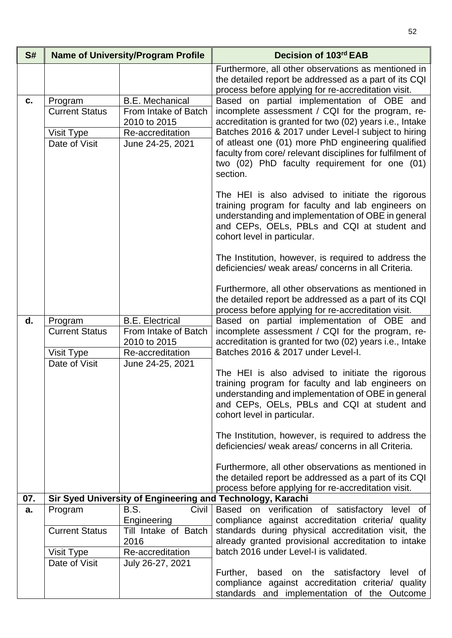| S#  |                                                                 | <b>Name of University/Program Profile</b>                                                              | Decision of 103rd EAB                                                                                                                                                                                                                                                                                                                                                                                                                                                                                                                                                                                                                          |
|-----|-----------------------------------------------------------------|--------------------------------------------------------------------------------------------------------|------------------------------------------------------------------------------------------------------------------------------------------------------------------------------------------------------------------------------------------------------------------------------------------------------------------------------------------------------------------------------------------------------------------------------------------------------------------------------------------------------------------------------------------------------------------------------------------------------------------------------------------------|
|     |                                                                 |                                                                                                        | Furthermore, all other observations as mentioned in<br>the detailed report be addressed as a part of its CQI<br>process before applying for re-accreditation visit.                                                                                                                                                                                                                                                                                                                                                                                                                                                                            |
| c.  | Program<br><b>Current Status</b><br>Visit Type<br>Date of Visit | <b>B.E. Mechanical</b><br>From Intake of Batch<br>2010 to 2015<br>Re-accreditation<br>June 24-25, 2021 | Based on partial implementation of OBE and<br>incomplete assessment / CQI for the program, re-<br>accreditation is granted for two (02) years i.e., Intake<br>Batches 2016 & 2017 under Level-I subject to hiring<br>of atleast one (01) more PhD engineering qualified<br>faculty from core/ relevant disciplines for fulfilment of<br>two (02) PhD faculty requirement for one (01)<br>section.<br>The HEI is also advised to initiate the rigorous<br>training program for faculty and lab engineers on<br>understanding and implementation of OBE in general<br>and CEPs, OELs, PBLs and CQI at student and<br>cohort level in particular. |
|     |                                                                 |                                                                                                        | The Institution, however, is required to address the<br>deficiencies/ weak areas/ concerns in all Criteria.<br>Furthermore, all other observations as mentioned in<br>the detailed report be addressed as a part of its CQI<br>process before applying for re-accreditation visit.                                                                                                                                                                                                                                                                                                                                                             |
| d.  | Program<br><b>Current Status</b><br>Visit Type<br>Date of Visit | <b>B.E. Electrical</b><br>From Intake of Batch<br>2010 to 2015<br>Re-accreditation<br>June 24-25, 2021 | Based on partial implementation of OBE and<br>incomplete assessment / CQI for the program, re-<br>accreditation is granted for two (02) years i.e., Intake<br>Batches 2016 & 2017 under Level-I.                                                                                                                                                                                                                                                                                                                                                                                                                                               |
|     |                                                                 |                                                                                                        | The HEI is also advised to initiate the rigorous<br>training program for faculty and lab engineers on<br>understanding and implementation of OBE in general<br>and CEPs, OELs, PBLs and CQI at student and<br>cohort level in particular.<br>The Institution, however, is required to address the                                                                                                                                                                                                                                                                                                                                              |
|     |                                                                 |                                                                                                        | deficiencies/ weak areas/ concerns in all Criteria.<br>Furthermore, all other observations as mentioned in<br>the detailed report be addressed as a part of its CQI<br>process before applying for re-accreditation visit.                                                                                                                                                                                                                                                                                                                                                                                                                     |
| 07. |                                                                 |                                                                                                        | Sir Syed University of Engineering and Technology, Karachi                                                                                                                                                                                                                                                                                                                                                                                                                                                                                                                                                                                     |
| a.  | Program<br><b>Current Status</b>                                | B.S.<br>Civil<br>Engineering<br>Till Intake of Batch<br>2016                                           | Based on verification of satisfactory level of<br>compliance against accreditation criteria/ quality<br>standards during physical accreditation visit, the<br>already granted provisional accreditation to intake                                                                                                                                                                                                                                                                                                                                                                                                                              |
|     | Visit Type                                                      | Re-accreditation                                                                                       | batch 2016 under Level-I is validated.                                                                                                                                                                                                                                                                                                                                                                                                                                                                                                                                                                                                         |
|     | Date of Visit                                                   | July 26-27, 2021                                                                                       | Further,<br>based on the satisfactory level of<br>compliance against accreditation criteria/ quality<br>standards and implementation of the Outcome                                                                                                                                                                                                                                                                                                                                                                                                                                                                                            |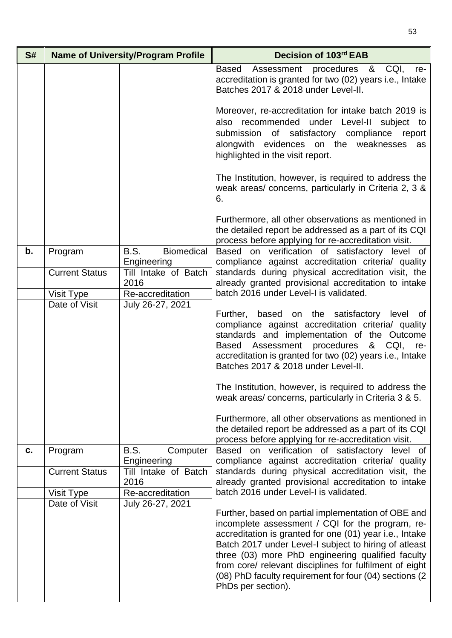| S# |                       | <b>Name of University/Program Profile</b> | Decision of 103rd EAB                                                                                                                                                                                                                                                                                                                                                                                                        |
|----|-----------------------|-------------------------------------------|------------------------------------------------------------------------------------------------------------------------------------------------------------------------------------------------------------------------------------------------------------------------------------------------------------------------------------------------------------------------------------------------------------------------------|
|    |                       |                                           | procedures & CQI,<br>Based<br>Assessment<br>re-<br>accreditation is granted for two (02) years i.e., Intake<br>Batches 2017 & 2018 under Level-II.                                                                                                                                                                                                                                                                           |
|    |                       |                                           | Moreover, re-accreditation for intake batch 2019 is<br>also recommended under Level-II subject to<br>submission of satisfactory compliance report<br>alongwith evidences on the weaknesses<br>as<br>highlighted in the visit report.                                                                                                                                                                                         |
|    |                       |                                           | The Institution, however, is required to address the<br>weak areas/ concerns, particularly in Criteria 2, 3 &<br>6.                                                                                                                                                                                                                                                                                                          |
|    |                       |                                           | Furthermore, all other observations as mentioned in<br>the detailed report be addressed as a part of its CQI<br>process before applying for re-accreditation visit.                                                                                                                                                                                                                                                          |
| b. | Program               | <b>Biomedical</b><br>B.S.<br>Engineering  | Based on verification of satisfactory level of<br>compliance against accreditation criteria/ quality                                                                                                                                                                                                                                                                                                                         |
|    | <b>Current Status</b> | Till Intake of Batch<br>2016              | standards during physical accreditation visit, the<br>already granted provisional accreditation to intake                                                                                                                                                                                                                                                                                                                    |
|    | Visit Type            | Re-accreditation                          | batch 2016 under Level-I is validated.                                                                                                                                                                                                                                                                                                                                                                                       |
|    | Date of Visit         | July 26-27, 2021                          | Further, based on the satisfactory level of<br>compliance against accreditation criteria/ quality<br>standards and implementation of the Outcome<br>Assessment procedures<br>& CQI,<br>Based<br>re-<br>accreditation is granted for two (02) years i.e., Intake<br>Batches 2017 & 2018 under Level-II.<br>The Institution, however, is required to address the<br>weak areas/ concerns, particularly in Criteria 3 & 5.      |
|    |                       |                                           | Furthermore, all other observations as mentioned in<br>the detailed report be addressed as a part of its CQI<br>process before applying for re-accreditation visit.                                                                                                                                                                                                                                                          |
| C. | Program               | B.S.<br>Computer<br>Engineering           | Based on verification of satisfactory level of<br>compliance against accreditation criteria/ quality                                                                                                                                                                                                                                                                                                                         |
|    | <b>Current Status</b> | Till Intake of Batch<br>2016              | standards during physical accreditation visit, the<br>already granted provisional accreditation to intake                                                                                                                                                                                                                                                                                                                    |
|    | Visit Type            | Re-accreditation                          | batch 2016 under Level-I is validated.                                                                                                                                                                                                                                                                                                                                                                                       |
|    | Date of Visit         | July 26-27, 2021                          | Further, based on partial implementation of OBE and<br>incomplete assessment / CQI for the program, re-<br>accreditation is granted for one (01) year i.e., Intake<br>Batch 2017 under Level-I subject to hiring of atleast<br>three (03) more PhD engineering qualified faculty<br>from core/ relevant disciplines for fulfilment of eight<br>(08) PhD faculty requirement for four (04) sections (2)<br>PhDs per section). |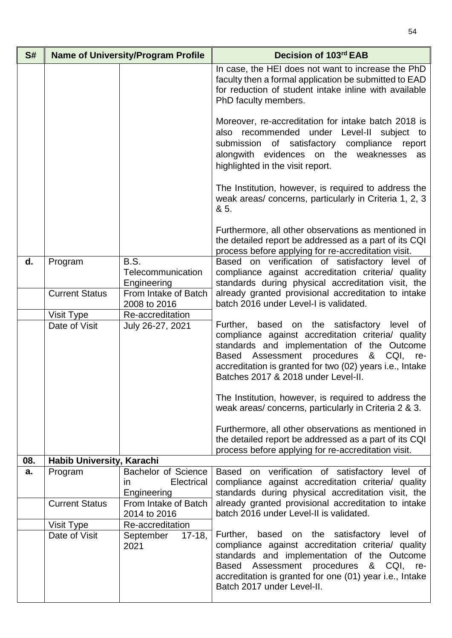| S#  | <b>Name of University/Program Profile</b> |                                                                                       | Decision of 103rd EAB                                                                                                                                                                                                                                                                         |
|-----|-------------------------------------------|---------------------------------------------------------------------------------------|-----------------------------------------------------------------------------------------------------------------------------------------------------------------------------------------------------------------------------------------------------------------------------------------------|
|     |                                           |                                                                                       | In case, the HEI does not want to increase the PhD<br>faculty then a formal application be submitted to EAD<br>for reduction of student intake inline with available<br>PhD faculty members.                                                                                                  |
|     |                                           |                                                                                       | Moreover, re-accreditation for intake batch 2018 is<br>recommended under Level-II subject to<br>also<br>submission of satisfactory compliance<br>report<br>alongwith evidences on the weaknesses<br>as<br>highlighted in the visit report.                                                    |
|     |                                           |                                                                                       | The Institution, however, is required to address the<br>weak areas/concerns, particularly in Criteria 1, 2, 3<br>& 5.                                                                                                                                                                         |
|     |                                           |                                                                                       | Furthermore, all other observations as mentioned in<br>the detailed report be addressed as a part of its CQI<br>process before applying for re-accreditation visit.                                                                                                                           |
| d.  | Program                                   | B.S.<br>Telecommunication<br>Engineering                                              | Based on verification of satisfactory level of<br>compliance against accreditation criteria/ quality<br>standards during physical accreditation visit, the                                                                                                                                    |
|     | <b>Current Status</b>                     | From Intake of Batch<br>2008 to 2016                                                  | already granted provisional accreditation to intake<br>batch 2016 under Level-I is validated.                                                                                                                                                                                                 |
|     | Visit Type                                | Re-accreditation                                                                      |                                                                                                                                                                                                                                                                                               |
|     | Date of Visit                             | July 26-27, 2021                                                                      | Further, based on the satisfactory level of<br>compliance against accreditation criteria/ quality<br>standards and implementation of the Outcome<br>Based Assessment procedures & CQI, re-<br>accreditation is granted for two (02) years i.e., Intake<br>Batches 2017 & 2018 under Level-II. |
|     |                                           |                                                                                       | The Institution, however, is required to address the<br>weak areas/concerns, particularly in Criteria 2 & 3.                                                                                                                                                                                  |
|     |                                           |                                                                                       | Furthermore, all other observations as mentioned in<br>the detailed report be addressed as a part of its CQI<br>process before applying for re-accreditation visit.                                                                                                                           |
| 08. | Habib University, Karachi                 |                                                                                       |                                                                                                                                                                                                                                                                                               |
| a.  | Program                                   | <b>Bachelor of Science</b><br>Electrical<br>ın<br>Engineering<br>From Intake of Batch | Based on verification of satisfactory level of<br>compliance against accreditation criteria/ quality<br>standards during physical accreditation visit, the                                                                                                                                    |
|     | <b>Current Status</b>                     | 2014 to 2016                                                                          | already granted provisional accreditation to intake<br>batch 2016 under Level-II is validated.                                                                                                                                                                                                |
|     | Visit Type                                | Re-accreditation                                                                      |                                                                                                                                                                                                                                                                                               |
|     | Date of Visit                             | September<br>$17-18,$<br>2021                                                         | Further, based on the satisfactory level of<br>compliance against accreditation criteria/ quality<br>standards and implementation of the Outcome<br>Based Assessment procedures & CQI, re-<br>accreditation is granted for one (01) year i.e., Intake<br>Batch 2017 under Level-II.           |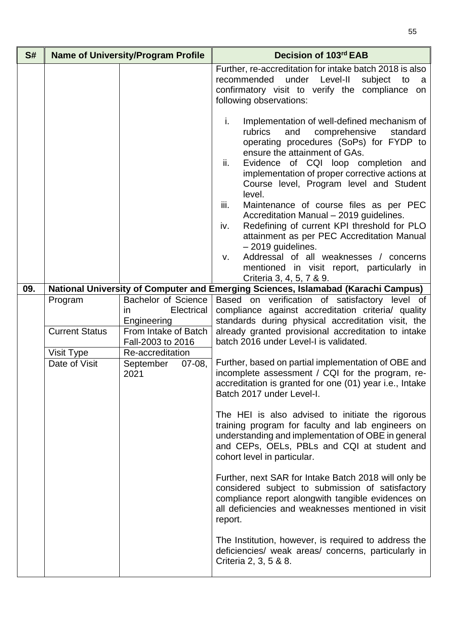| S#  |                                                                 | <b>Name of University/Program Profile</b>                                                                                                                        | Decision of 103rd EAB                                                                                                                                                                                                                                                                                                                                                                                                                                                                                                                                                                                                                                                               |
|-----|-----------------------------------------------------------------|------------------------------------------------------------------------------------------------------------------------------------------------------------------|-------------------------------------------------------------------------------------------------------------------------------------------------------------------------------------------------------------------------------------------------------------------------------------------------------------------------------------------------------------------------------------------------------------------------------------------------------------------------------------------------------------------------------------------------------------------------------------------------------------------------------------------------------------------------------------|
|     |                                                                 |                                                                                                                                                                  | Further, re-accreditation for intake batch 2018 is also<br>recommended<br>under Level-II<br>subject<br>to<br>a a<br>confirmatory visit to verify the compliance<br>on<br>following observations:                                                                                                                                                                                                                                                                                                                                                                                                                                                                                    |
|     |                                                                 |                                                                                                                                                                  | i.<br>Implementation of well-defined mechanism of<br>and<br>rubrics<br>comprehensive<br>standard<br>operating procedures (SoPs) for FYDP to<br>ensure the attainment of GAs.<br>ii.<br>Evidence of CQI loop completion and<br>implementation of proper corrective actions at<br>Course level, Program level and Student<br>level.<br>iii.<br>Maintenance of course files as per PEC<br>Accreditation Manual - 2019 guidelines.<br>Redefining of current KPI threshold for PLO<br>iv.<br>attainment as per PEC Accreditation Manual<br>$-2019$ guidelines.<br>Addressal of all weaknesses / concerns<br>v.<br>mentioned in visit report, particularly in<br>Criteria 3, 4, 5, 7 & 9. |
| 09. |                                                                 |                                                                                                                                                                  | National University of Computer and Emerging Sciences, Islamabad (Karachi Campus)                                                                                                                                                                                                                                                                                                                                                                                                                                                                                                                                                                                                   |
|     | Program<br><b>Current Status</b><br>Visit Type<br>Date of Visit | <b>Bachelor of Science</b><br>Electrical<br>in.<br>Engineering<br>From Intake of Batch<br>Fall-2003 to 2016<br>Re-accreditation<br>September<br>$07-08,$<br>2021 | Based on verification of satisfactory level of<br>compliance against accreditation criteria/ quality<br>standards during physical accreditation visit, the<br>already granted provisional accreditation to intake<br>batch 2016 under Level-I is validated.<br>Further, based on partial implementation of OBE and<br>incomplete assessment / CQI for the program, re-<br>accreditation is granted for one (01) year i.e., Intake<br>Batch 2017 under Level-I.<br>The HEI is also advised to initiate the rigorous<br>training program for faculty and lab engineers on                                                                                                             |
|     |                                                                 |                                                                                                                                                                  | understanding and implementation of OBE in general<br>and CEPs, OELs, PBLs and CQI at student and<br>cohort level in particular.<br>Further, next SAR for Intake Batch 2018 will only be<br>considered subject to submission of satisfactory<br>compliance report alongwith tangible evidences on<br>all deficiencies and weaknesses mentioned in visit<br>report.<br>The Institution, however, is required to address the<br>deficiencies/ weak areas/ concerns, particularly in<br>Criteria 2, 3, 5 & 8.                                                                                                                                                                          |
|     |                                                                 |                                                                                                                                                                  |                                                                                                                                                                                                                                                                                                                                                                                                                                                                                                                                                                                                                                                                                     |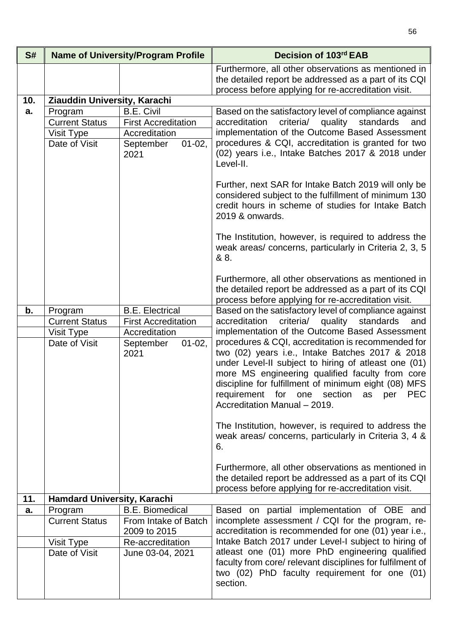| S#  | <b>Name of University/Program Profile</b> |                                                   | Decision of 103rd EAB                                                                                                                                                                                                                                                                                                                                              |
|-----|-------------------------------------------|---------------------------------------------------|--------------------------------------------------------------------------------------------------------------------------------------------------------------------------------------------------------------------------------------------------------------------------------------------------------------------------------------------------------------------|
|     |                                           |                                                   | Furthermore, all other observations as mentioned in<br>the detailed report be addressed as a part of its CQI<br>process before applying for re-accreditation visit.                                                                                                                                                                                                |
| 10. | Ziauddin University, Karachi              |                                                   |                                                                                                                                                                                                                                                                                                                                                                    |
| a.  | Program                                   | <b>B.E. Civil</b>                                 | Based on the satisfactory level of compliance against                                                                                                                                                                                                                                                                                                              |
|     | <b>Current Status</b>                     | <b>First Accreditation</b>                        | criteria/<br>accreditation<br>quality<br>standards<br>and                                                                                                                                                                                                                                                                                                          |
|     | Visit Type                                | Accreditation                                     | implementation of the Outcome Based Assessment                                                                                                                                                                                                                                                                                                                     |
|     | Date of Visit                             | $01 - 02$ ,<br>September<br>2021                  | procedures & CQI, accreditation is granted for two<br>(02) years i.e., Intake Batches 2017 & 2018 under<br>Level-II.                                                                                                                                                                                                                                               |
|     |                                           |                                                   | Further, next SAR for Intake Batch 2019 will only be<br>considered subject to the fulfillment of minimum 130<br>credit hours in scheme of studies for Intake Batch<br>2019 & onwards.                                                                                                                                                                              |
|     |                                           |                                                   | The Institution, however, is required to address the<br>weak areas/ concerns, particularly in Criteria 2, 3, 5<br>& 8.                                                                                                                                                                                                                                             |
|     |                                           |                                                   | Furthermore, all other observations as mentioned in<br>the detailed report be addressed as a part of its CQI<br>process before applying for re-accreditation visit.                                                                                                                                                                                                |
| b.  | Program                                   | <b>B.E. Electrical</b>                            | Based on the satisfactory level of compliance against                                                                                                                                                                                                                                                                                                              |
|     | <b>Current Status</b>                     | <b>First Accreditation</b>                        | criteria/ quality standards<br>accreditation<br>and<br>implementation of the Outcome Based Assessment                                                                                                                                                                                                                                                              |
|     | Visit Type<br>Date of Visit               | Accreditation<br>September<br>$01 - 02$ ,<br>2021 | procedures & CQI, accreditation is recommended for<br>two (02) years i.e., Intake Batches 2017 & 2018<br>under Level-II subject to hiring of atleast one (01)<br>more MS engineering qualified faculty from core<br>discipline for fulfillment of minimum eight (08) MFS<br>requirement for one section<br><b>PEC</b><br>as<br>per<br>Accreditation Manual - 2019. |
|     |                                           |                                                   | The Institution, however, is required to address the<br>weak areas/ concerns, particularly in Criteria 3, 4 &<br>6.                                                                                                                                                                                                                                                |
|     |                                           |                                                   | Furthermore, all other observations as mentioned in<br>the detailed report be addressed as a part of its CQI<br>process before applying for re-accreditation visit.                                                                                                                                                                                                |
| 11. | Hamdard University, Karachi               |                                                   |                                                                                                                                                                                                                                                                                                                                                                    |
| a.  | Program                                   | <b>B.E. Biomedical</b>                            | Based on partial implementation of OBE and                                                                                                                                                                                                                                                                                                                         |
|     | <b>Current Status</b>                     | From Intake of Batch<br>2009 to 2015              | incomplete assessment / CQI for the program, re-<br>accreditation is recommended for one (01) year i.e.,                                                                                                                                                                                                                                                           |
|     | Visit Type                                | Re-accreditation                                  | Intake Batch 2017 under Level-I subject to hiring of                                                                                                                                                                                                                                                                                                               |
|     | Date of Visit                             | June 03-04, 2021                                  | atleast one (01) more PhD engineering qualified<br>faculty from core/ relevant disciplines for fulfilment of<br>two (02) PhD faculty requirement for one (01)<br>section.                                                                                                                                                                                          |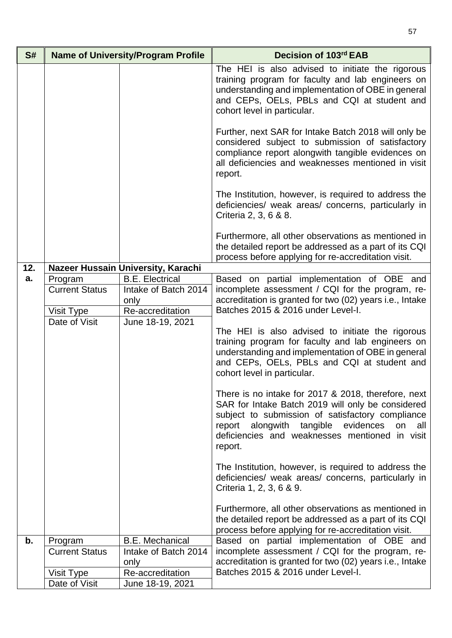| S#  | <b>Name of University/Program Profile</b>      |                                                                            | Decision of 103rd EAB                                                                                                                                                                                                                                                         |
|-----|------------------------------------------------|----------------------------------------------------------------------------|-------------------------------------------------------------------------------------------------------------------------------------------------------------------------------------------------------------------------------------------------------------------------------|
|     |                                                |                                                                            | The HEI is also advised to initiate the rigorous<br>training program for faculty and lab engineers on<br>understanding and implementation of OBE in general<br>and CEPs, OELs, PBLs and CQI at student and<br>cohort level in particular.                                     |
|     |                                                |                                                                            | Further, next SAR for Intake Batch 2018 will only be<br>considered subject to submission of satisfactory<br>compliance report alongwith tangible evidences on<br>all deficiencies and weaknesses mentioned in visit<br>report.                                                |
|     |                                                |                                                                            | The Institution, however, is required to address the<br>deficiencies/ weak areas/ concerns, particularly in<br>Criteria 2, 3, 6 & 8.                                                                                                                                          |
|     |                                                |                                                                            | Furthermore, all other observations as mentioned in<br>the detailed report be addressed as a part of its CQI<br>process before applying for re-accreditation visit.                                                                                                           |
| 12. |                                                | Nazeer Hussain University, Karachi                                         |                                                                                                                                                                                                                                                                               |
| a.  | Program<br><b>Current Status</b><br>Visit Type | <b>B.E. Electrical</b><br>Intake of Batch 2014<br>only<br>Re-accreditation | Based on partial implementation of OBE and<br>incomplete assessment / CQI for the program, re-<br>accreditation is granted for two (02) years i.e., Intake<br>Batches 2015 & 2016 under Level-I.                                                                              |
|     | Date of Visit                                  | June 18-19, 2021                                                           | The HEI is also advised to initiate the rigorous<br>training program for faculty and lab engineers on<br>understanding and implementation of OBE in general<br>and CEPs, OELs, PBLs and CQI at student and<br>cohort level in particular.                                     |
|     |                                                |                                                                            | There is no intake for 2017 & 2018, therefore, next<br>SAR for Intake Batch 2019 will only be considered<br>subject to submission of satisfactory compliance<br>report alongwith tangible evidences<br>on<br>all<br>deficiencies and weaknesses mentioned in visit<br>report. |
|     |                                                |                                                                            | The Institution, however, is required to address the<br>deficiencies/ weak areas/ concerns, particularly in<br>Criteria 1, 2, 3, 6 & 9.                                                                                                                                       |
|     |                                                |                                                                            | Furthermore, all other observations as mentioned in<br>the detailed report be addressed as a part of its CQI<br>process before applying for re-accreditation visit.                                                                                                           |
| b.  | Program                                        | <b>B.E. Mechanical</b>                                                     | Based on partial implementation of OBE and                                                                                                                                                                                                                                    |
|     | <b>Current Status</b>                          | Intake of Batch 2014                                                       | incomplete assessment / CQI for the program, re-                                                                                                                                                                                                                              |
|     |                                                | only                                                                       | accreditation is granted for two (02) years i.e., Intake                                                                                                                                                                                                                      |
|     | Visit Type<br>Date of Visit                    | Re-accreditation<br>June 18-19, 2021                                       | Batches 2015 & 2016 under Level-I.                                                                                                                                                                                                                                            |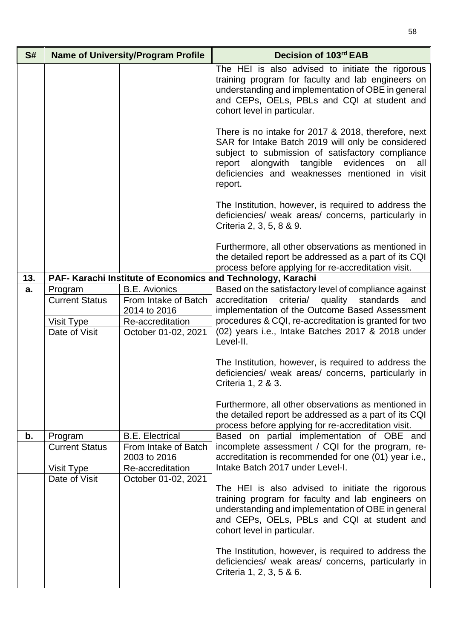| S#  | <b>Name of University/Program Profile</b> |                                  | Decision of 103rd EAB                                                                                                                                                                                                                                                                  |
|-----|-------------------------------------------|----------------------------------|----------------------------------------------------------------------------------------------------------------------------------------------------------------------------------------------------------------------------------------------------------------------------------------|
|     |                                           |                                  | The HEI is also advised to initiate the rigorous<br>training program for faculty and lab engineers on<br>understanding and implementation of OBE in general<br>and CEPs, OELs, PBLs and CQI at student and<br>cohort level in particular.                                              |
|     |                                           |                                  | There is no intake for 2017 & 2018, therefore, next<br>SAR for Intake Batch 2019 will only be considered<br>subject to submission of satisfactory compliance<br>evidences<br>report<br>alongwith<br>tangible<br>on<br>all<br>deficiencies and weaknesses mentioned in visit<br>report. |
|     |                                           |                                  | The Institution, however, is required to address the<br>deficiencies/ weak areas/ concerns, particularly in<br>Criteria 2, 3, 5, 8 & 9.                                                                                                                                                |
|     |                                           |                                  | Furthermore, all other observations as mentioned in<br>the detailed report be addressed as a part of its CQI<br>process before applying for re-accreditation visit.                                                                                                                    |
| 13. |                                           |                                  | PAF- Karachi Institute of Economics and Technology, Karachi                                                                                                                                                                                                                            |
| a.  | Program                                   | <b>B.E.</b> Avionics             | Based on the satisfactory level of compliance against                                                                                                                                                                                                                                  |
|     | <b>Current Status</b>                     | From Intake of Batch             | accreditation<br>criteria/<br>quality<br>standards<br>and                                                                                                                                                                                                                              |
|     |                                           | 2014 to 2016                     | implementation of the Outcome Based Assessment                                                                                                                                                                                                                                         |
|     | Visit Type                                | Re-accreditation                 | procedures & CQI, re-accreditation is granted for two<br>(02) years i.e., Intake Batches 2017 & 2018 under                                                                                                                                                                             |
|     | Date of Visit                             | October 01-02, 2021              | Level-II.                                                                                                                                                                                                                                                                              |
|     |                                           |                                  | The Institution, however, is required to address the<br>deficiencies/ weak areas/ concerns, particularly in<br>Criteria 1, 2 & 3.                                                                                                                                                      |
|     |                                           |                                  | Furthermore, all other observations as mentioned in<br>the detailed report be addressed as a part of its CQI<br>process before applying for re-accreditation visit.                                                                                                                    |
| b.  | Program                                   | <b>B.E. Electrical</b>           | Based on partial implementation of OBE and                                                                                                                                                                                                                                             |
|     | <b>Current Status</b>                     | From Intake of Batch             | incomplete assessment / CQI for the program, re-                                                                                                                                                                                                                                       |
|     |                                           | 2003 to 2016<br>Re-accreditation | accreditation is recommended for one (01) year i.e.,<br>Intake Batch 2017 under Level-I.                                                                                                                                                                                               |
|     | Visit Type<br>Date of Visit               | October 01-02, 2021              |                                                                                                                                                                                                                                                                                        |
|     |                                           |                                  | The HEI is also advised to initiate the rigorous<br>training program for faculty and lab engineers on<br>understanding and implementation of OBE in general<br>and CEPs, OELs, PBLs and CQI at student and<br>cohort level in particular.                                              |
|     |                                           |                                  | The Institution, however, is required to address the<br>deficiencies/ weak areas/ concerns, particularly in<br>Criteria 1, 2, 3, 5 & 6.                                                                                                                                                |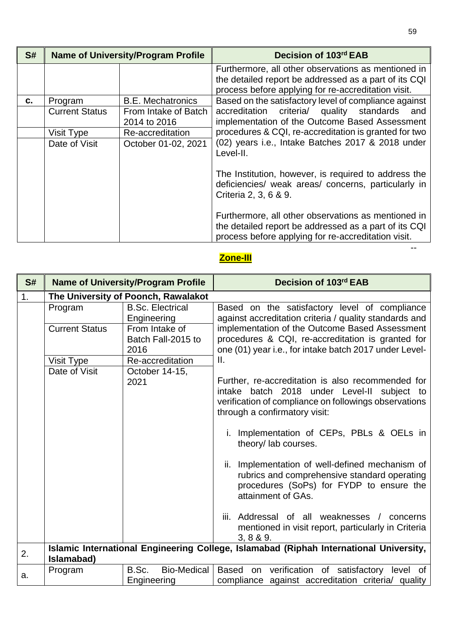| S# | <b>Name of University/Program Profile</b> |                                      | Decision of 103rd EAB                                                                                                                                               |
|----|-------------------------------------------|--------------------------------------|---------------------------------------------------------------------------------------------------------------------------------------------------------------------|
|    |                                           |                                      | Furthermore, all other observations as mentioned in<br>the detailed report be addressed as a part of its CQI<br>process before applying for re-accreditation visit. |
| C. | Program                                   | <b>B.E. Mechatronics</b>             | Based on the satisfactory level of compliance against                                                                                                               |
|    | <b>Current Status</b>                     | From Intake of Batch<br>2014 to 2016 | accreditation criteria/ quality standards<br>and<br>implementation of the Outcome Based Assessment                                                                  |
|    | Visit Type                                | Re-accreditation                     | procedures & CQI, re-accreditation is granted for two                                                                                                               |
|    | Date of Visit                             | October 01-02, 2021                  | (02) years i.e., Intake Batches 2017 & 2018 under<br>Level-II.                                                                                                      |
|    |                                           |                                      | The Institution, however, is required to address the<br>deficiencies/ weak areas/ concerns, particularly in<br>Criteria 2, 3, 6 & 9.                                |
|    |                                           |                                      | Furthermore, all other observations as mentioned in<br>the detailed report be addressed as a part of its CQI<br>process before applying for re-accreditation visit. |

## **Zone-III**

| S# |                       | <b>Name of University/Program Profile</b>    | Decision of 103rd EAB                                                                                                                                                                      |
|----|-----------------------|----------------------------------------------|--------------------------------------------------------------------------------------------------------------------------------------------------------------------------------------------|
| 1. |                       | The University of Poonch, Rawalakot          |                                                                                                                                                                                            |
|    | Program               | <b>B.Sc. Electrical</b><br>Engineering       | Based on the satisfactory level of compliance<br>against accreditation criteria / quality standards and                                                                                    |
|    | <b>Current Status</b> | From Intake of<br>Batch Fall-2015 to<br>2016 | implementation of the Outcome Based Assessment<br>procedures & CQI, re-accreditation is granted for<br>one (01) year i.e., for intake batch 2017 under Level-                              |
|    | Visit Type            | Re-accreditation                             | Ш.                                                                                                                                                                                         |
|    | Date of Visit         | October 14-15,<br>2021                       | Further, re-accreditation is also recommended for<br>intake batch 2018 under Level-II subject to<br>verification of compliance on followings observations<br>through a confirmatory visit: |
|    |                       |                                              | Implementation of CEPs, PBLs & OELs in<br>theory/lab courses.                                                                                                                              |
|    |                       |                                              | Implementation of well-defined mechanism of<br>ii.<br>rubrics and comprehensive standard operating<br>procedures (SoPs) for FYDP to ensure the<br>attainment of GAs.                       |
|    |                       |                                              | Addressal of all weaknesses / concerns<br>iii.<br>mentioned in visit report, particularly in Criteria<br>3, 8 & 9.                                                                         |
| 2. | Islamabad)            |                                              | Islamic International Engineering College, Islamabad (Riphah International University,                                                                                                     |
| a. | Program               | <b>Bio-Medical</b><br>B.Sc.<br>Engineering   | Based on verification of satisfactory level of<br>compliance against accreditation criteria/ quality                                                                                       |

--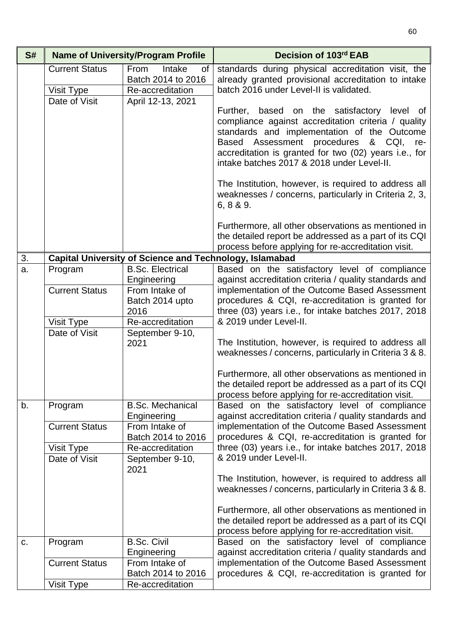| S# | <b>Name of University/Program Profile</b>            |                                                                                            | Decision of 103rd EAB                                                                                                                                                                                                                                                                                 |
|----|------------------------------------------------------|--------------------------------------------------------------------------------------------|-------------------------------------------------------------------------------------------------------------------------------------------------------------------------------------------------------------------------------------------------------------------------------------------------------|
|    | <b>Current Status</b><br>Visit Type<br>Date of Visit | <b>From</b><br>Intake<br>0f<br>Batch 2014 to 2016<br>Re-accreditation<br>April 12-13, 2021 | standards during physical accreditation visit, the<br>already granted provisional accreditation to intake<br>batch 2016 under Level-II is validated.                                                                                                                                                  |
|    |                                                      |                                                                                            | Further, based on the satisfactory level of<br>compliance against accreditation criteria / quality<br>standards and implementation of the Outcome<br>Based Assessment procedures<br>& CQI, re-<br>accreditation is granted for two (02) years i.e., for<br>intake batches 2017 & 2018 under Level-II. |
|    |                                                      |                                                                                            | The Institution, however, is required to address all<br>weaknesses / concerns, particularly in Criteria 2, 3,<br>6, 8 & 9.                                                                                                                                                                            |
|    |                                                      |                                                                                            | Furthermore, all other observations as mentioned in<br>the detailed report be addressed as a part of its CQI<br>process before applying for re-accreditation visit.                                                                                                                                   |
| 3. |                                                      | <b>Capital University of Science and Technology, Islamabad</b>                             |                                                                                                                                                                                                                                                                                                       |
| a. | Program                                              | <b>B.Sc. Electrical</b>                                                                    | Based on the satisfactory level of compliance                                                                                                                                                                                                                                                         |
|    |                                                      | Engineering                                                                                | against accreditation criteria / quality standards and                                                                                                                                                                                                                                                |
|    | <b>Current Status</b>                                | From Intake of                                                                             | implementation of the Outcome Based Assessment                                                                                                                                                                                                                                                        |
|    |                                                      | Batch 2014 upto<br>2016                                                                    | procedures & CQI, re-accreditation is granted for<br>three (03) years i.e., for intake batches 2017, 2018                                                                                                                                                                                             |
|    | Visit Type                                           | Re-accreditation                                                                           | & 2019 under Level-II.                                                                                                                                                                                                                                                                                |
|    | Date of Visit                                        | September 9-10,                                                                            |                                                                                                                                                                                                                                                                                                       |
|    |                                                      | 2021                                                                                       | The Institution, however, is required to address all<br>weaknesses / concerns, particularly in Criteria 3 & 8.                                                                                                                                                                                        |
|    |                                                      |                                                                                            | Furthermore, all other observations as mentioned in<br>the detailed report be addressed as a part of its CQI<br>process before applying for re-accreditation visit.                                                                                                                                   |
| b. | Program                                              | <b>B.Sc. Mechanical</b>                                                                    | Based on the satisfactory level of compliance                                                                                                                                                                                                                                                         |
|    |                                                      | Engineering                                                                                | against accreditation criteria / quality standards and                                                                                                                                                                                                                                                |
|    | <b>Current Status</b>                                | From Intake of<br>Batch 2014 to 2016                                                       | implementation of the Outcome Based Assessment<br>procedures & CQI, re-accreditation is granted for                                                                                                                                                                                                   |
|    | Visit Type                                           | Re-accreditation                                                                           | three (03) years i.e., for intake batches 2017, 2018                                                                                                                                                                                                                                                  |
|    | Date of Visit                                        | September 9-10,                                                                            | & 2019 under Level-II.                                                                                                                                                                                                                                                                                |
|    |                                                      | 2021                                                                                       |                                                                                                                                                                                                                                                                                                       |
|    |                                                      |                                                                                            | The Institution, however, is required to address all<br>weaknesses / concerns, particularly in Criteria 3 & 8.                                                                                                                                                                                        |
|    |                                                      |                                                                                            | Furthermore, all other observations as mentioned in<br>the detailed report be addressed as a part of its CQI<br>process before applying for re-accreditation visit.                                                                                                                                   |
| C. | Program                                              | <b>B.Sc. Civil</b>                                                                         | Based on the satisfactory level of compliance                                                                                                                                                                                                                                                         |
|    |                                                      | Engineering                                                                                | against accreditation criteria / quality standards and                                                                                                                                                                                                                                                |
|    | <b>Current Status</b>                                | From Intake of                                                                             | implementation of the Outcome Based Assessment                                                                                                                                                                                                                                                        |
|    |                                                      | Batch 2014 to 2016                                                                         | procedures & CQI, re-accreditation is granted for                                                                                                                                                                                                                                                     |
|    | Visit Type                                           | Re-accreditation                                                                           |                                                                                                                                                                                                                                                                                                       |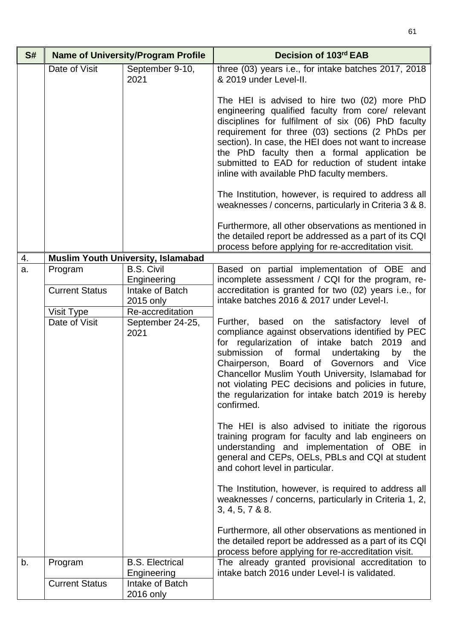| S# | <b>Name of University/Program Profile</b> |                                           | Decision of 103rd EAB                                                                                                                                                                                                                                                                                                                                                                                                                       |
|----|-------------------------------------------|-------------------------------------------|---------------------------------------------------------------------------------------------------------------------------------------------------------------------------------------------------------------------------------------------------------------------------------------------------------------------------------------------------------------------------------------------------------------------------------------------|
|    | Date of Visit                             | September 9-10,<br>2021                   | three (03) years i.e., for intake batches 2017, 2018<br>& 2019 under Level-II.                                                                                                                                                                                                                                                                                                                                                              |
|    |                                           |                                           | The HEI is advised to hire two (02) more PhD<br>engineering qualified faculty from core/ relevant<br>disciplines for fulfilment of six (06) PhD faculty<br>requirement for three (03) sections (2 PhDs per<br>section). In case, the HEI does not want to increase<br>the PhD faculty then a formal application be<br>submitted to EAD for reduction of student intake<br>inline with available PhD faculty members.                        |
|    |                                           |                                           | The Institution, however, is required to address all<br>weaknesses / concerns, particularly in Criteria 3 & 8.                                                                                                                                                                                                                                                                                                                              |
|    |                                           |                                           | Furthermore, all other observations as mentioned in<br>the detailed report be addressed as a part of its CQI<br>process before applying for re-accreditation visit.                                                                                                                                                                                                                                                                         |
| 4. |                                           | <b>Muslim Youth University, Islamabad</b> |                                                                                                                                                                                                                                                                                                                                                                                                                                             |
| a. | Program                                   | <b>B.S. Civil</b><br>Engineering          | Based on partial implementation of OBE and<br>incomplete assessment / CQI for the program, re-                                                                                                                                                                                                                                                                                                                                              |
|    | <b>Current Status</b>                     | Intake of Batch<br>2015 only              | accreditation is granted for two (02) years i.e., for<br>intake batches 2016 & 2017 under Level-I.                                                                                                                                                                                                                                                                                                                                          |
|    | Visit Type                                | Re-accreditation                          |                                                                                                                                                                                                                                                                                                                                                                                                                                             |
|    | Date of Visit                             | September 24-25,<br>2021                  | Further, based on the satisfactory level of<br>compliance against observations identified by PEC<br>for regularization of intake batch 2019<br>and<br>of formal<br>submission<br>undertaking<br>by<br>the<br>Chairperson, Board of Governors<br>Vice<br>and<br>Chancellor Muslim Youth University, Islamabad for<br>not violating PEC decisions and policies in future,<br>the regularization for intake batch 2019 is hereby<br>confirmed. |
|    |                                           |                                           | The HEI is also advised to initiate the rigorous<br>training program for faculty and lab engineers on<br>understanding and implementation of OBE in<br>general and CEPs, OELs, PBLs and CQI at student<br>and cohort level in particular.                                                                                                                                                                                                   |
|    |                                           |                                           | The Institution, however, is required to address all<br>weaknesses / concerns, particularly in Criteria 1, 2,<br>3, 4, 5, 7 & 88.                                                                                                                                                                                                                                                                                                           |
|    |                                           |                                           | Furthermore, all other observations as mentioned in<br>the detailed report be addressed as a part of its CQI<br>process before applying for re-accreditation visit.                                                                                                                                                                                                                                                                         |
| b. | Program                                   | <b>B.S. Electrical</b><br>Engineering     | The already granted provisional accreditation to<br>intake batch 2016 under Level-I is validated.                                                                                                                                                                                                                                                                                                                                           |
|    | <b>Current Status</b>                     | Intake of Batch<br>2016 only              |                                                                                                                                                                                                                                                                                                                                                                                                                                             |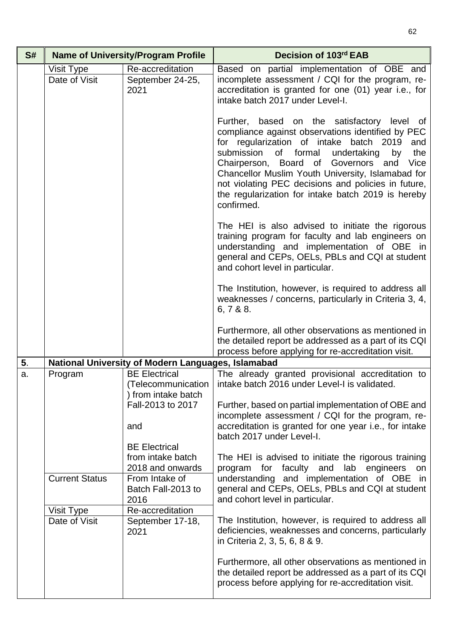| S# | <b>Name of University/Program Profile</b> |                                                    | Decision of 103rd EAB                                                                                                                                                                                                                                                                                                                                                                                                                 |
|----|-------------------------------------------|----------------------------------------------------|---------------------------------------------------------------------------------------------------------------------------------------------------------------------------------------------------------------------------------------------------------------------------------------------------------------------------------------------------------------------------------------------------------------------------------------|
|    | Visit Type<br>Date of Visit               | Re-accreditation<br>September 24-25,<br>2021       | Based on partial implementation of OBE and<br>incomplete assessment / CQI for the program, re-<br>accreditation is granted for one (01) year i.e., for<br>intake batch 2017 under Level-I.                                                                                                                                                                                                                                            |
|    |                                           |                                                    | Further, based on the satisfactory level of<br>compliance against observations identified by PEC<br>for regularization of intake batch 2019<br>and<br>submission of formal undertaking<br>by<br>the<br>Chairperson, Board of Governors<br>Vice<br>and<br>Chancellor Muslim Youth University, Islamabad for<br>not violating PEC decisions and policies in future,<br>the regularization for intake batch 2019 is hereby<br>confirmed. |
|    |                                           |                                                    | The HEI is also advised to initiate the rigorous<br>training program for faculty and lab engineers on<br>understanding and implementation of OBE in<br>general and CEPs, OELs, PBLs and CQI at student<br>and cohort level in particular.                                                                                                                                                                                             |
|    |                                           |                                                    | The Institution, however, is required to address all<br>weaknesses / concerns, particularly in Criteria 3, 4,<br>6, 7 & 8 & 8.                                                                                                                                                                                                                                                                                                        |
|    |                                           |                                                    | Furthermore, all other observations as mentioned in<br>the detailed report be addressed as a part of its CQI<br>process before applying for re-accreditation visit.                                                                                                                                                                                                                                                                   |
| 5. |                                           | National University of Modern Languages, Islamabad |                                                                                                                                                                                                                                                                                                                                                                                                                                       |
| a. | Program                                   | <b>BE Electrical</b><br>) from intake batch        | The already granted provisional accreditation to<br>(Telecommunication   intake batch 2016 under Level-I is validated.                                                                                                                                                                                                                                                                                                                |
|    |                                           | Fall-2013 to 2017<br>and                           | Further, based on partial implementation of OBE and<br>incomplete assessment / CQI for the program, re-<br>accreditation is granted for one year i.e., for intake                                                                                                                                                                                                                                                                     |
|    |                                           |                                                    | batch 2017 under Level-I.                                                                                                                                                                                                                                                                                                                                                                                                             |
|    |                                           | <b>BE Electrical</b><br>from intake batch          | The HEI is advised to initiate the rigorous training                                                                                                                                                                                                                                                                                                                                                                                  |
|    |                                           | 2018 and onwards                                   | program for faculty<br>and lab engineers<br>on                                                                                                                                                                                                                                                                                                                                                                                        |
|    | <b>Current Status</b>                     | From Intake of                                     | understanding and implementation of OBE in                                                                                                                                                                                                                                                                                                                                                                                            |
|    |                                           | Batch Fall-2013 to<br>2016                         | general and CEPs, OELs, PBLs and CQI at student<br>and cohort level in particular.                                                                                                                                                                                                                                                                                                                                                    |
|    | Visit Type                                | Re-accreditation                                   |                                                                                                                                                                                                                                                                                                                                                                                                                                       |
|    | Date of Visit                             | September 17-18,<br>2021                           | The Institution, however, is required to address all<br>deficiencies, weaknesses and concerns, particularly<br>in Criteria 2, 3, 5, 6, 8 & 9.                                                                                                                                                                                                                                                                                         |
|    |                                           |                                                    | Furthermore, all other observations as mentioned in<br>the detailed report be addressed as a part of its CQI<br>process before applying for re-accreditation visit.                                                                                                                                                                                                                                                                   |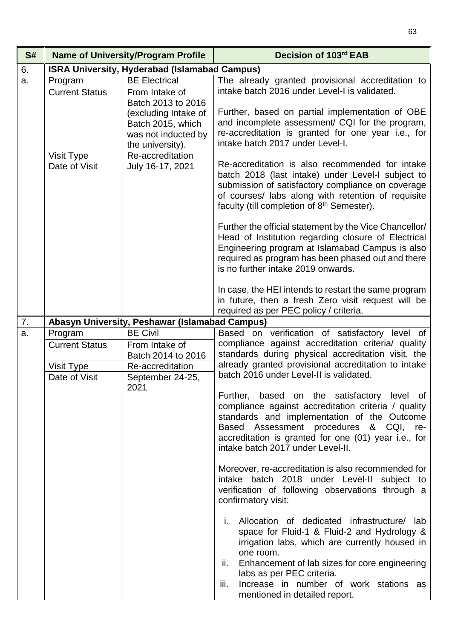| S#                                                                                                                                                   |                                                                                                                                                                                                                                                              | <b>Name of University/Program Profile</b>                                                                                        | Decision of 103rd EAB                                                                                                                                                                                                                                                                                                                                                                                                                                                                                                                                                                                                                                                                                                                                                                                               |
|------------------------------------------------------------------------------------------------------------------------------------------------------|--------------------------------------------------------------------------------------------------------------------------------------------------------------------------------------------------------------------------------------------------------------|----------------------------------------------------------------------------------------------------------------------------------|---------------------------------------------------------------------------------------------------------------------------------------------------------------------------------------------------------------------------------------------------------------------------------------------------------------------------------------------------------------------------------------------------------------------------------------------------------------------------------------------------------------------------------------------------------------------------------------------------------------------------------------------------------------------------------------------------------------------------------------------------------------------------------------------------------------------|
| 6.                                                                                                                                                   |                                                                                                                                                                                                                                                              | <b>ISRA University, Hyderabad (Islamabad Campus)</b>                                                                             |                                                                                                                                                                                                                                                                                                                                                                                                                                                                                                                                                                                                                                                                                                                                                                                                                     |
| a.                                                                                                                                                   | Program<br><b>Current Status</b>                                                                                                                                                                                                                             | <b>BE Electrical</b><br>From Intake of<br>Batch 2013 to 2016<br>(excluding Intake of<br>Batch 2015, which<br>was not inducted by | The already granted provisional accreditation to<br>intake batch 2016 under Level-I is validated.<br>Further, based on partial implementation of OBE<br>and incomplete assessment/ CQI for the program,<br>re-accreditation is granted for one year i.e., for                                                                                                                                                                                                                                                                                                                                                                                                                                                                                                                                                       |
|                                                                                                                                                      | Visit Type<br>Date of Visit                                                                                                                                                                                                                                  | the university).<br>Re-accreditation<br>July 16-17, 2021                                                                         | intake batch 2017 under Level-I.<br>Re-accreditation is also recommended for intake<br>batch 2018 (last intake) under Level-I subject to<br>submission of satisfactory compliance on coverage<br>of courses/ labs along with retention of requisite<br>faculty (till completion of 8 <sup>th</sup> Semester).<br>Further the official statement by the Vice Chancellor/<br>Head of Institution regarding closure of Electrical<br>Engineering program at Islamabad Campus is also<br>required as program has been phased out and there<br>is no further intake 2019 onwards.<br>In case, the HEI intends to restart the same program<br>in future, then a fresh Zero visit request will be                                                                                                                          |
|                                                                                                                                                      |                                                                                                                                                                                                                                                              |                                                                                                                                  | required as per PEC policy / criteria.                                                                                                                                                                                                                                                                                                                                                                                                                                                                                                                                                                                                                                                                                                                                                                              |
| 7.                                                                                                                                                   |                                                                                                                                                                                                                                                              | Abasyn University, Peshawar (Islamabad Campus)                                                                                   |                                                                                                                                                                                                                                                                                                                                                                                                                                                                                                                                                                                                                                                                                                                                                                                                                     |
| <b>BE Civil</b><br>Program<br>a.<br><b>Current Status</b><br>From Intake of<br>Batch 2014 to 2016<br>Visit Type<br>Re-accreditation<br>Date of Visit | Based on verification of satisfactory level of<br>compliance against accreditation criteria/ quality<br>standards during physical accreditation visit, the<br>already granted provisional accreditation to intake<br>batch 2016 under Level-II is validated. |                                                                                                                                  |                                                                                                                                                                                                                                                                                                                                                                                                                                                                                                                                                                                                                                                                                                                                                                                                                     |
|                                                                                                                                                      |                                                                                                                                                                                                                                                              | September 24-25,<br>2021                                                                                                         | Further, based on the satisfactory level of<br>compliance against accreditation criteria / quality<br>standards and implementation of the Outcome<br>Based Assessment procedures & CQI, re-<br>accreditation is granted for one (01) year i.e., for<br>intake batch 2017 under Level-II.<br>Moreover, re-accreditation is also recommended for<br>intake batch 2018 under Level-II subject to<br>verification of following observations through a<br>confirmatory visit:<br>Allocation of dedicated infrastructure/ lab<br>i.<br>space for Fluid-1 & Fluid-2 and Hydrology &<br>irrigation labs, which are currently housed in<br>one room.<br>Enhancement of lab sizes for core engineering<br>ii.<br>labs as per PEC criteria.<br>Increase in number of work stations as<br>iii.<br>mentioned in detailed report. |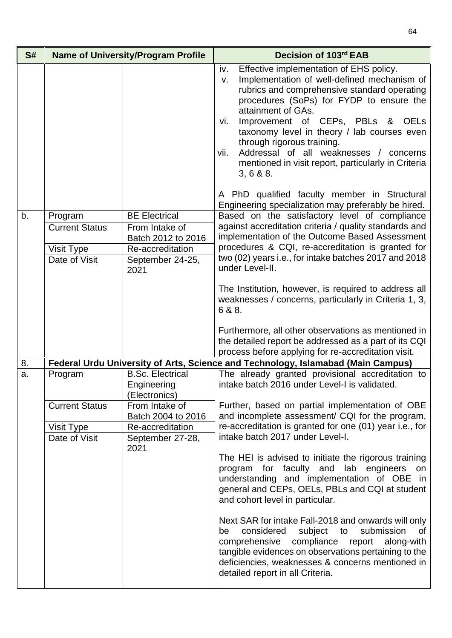| S# | <b>Name of University/Program Profile</b>                       |                                                                                                              | Decision of 103rd EAB                                                                                                                                                                                                                                                                                                                                                                                                                                                                                                                                                                                       |
|----|-----------------------------------------------------------------|--------------------------------------------------------------------------------------------------------------|-------------------------------------------------------------------------------------------------------------------------------------------------------------------------------------------------------------------------------------------------------------------------------------------------------------------------------------------------------------------------------------------------------------------------------------------------------------------------------------------------------------------------------------------------------------------------------------------------------------|
|    |                                                                 |                                                                                                              | Effective implementation of EHS policy.<br>iv.<br>Implementation of well-defined mechanism of<br>V.<br>rubrics and comprehensive standard operating<br>procedures (SoPs) for FYDP to ensure the<br>attainment of GAs.<br>Improvement of CEPs, PBLs & OELs<br>vi.<br>taxonomy level in theory / lab courses even<br>through rigorous training.<br>Addressal of all weaknesses / concerns<br>vii.<br>mentioned in visit report, particularly in Criteria<br>3, 6 & 8.8<br>A PhD qualified faculty member in Structural                                                                                        |
|    |                                                                 |                                                                                                              | Engineering specialization may preferably be hired.                                                                                                                                                                                                                                                                                                                                                                                                                                                                                                                                                         |
| b. | Program<br><b>Current Status</b><br>Visit Type<br>Date of Visit | <b>BE Electrical</b><br>From Intake of<br>Batch 2012 to 2016<br>Re-accreditation<br>September 24-25,<br>2021 | Based on the satisfactory level of compliance<br>against accreditation criteria / quality standards and<br>implementation of the Outcome Based Assessment<br>procedures & CQI, re-accreditation is granted for<br>two (02) years i.e., for intake batches 2017 and 2018<br>under Level-II.                                                                                                                                                                                                                                                                                                                  |
|    |                                                                 |                                                                                                              | The Institution, however, is required to address all<br>weaknesses / concerns, particularly in Criteria 1, 3,<br>6 & 8.                                                                                                                                                                                                                                                                                                                                                                                                                                                                                     |
|    |                                                                 |                                                                                                              | Furthermore, all other observations as mentioned in<br>the detailed report be addressed as a part of its CQI<br>process before applying for re-accreditation visit.                                                                                                                                                                                                                                                                                                                                                                                                                                         |
| 8. |                                                                 |                                                                                                              | Federal Urdu University of Arts, Science and Technology, Islamabad (Main Campus)                                                                                                                                                                                                                                                                                                                                                                                                                                                                                                                            |
| a. | Program                                                         | <b>B.Sc. Electrical</b><br>Engineering<br>(Electronics)                                                      | The already granted provisional accreditation to<br>intake batch 2016 under Level-I is validated.                                                                                                                                                                                                                                                                                                                                                                                                                                                                                                           |
|    | <b>Current Status</b>                                           | From Intake of<br>Batch 2004 to 2016                                                                         | Further, based on partial implementation of OBE<br>and incomplete assessment/ CQI for the program,                                                                                                                                                                                                                                                                                                                                                                                                                                                                                                          |
|    | Visit Type                                                      | Re-accreditation                                                                                             | re-accreditation is granted for one (01) year i.e., for                                                                                                                                                                                                                                                                                                                                                                                                                                                                                                                                                     |
|    | Date of Visit                                                   | September 27-28,<br>2021                                                                                     | intake batch 2017 under Level-I.<br>The HEI is advised to initiate the rigorous training<br>for faculty<br>and<br>lab engineers<br>program<br>on<br>understanding and implementation of OBE in<br>general and CEPs, OELs, PBLs and CQI at student<br>and cohort level in particular.<br>Next SAR for intake Fall-2018 and onwards will only<br>considered<br>subject<br>submission<br>to<br>0f<br>be<br>compliance<br>comprehensive<br>report<br>along-with<br>tangible evidences on observations pertaining to the<br>deficiencies, weaknesses & concerns mentioned in<br>detailed report in all Criteria. |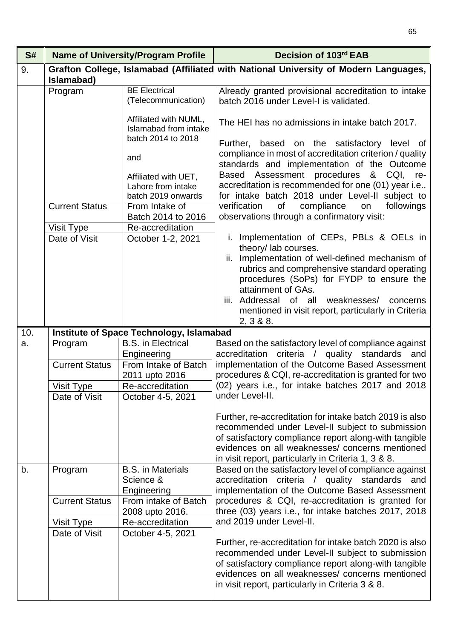| S#  |                                                                 | <b>Name of University/Program Profile</b>                                                                                                                                                                                                                         | Decision of 103rd EAB                                                                                                                                                                                                                                                                                                                                                                                                                                                                                                                                                             |
|-----|-----------------------------------------------------------------|-------------------------------------------------------------------------------------------------------------------------------------------------------------------------------------------------------------------------------------------------------------------|-----------------------------------------------------------------------------------------------------------------------------------------------------------------------------------------------------------------------------------------------------------------------------------------------------------------------------------------------------------------------------------------------------------------------------------------------------------------------------------------------------------------------------------------------------------------------------------|
| 9.  |                                                                 |                                                                                                                                                                                                                                                                   | Grafton College, Islamabad (Affiliated with National University of Modern Languages,                                                                                                                                                                                                                                                                                                                                                                                                                                                                                              |
|     | Islamabad)<br>Program<br><b>Current Status</b><br>Visit Type    | <b>BE Electrical</b><br>(Telecommunication)<br>Affiliated with NUML,<br><b>Islamabad from intake</b><br>batch 2014 to 2018<br>and<br>Affiliated with UET,<br>Lahore from intake<br>batch 2019 onwards<br>From Intake of<br>Batch 2014 to 2016<br>Re-accreditation | Already granted provisional accreditation to intake<br>batch 2016 under Level-I is validated.<br>The HEI has no admissions in intake batch 2017.<br>Further, based on the satisfactory level of<br>compliance in most of accreditation criterion / quality<br>standards and implementation of the Outcome<br>procedures<br>Based Assessment<br>& CQI, re-<br>accreditation is recommended for one (01) year i.e.,<br>for intake batch 2018 under Level-II subject to<br>verification<br>of<br>compliance<br>followings<br>on<br>observations through a confirmatory visit:        |
|     | Date of Visit                                                   | October 1-2, 2021                                                                                                                                                                                                                                                 | Implementation of CEPs, PBLs & OELs in<br>theory/ lab courses.<br>ii. Implementation of well-defined mechanism of<br>rubrics and comprehensive standard operating<br>procedures (SoPs) for FYDP to ensure the<br>attainment of GAs.<br>iii. Addressal of all weaknesses/ concerns<br>mentioned in visit report, particularly in Criteria<br>2, 3 & 8.8                                                                                                                                                                                                                            |
| 10. |                                                                 | <b>Institute of Space Technology, Islamabad</b>                                                                                                                                                                                                                   |                                                                                                                                                                                                                                                                                                                                                                                                                                                                                                                                                                                   |
| a.  | Program<br><b>Current Status</b><br>Visit Type<br>Date of Visit | <b>B.S.</b> in Electrical<br>Engineering<br>From Intake of Batch<br>2011 upto 2016<br>Re-accreditation<br>October 4-5, 2021                                                                                                                                       | Based on the satisfactory level of compliance against<br>accreditation criteria / quality standards and<br>implementation of the Outcome Based Assessment<br>procedures & CQI, re-accreditation is granted for two<br>(02) years i.e., for intake batches 2017 and 2018<br>under Level-II.                                                                                                                                                                                                                                                                                        |
|     |                                                                 |                                                                                                                                                                                                                                                                   | Further, re-accreditation for intake batch 2019 is also<br>recommended under Level-II subject to submission<br>of satisfactory compliance report along-with tangible<br>evidences on all weaknesses/ concerns mentioned<br>in visit report, particularly in Criteria 1, 3 & 8.                                                                                                                                                                                                                                                                                                    |
| b.  | Program<br><b>Current Status</b><br>Visit Type<br>Date of Visit | <b>B.S.</b> in Materials<br>Science &<br>Engineering<br>From intake of Batch<br>2008 upto 2016.<br>Re-accreditation<br>October 4-5, 2021                                                                                                                          | Based on the satisfactory level of compliance against<br>accreditation criteria / quality standards and<br>implementation of the Outcome Based Assessment<br>procedures & CQI, re-accreditation is granted for<br>three (03) years i.e., for intake batches 2017, 2018<br>and 2019 under Level-II.<br>Further, re-accreditation for intake batch 2020 is also<br>recommended under Level-II subject to submission<br>of satisfactory compliance report along-with tangible<br>evidences on all weaknesses/ concerns mentioned<br>in visit report, particularly in Criteria 3 & 8. |

65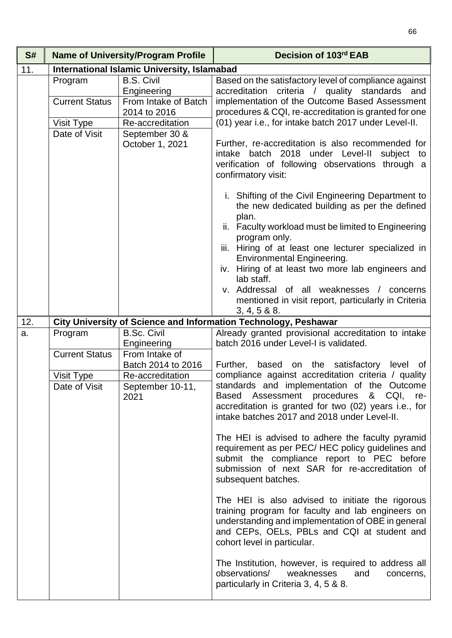| S#  | <b>Name of University/Program Profile</b> |                                                          | Decision of 103rd EAB                                                                                                                                                                                                                                                                                    |
|-----|-------------------------------------------|----------------------------------------------------------|----------------------------------------------------------------------------------------------------------------------------------------------------------------------------------------------------------------------------------------------------------------------------------------------------------|
| 11. |                                           | <b>International Islamic University, Islamabad</b>       |                                                                                                                                                                                                                                                                                                          |
|     | Program<br><b>Current Status</b>          | <b>B.S. Civil</b><br>Engineering<br>From Intake of Batch | Based on the satisfactory level of compliance against<br>accreditation criteria / quality standards and<br>implementation of the Outcome Based Assessment                                                                                                                                                |
|     |                                           | 2014 to 2016                                             | procedures & CQI, re-accreditation is granted for one                                                                                                                                                                                                                                                    |
|     | Visit Type                                | Re-accreditation                                         | (01) year i.e., for intake batch 2017 under Level-II.                                                                                                                                                                                                                                                    |
|     | Date of Visit                             | September 30 &<br>October 1, 2021                        | Further, re-accreditation is also recommended for<br>intake batch 2018 under Level-II subject to<br>verification of following observations through a<br>confirmatory visit:                                                                                                                              |
|     |                                           |                                                          | i. Shifting of the Civil Engineering Department to<br>the new dedicated building as per the defined<br>plan.                                                                                                                                                                                             |
|     |                                           |                                                          | ii. Faculty workload must be limited to Engineering                                                                                                                                                                                                                                                      |
|     |                                           |                                                          | program only.<br>iii. Hiring of at least one lecturer specialized in<br><b>Environmental Engineering.</b>                                                                                                                                                                                                |
|     |                                           |                                                          | iv. Hiring of at least two more lab engineers and<br>lab staff.                                                                                                                                                                                                                                          |
|     |                                           |                                                          | v. Addressal of all weaknesses / concerns                                                                                                                                                                                                                                                                |
|     |                                           |                                                          | mentioned in visit report, particularly in Criteria                                                                                                                                                                                                                                                      |
|     |                                           |                                                          | $3, 4, 5 & 88$ .                                                                                                                                                                                                                                                                                         |
| 12. |                                           |                                                          | City University of Science and Information Technology, Peshawar                                                                                                                                                                                                                                          |
| a.  | Program                                   | <b>B.Sc. Civil</b>                                       | Already granted provisional accreditation to intake                                                                                                                                                                                                                                                      |
|     |                                           | Engineering                                              | batch 2016 under Level-I is validated.                                                                                                                                                                                                                                                                   |
|     | <b>Current Status</b>                     | From Intake of<br>Batch 2014 to 2016                     | Further,<br>level                                                                                                                                                                                                                                                                                        |
|     | <b>Visit Type</b><br>Date of Visit        | Re-accreditation<br>September 10-11,<br>2021             | based on the satisfactory<br>of<br>compliance against accreditation criteria / quality<br>standards and implementation of the Outcome<br>& CQI,<br><b>Based</b><br>Assessment procedures<br>re-<br>accreditation is granted for two (02) years i.e., for<br>intake batches 2017 and 2018 under Level-II. |
|     |                                           |                                                          | The HEI is advised to adhere the faculty pyramid<br>requirement as per PEC/HEC policy guidelines and<br>submit the compliance report to PEC before<br>submission of next SAR for re-accreditation of<br>subsequent batches.                                                                              |
|     |                                           |                                                          | The HEI is also advised to initiate the rigorous<br>training program for faculty and lab engineers on<br>understanding and implementation of OBE in general<br>and CEPs, OELs, PBLs and CQI at student and<br>cohort level in particular.                                                                |
|     |                                           |                                                          | The Institution, however, is required to address all<br>observations/<br>weaknesses<br>and<br>concerns,<br>particularly in Criteria 3, 4, 5 & 8.                                                                                                                                                         |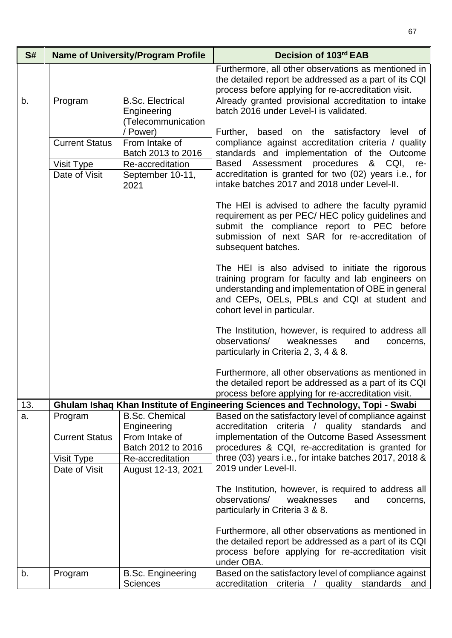| S#  | <b>Name of University/Program Profile</b> |                                                                              | Decision of 103rd EAB                                                                                                                                                                                                                     |
|-----|-------------------------------------------|------------------------------------------------------------------------------|-------------------------------------------------------------------------------------------------------------------------------------------------------------------------------------------------------------------------------------------|
|     |                                           |                                                                              | Furthermore, all other observations as mentioned in<br>the detailed report be addressed as a part of its CQI<br>process before applying for re-accreditation visit.                                                                       |
| b.  | Program                                   | <b>B.Sc. Electrical</b><br>Engineering<br>(Telecommunication                 | Already granted provisional accreditation to intake<br>batch 2016 under Level-I is validated.                                                                                                                                             |
|     | <b>Current Status</b>                     | / Power)<br>From Intake of                                                   | Further, based on the satisfactory level of<br>compliance against accreditation criteria / quality                                                                                                                                        |
|     | Visit Type<br>Date of Visit               | Batch 2013 to 2016<br>Re-accreditation<br>September 10-11,<br>2021           | standards and implementation of the Outcome<br>Assessment procedures<br>Based<br>& CQI, re-<br>accreditation is granted for two (02) years i.e., for<br>intake batches 2017 and 2018 under Level-II.                                      |
|     |                                           |                                                                              | The HEI is advised to adhere the faculty pyramid<br>requirement as per PEC/HEC policy guidelines and<br>submit the compliance report to PEC before<br>submission of next SAR for re-accreditation of<br>subsequent batches.               |
|     |                                           |                                                                              | The HEI is also advised to initiate the rigorous<br>training program for faculty and lab engineers on<br>understanding and implementation of OBE in general<br>and CEPs, OELs, PBLs and CQI at student and<br>cohort level in particular. |
|     |                                           |                                                                              | The Institution, however, is required to address all<br>observations/<br>weaknesses<br>and<br>concerns,<br>particularly in Criteria 2, 3, 4 & 8.                                                                                          |
|     |                                           |                                                                              | Furthermore, all other observations as mentioned in<br>the detailed report be addressed as a part of its CQI<br>process before applying for re-accreditation visit.                                                                       |
| 13. |                                           |                                                                              | Ghulam Ishaq Khan Institute of Engineering Sciences and Technology, Topi - Swabi                                                                                                                                                          |
| a.  | Program<br><b>Current Status</b>          | <b>B.Sc. Chemical</b><br>Engineering<br>From Intake of<br>Batch 2012 to 2016 | Based on the satisfactory level of compliance against<br>accreditation criteria / quality standards and<br>implementation of the Outcome Based Assessment<br>procedures & CQI, re-accreditation is granted for                            |
|     | Visit Type<br>Date of Visit               | Re-accreditation<br>August 12-13, 2021                                       | three (03) years i.e., for intake batches 2017, 2018 &<br>2019 under Level-II.                                                                                                                                                            |
|     |                                           |                                                                              | The Institution, however, is required to address all<br>observations/<br>weaknesses<br>and<br>concerns,<br>particularly in Criteria 3 & 8.                                                                                                |
|     |                                           |                                                                              | Furthermore, all other observations as mentioned in<br>the detailed report be addressed as a part of its CQI<br>process before applying for re-accreditation visit<br>under OBA.                                                          |
| b.  | Program                                   | <b>B.Sc. Engineering</b><br><b>Sciences</b>                                  | Based on the satisfactory level of compliance against<br>accreditation criteria / quality standards<br>and                                                                                                                                |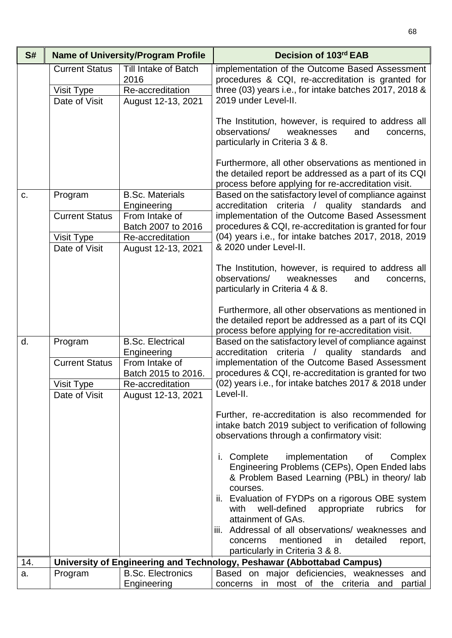| S#  |                                                      | <b>Name of University/Program Profile</b>                              | Decision of 103rd EAB                                                                                                                                                                                                                                      |
|-----|------------------------------------------------------|------------------------------------------------------------------------|------------------------------------------------------------------------------------------------------------------------------------------------------------------------------------------------------------------------------------------------------------|
|     | <b>Current Status</b><br>Visit Type<br>Date of Visit | Till Intake of Batch<br>2016<br>Re-accreditation<br>August 12-13, 2021 | implementation of the Outcome Based Assessment<br>procedures & CQI, re-accreditation is granted for<br>three (03) years i.e., for intake batches 2017, 2018 &<br>2019 under Level-II.                                                                      |
|     |                                                      |                                                                        | The Institution, however, is required to address all<br>observations/<br>weaknesses<br>and<br>concerns,<br>particularly in Criteria 3 & 8.<br>Furthermore, all other observations as mentioned in<br>the detailed report be addressed as a part of its CQI |
| C.  | Program                                              | <b>B.Sc. Materials</b>                                                 | process before applying for re-accreditation visit.<br>Based on the satisfactory level of compliance against                                                                                                                                               |
|     |                                                      | Engineering                                                            | accreditation criteria / quality standards and                                                                                                                                                                                                             |
|     | <b>Current Status</b><br>Visit Type                  | From Intake of<br>Batch 2007 to 2016<br>Re-accreditation               | implementation of the Outcome Based Assessment<br>procedures & CQI, re-accreditation is granted for four<br>(04) years i.e., for intake batches 2017, 2018, 2019                                                                                           |
|     | Date of Visit                                        | August 12-13, 2021                                                     | & 2020 under Level-II.                                                                                                                                                                                                                                     |
|     |                                                      |                                                                        | The Institution, however, is required to address all<br>observations/<br>weaknesses<br>and<br>concerns,<br>particularly in Criteria 4 & 8.                                                                                                                 |
|     |                                                      |                                                                        | Furthermore, all other observations as mentioned in<br>the detailed report be addressed as a part of its CQI<br>process before applying for re-accreditation visit.                                                                                        |
| d.  | Program                                              | <b>B.Sc. Electrical</b><br>Engineering                                 | Based on the satisfactory level of compliance against<br>accreditation criteria / quality standards and                                                                                                                                                    |
|     | <b>Current Status</b>                                | From Intake of<br>Batch 2015 to 2016.                                  | implementation of the Outcome Based Assessment<br>procedures & CQI, re-accreditation is granted for two                                                                                                                                                    |
|     | Visit Type<br>Date of Visit                          | Re-accreditation<br>August 12-13, 2021                                 | (02) years i.e., for intake batches 2017 & 2018 under<br>Level-II.                                                                                                                                                                                         |
|     |                                                      |                                                                        | Further, re-accreditation is also recommended for<br>intake batch 2019 subject to verification of following<br>observations through a confirmatory visit:                                                                                                  |
|     |                                                      |                                                                        | i. Complete<br>implementation<br>Complex<br>of<br>Engineering Problems (CEPs), Open Ended labs<br>& Problem Based Learning (PBL) in theory/ lab<br>courses.                                                                                                |
|     |                                                      |                                                                        | ii. Evaluation of FYDPs on a rigorous OBE system<br>well-defined<br>with<br>appropriate<br>rubrics<br>for<br>attainment of GAs.                                                                                                                            |
|     |                                                      |                                                                        | iii. Addressal of all observations/ weaknesses and<br>mentioned<br>detailed<br>concerns<br>in<br>report,                                                                                                                                                   |
|     |                                                      |                                                                        | particularly in Criteria 3 & 8.                                                                                                                                                                                                                            |
| 14. |                                                      |                                                                        | University of Engineering and Technology, Peshawar (Abbottabad Campus)                                                                                                                                                                                     |
| a.  | Program                                              | <b>B.Sc. Electronics</b><br>Engineering                                | Based on major deficiencies, weaknesses and<br>concerns in most of the criteria and partial                                                                                                                                                                |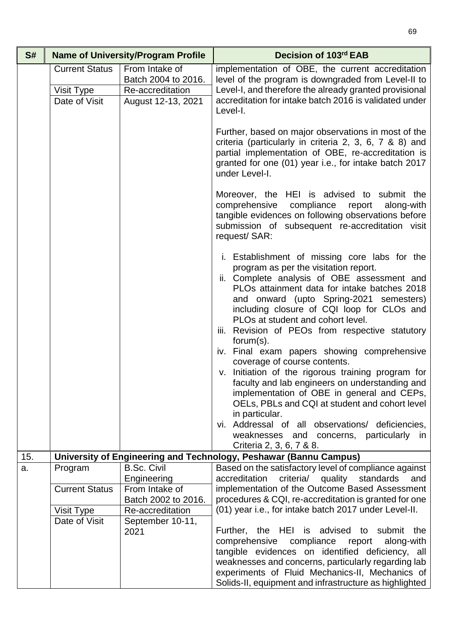| S#  |                                                      | <b>Name of University/Program Profile</b>                                       | Decision of 103rd EAB                                                                                                                                                                                                                                                                                                                                                                                                                                                                                                                                                                                                                                                                                                                                                                             |
|-----|------------------------------------------------------|---------------------------------------------------------------------------------|---------------------------------------------------------------------------------------------------------------------------------------------------------------------------------------------------------------------------------------------------------------------------------------------------------------------------------------------------------------------------------------------------------------------------------------------------------------------------------------------------------------------------------------------------------------------------------------------------------------------------------------------------------------------------------------------------------------------------------------------------------------------------------------------------|
|     | <b>Current Status</b><br>Visit Type<br>Date of Visit | From Intake of<br>Batch 2004 to 2016.<br>Re-accreditation<br>August 12-13, 2021 | implementation of OBE, the current accreditation<br>level of the program is downgraded from Level-II to<br>Level-I, and therefore the already granted provisional<br>accreditation for intake batch 2016 is validated under<br>Level-I.                                                                                                                                                                                                                                                                                                                                                                                                                                                                                                                                                           |
|     |                                                      |                                                                                 | Further, based on major observations in most of the<br>criteria (particularly in criteria 2, 3, 6, 7 & 8) and<br>partial implementation of OBE, re-accreditation is<br>granted for one (01) year i.e., for intake batch 2017<br>under Level-I.                                                                                                                                                                                                                                                                                                                                                                                                                                                                                                                                                    |
|     |                                                      |                                                                                 | Moreover, the HEI is advised to submit the<br>comprehensive<br>compliance<br>report<br>along-with<br>tangible evidences on following observations before<br>submission of subsequent re-accreditation visit<br>request/ SAR:                                                                                                                                                                                                                                                                                                                                                                                                                                                                                                                                                                      |
|     |                                                      |                                                                                 | i. Establishment of missing core labs for the<br>program as per the visitation report.<br>ii. Complete analysis of OBE assessment and<br>PLOs attainment data for intake batches 2018<br>and onward (upto Spring-2021 semesters)<br>including closure of CQI loop for CLOs and<br>PLOs at student and cohort level.<br>Revision of PEOs from respective statutory<br>iii.<br>$form(s)$ .<br>iv. Final exam papers showing comprehensive<br>coverage of course contents.<br>v. Initiation of the rigorous training program for<br>faculty and lab engineers on understanding and<br>implementation of OBE in general and CEPs,<br>OELs, PBLs and CQI at student and cohort level<br>in particular.<br>vi. Addressal of all observations/ deficiencies,<br>weaknesses and concerns, particularly in |
| 15. |                                                      |                                                                                 | Criteria 2, 3, 6, 7 & 8.<br>University of Engineering and Technology, Peshawar (Bannu Campus)                                                                                                                                                                                                                                                                                                                                                                                                                                                                                                                                                                                                                                                                                                     |
| a.  | Program                                              | <b>B.Sc. Civil</b>                                                              | Based on the satisfactory level of compliance against                                                                                                                                                                                                                                                                                                                                                                                                                                                                                                                                                                                                                                                                                                                                             |
|     | <b>Current Status</b>                                | Engineering<br>From Intake of<br>Batch 2002 to 2016.                            | accreditation<br>criteria/ quality<br>standards<br>and<br>implementation of the Outcome Based Assessment<br>procedures & CQI, re-accreditation is granted for one                                                                                                                                                                                                                                                                                                                                                                                                                                                                                                                                                                                                                                 |
|     | Visit Type                                           | Re-accreditation                                                                | (01) year i.e., for intake batch 2017 under Level-II.                                                                                                                                                                                                                                                                                                                                                                                                                                                                                                                                                                                                                                                                                                                                             |
|     | Date of Visit                                        | September 10-11,<br>2021                                                        | Further, the HEI is advised to submit the<br>compliance report<br>comprehensive<br>along-with<br>tangible evidences on identified deficiency, all<br>weaknesses and concerns, particularly regarding lab<br>experiments of Fluid Mechanics-II, Mechanics of<br>Solids-II, equipment and infrastructure as highlighted                                                                                                                                                                                                                                                                                                                                                                                                                                                                             |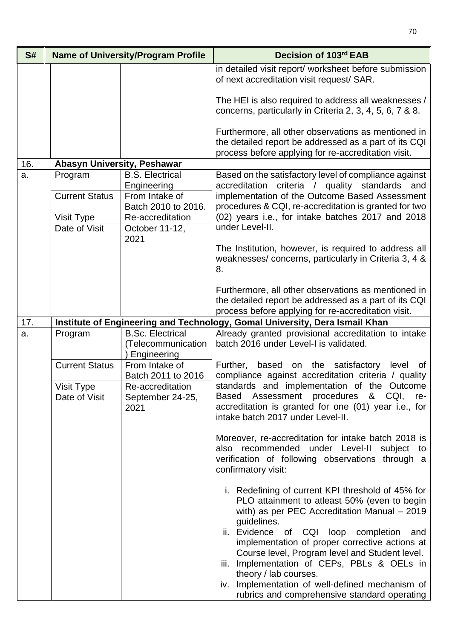| S#  |                                  | <b>Name of University/Program Profile</b>                    | Decision of 103rd EAB                                                                                                                                                                                                                                                                                                                                                                                                                                                                            |
|-----|----------------------------------|--------------------------------------------------------------|--------------------------------------------------------------------------------------------------------------------------------------------------------------------------------------------------------------------------------------------------------------------------------------------------------------------------------------------------------------------------------------------------------------------------------------------------------------------------------------------------|
|     |                                  |                                                              | in detailed visit report/ worksheet before submission<br>of next accreditation visit request/ SAR.                                                                                                                                                                                                                                                                                                                                                                                               |
|     |                                  |                                                              | The HEI is also required to address all weaknesses /<br>concerns, particularly in Criteria 2, 3, 4, 5, 6, 7 & 8.                                                                                                                                                                                                                                                                                                                                                                                 |
|     |                                  |                                                              | Furthermore, all other observations as mentioned in<br>the detailed report be addressed as a part of its CQI<br>process before applying for re-accreditation visit.                                                                                                                                                                                                                                                                                                                              |
| 16. | Abasyn University, Peshawar      |                                                              |                                                                                                                                                                                                                                                                                                                                                                                                                                                                                                  |
| a.  | Program<br><b>Current Status</b> | <b>B.S. Electrical</b><br>Engineering<br>From Intake of      | Based on the satisfactory level of compliance against<br>accreditation criteria / quality standards and                                                                                                                                                                                                                                                                                                                                                                                          |
|     |                                  | Batch 2010 to 2016.                                          | implementation of the Outcome Based Assessment<br>procedures & CQI, re-accreditation is granted for two                                                                                                                                                                                                                                                                                                                                                                                          |
|     | Visit Type<br>Date of Visit      | Re-accreditation<br>October 11-12,<br>2021                   | (02) years i.e., for intake batches 2017 and 2018<br>under Level-II.                                                                                                                                                                                                                                                                                                                                                                                                                             |
|     |                                  |                                                              | The Institution, however, is required to address all<br>weaknesses/concerns, particularly in Criteria 3, 4 &<br>8.                                                                                                                                                                                                                                                                                                                                                                               |
|     |                                  |                                                              | Furthermore, all other observations as mentioned in<br>the detailed report be addressed as a part of its CQI<br>process before applying for re-accreditation visit.                                                                                                                                                                                                                                                                                                                              |
| 17. |                                  |                                                              | Institute of Engineering and Technology, Gomal University, Dera Ismail Khan                                                                                                                                                                                                                                                                                                                                                                                                                      |
| a.  | Program                          | <b>B.Sc. Electrical</b><br>(Telecommunication<br>Engineering | Already granted provisional accreditation to intake<br>batch 2016 under Level-I is validated.                                                                                                                                                                                                                                                                                                                                                                                                    |
|     | <b>Current Status</b>            | From Intake of<br>Batch 2011 to 2016                         | based on the satisfactory<br>Further,<br>level<br>0f<br>compliance against accreditation criteria / quality                                                                                                                                                                                                                                                                                                                                                                                      |
|     | Visit Type<br>Date of Visit      | Re-accreditation<br>September 24-25,<br>2021                 | standards and implementation of the Outcome<br>Assessment procedures<br>& CQI,<br><b>Based</b><br>re-<br>accreditation is granted for one (01) year i.e., for<br>intake batch 2017 under Level-II.                                                                                                                                                                                                                                                                                               |
|     |                                  |                                                              | Moreover, re-accreditation for intake batch 2018 is<br>also recommended under Level-II<br>subject to<br>verification of following observations through a<br>confirmatory visit:                                                                                                                                                                                                                                                                                                                  |
|     |                                  |                                                              | i. Redefining of current KPI threshold of 45% for<br>PLO attainment to atleast 50% (even to begin<br>with) as per PEC Accreditation Manual - 2019<br>guidelines.<br>ii. Evidence of CQI loop completion<br>and<br>implementation of proper corrective actions at<br>Course level, Program level and Student level.<br>Implementation of CEPs, PBLs & OELs in<br>iii.<br>theory / lab courses.<br>iv. Implementation of well-defined mechanism of<br>rubrics and comprehensive standard operating |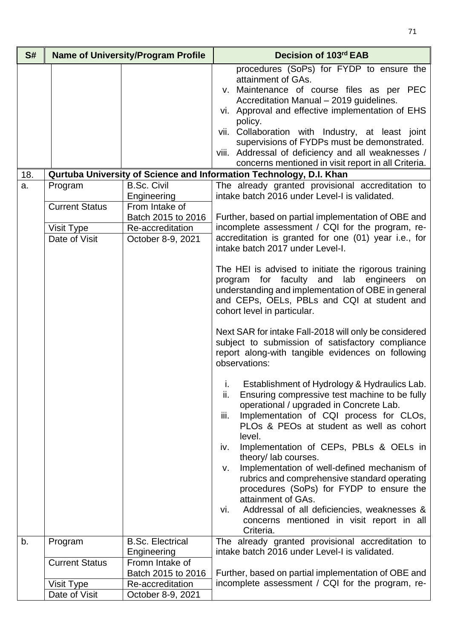| S#  | <b>Name of University/Program Profile</b>            |                                                                                              | Decision of 103rd EAB                                                                                                                                                                                                                                                                                                                                                                                                                                                                                                                                                                                                                                                                                                                                                                                                                                                |
|-----|------------------------------------------------------|----------------------------------------------------------------------------------------------|----------------------------------------------------------------------------------------------------------------------------------------------------------------------------------------------------------------------------------------------------------------------------------------------------------------------------------------------------------------------------------------------------------------------------------------------------------------------------------------------------------------------------------------------------------------------------------------------------------------------------------------------------------------------------------------------------------------------------------------------------------------------------------------------------------------------------------------------------------------------|
| 18. |                                                      |                                                                                              | procedures (SoPs) for FYDP to ensure the<br>attainment of GAs.<br>v. Maintenance of course files as per PEC<br>Accreditation Manual - 2019 guidelines.<br>vi. Approval and effective implementation of EHS<br>policy.<br>vii. Collaboration with Industry, at least joint<br>supervisions of FYDPs must be demonstrated.<br>viii. Addressal of deficiency and all weaknesses /<br>concerns mentioned in visit report in all Criteria.<br>Qurtuba University of Science and Information Technology, D.I. Khan                                                                                                                                                                                                                                                                                                                                                         |
| a.  | Program                                              | <b>B.Sc. Civil</b>                                                                           | The already granted provisional accreditation to                                                                                                                                                                                                                                                                                                                                                                                                                                                                                                                                                                                                                                                                                                                                                                                                                     |
|     | <b>Current Status</b><br>Visit Type<br>Date of Visit | Engineering<br>From Intake of<br>Batch 2015 to 2016<br>Re-accreditation<br>October 8-9, 2021 | intake batch 2016 under Level-I is validated.<br>Further, based on partial implementation of OBE and<br>incomplete assessment / CQI for the program, re-<br>accreditation is granted for one (01) year i.e., for<br>intake batch 2017 under Level-I.                                                                                                                                                                                                                                                                                                                                                                                                                                                                                                                                                                                                                 |
|     |                                                      |                                                                                              | The HEI is advised to initiate the rigorous training<br>program for faculty and lab engineers on<br>understanding and implementation of OBE in general<br>and CEPs, OELs, PBLs and CQI at student and<br>cohort level in particular.<br>Next SAR for intake Fall-2018 will only be considered<br>subject to submission of satisfactory compliance<br>report along-with tangible evidences on following<br>observations:<br>i. Establishment of Hydrology & Hydraulics Lab.<br>ii.<br>Ensuring compressive test machine to be fully<br>operational / upgraded in Concrete Lab.<br>iii.<br>Implementation of CQI process for CLOs,<br>PLOs & PEOs at student as well as cohort<br>level.<br>Implementation of CEPs, PBLs & OELs in<br>iv.<br>theory/ lab courses.<br>Implementation of well-defined mechanism of<br>v.<br>rubrics and comprehensive standard operating |
|     |                                                      |                                                                                              | procedures (SoPs) for FYDP to ensure the<br>attainment of GAs.<br>Addressal of all deficiencies, weaknesses &<br>Vİ.<br>concerns mentioned in visit report in all<br>Criteria.                                                                                                                                                                                                                                                                                                                                                                                                                                                                                                                                                                                                                                                                                       |
| b.  | Program                                              | <b>B.Sc. Electrical</b><br>Engineering                                                       | The already granted provisional accreditation to<br>intake batch 2016 under Level-I is validated.                                                                                                                                                                                                                                                                                                                                                                                                                                                                                                                                                                                                                                                                                                                                                                    |
|     | <b>Current Status</b>                                | Fromn Intake of<br>Batch 2015 to 2016                                                        | Further, based on partial implementation of OBE and                                                                                                                                                                                                                                                                                                                                                                                                                                                                                                                                                                                                                                                                                                                                                                                                                  |
|     | Visit Type                                           | Re-accreditation                                                                             | incomplete assessment / CQI for the program, re-                                                                                                                                                                                                                                                                                                                                                                                                                                                                                                                                                                                                                                                                                                                                                                                                                     |
|     | Date of Visit                                        | October 8-9, 2021                                                                            |                                                                                                                                                                                                                                                                                                                                                                                                                                                                                                                                                                                                                                                                                                                                                                                                                                                                      |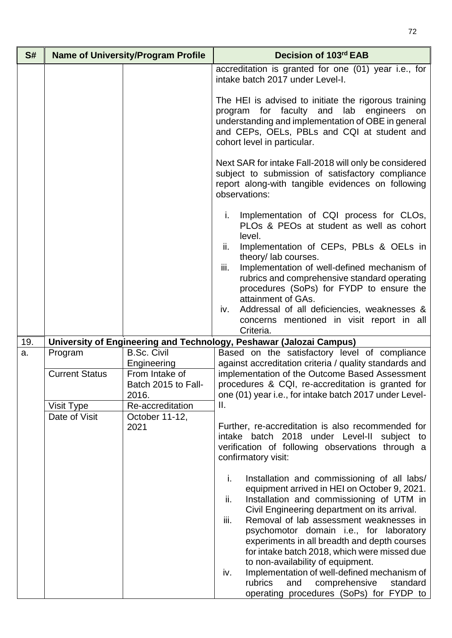| S#  | <b>Name of University/Program Profile</b> |                                                                            | Decision of 103rd EAB                                                                                                                                                                                                                                                                              |
|-----|-------------------------------------------|----------------------------------------------------------------------------|----------------------------------------------------------------------------------------------------------------------------------------------------------------------------------------------------------------------------------------------------------------------------------------------------|
|     |                                           |                                                                            | accreditation is granted for one (01) year i.e., for<br>intake batch 2017 under Level-I.                                                                                                                                                                                                           |
|     |                                           |                                                                            | The HEI is advised to initiate the rigorous training<br>program for faculty and<br>lab engineers<br>on<br>understanding and implementation of OBE in general<br>and CEPs, OELs, PBLs and CQI at student and<br>cohort level in particular.                                                         |
|     |                                           |                                                                            | Next SAR for intake Fall-2018 will only be considered<br>subject to submission of satisfactory compliance<br>report along-with tangible evidences on following<br>observations:                                                                                                                    |
|     |                                           |                                                                            | Implementation of CQI process for CLOs,<br>i.<br>PLOs & PEOs at student as well as cohort<br>level.<br>Implementation of CEPs, PBLs & OELs in<br>ii.<br>theory/ lab courses.                                                                                                                       |
|     |                                           |                                                                            | Implementation of well-defined mechanism of<br>iii.<br>rubrics and comprehensive standard operating<br>procedures (SoPs) for FYDP to ensure the<br>attainment of GAs.                                                                                                                              |
|     |                                           |                                                                            | Addressal of all deficiencies, weaknesses &<br>iv.<br>concerns mentioned in visit report in all<br>Criteria.                                                                                                                                                                                       |
| 19. |                                           |                                                                            | University of Engineering and Technology, Peshawar (Jalozai Campus)                                                                                                                                                                                                                                |
| a.  | Program<br><b>Current Status</b>          | <b>B.Sc. Civil</b><br>Engineering<br>From Intake of<br>Batch 2015 to Fall- | Based on the satisfactory level of compliance<br>against accreditation criteria / quality standards and<br>implementation of the Outcome Based Assessment<br>procedures & CQI, re-accreditation is granted for                                                                                     |
|     |                                           | 2016.                                                                      | one (01) year i.e., for intake batch 2017 under Level-                                                                                                                                                                                                                                             |
|     | Visit Type<br>Date of Visit               | Re-accreditation<br>October 11-12,                                         | Ⅱ.                                                                                                                                                                                                                                                                                                 |
|     |                                           | 2021                                                                       | Further, re-accreditation is also recommended for<br>intake batch 2018 under Level-II subject to<br>verification of following observations through a<br>confirmatory visit:                                                                                                                        |
|     |                                           |                                                                            | i.<br>Installation and commissioning of all labs/<br>equipment arrived in HEI on October 9, 2021.<br>Installation and commissioning of UTM in<br>ii.<br>Civil Engineering department on its arrival.<br>iii.<br>Removal of lab assessment weaknesses in<br>psychomotor domain i.e., for laboratory |
|     |                                           |                                                                            | experiments in all breadth and depth courses<br>for intake batch 2018, which were missed due<br>to non-availability of equipment.<br>Implementation of well-defined mechanism of<br>iv.<br>rubrics<br>and<br>comprehensive<br>standard<br>operating procedures (SoPs) for FYDP to                  |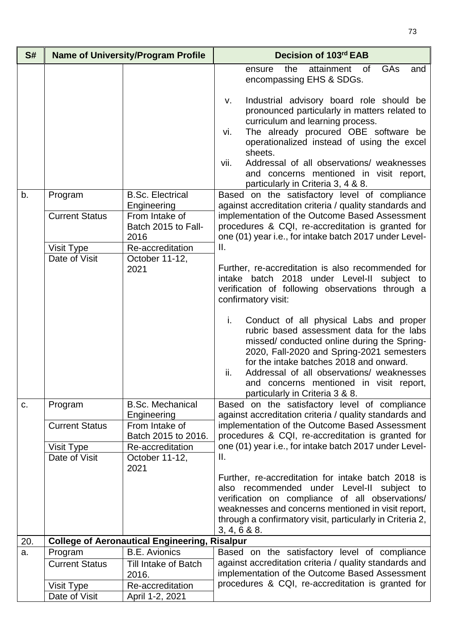| S#  |                                  | <b>Name of University/Program Profile</b>                    | Decision of 103rd EAB                                                                                                                                                                                                                                                                                                                                                                                                              |
|-----|----------------------------------|--------------------------------------------------------------|------------------------------------------------------------------------------------------------------------------------------------------------------------------------------------------------------------------------------------------------------------------------------------------------------------------------------------------------------------------------------------------------------------------------------------|
|     |                                  |                                                              | attainment<br><b>GAs</b><br>the<br>of<br>and<br>ensure<br>encompassing EHS & SDGs.                                                                                                                                                                                                                                                                                                                                                 |
| b.  | Program                          | <b>B.Sc. Electrical</b>                                      | Industrial advisory board role should be<br>v.<br>pronounced particularly in matters related to<br>curriculum and learning process.<br>The already procured OBE software be<br>vi.<br>operationalized instead of using the excel<br>sheets.<br>Addressal of all observations/ weaknesses<br>vii.<br>and concerns mentioned in visit report,<br>particularly in Criteria 3, 4 & 8.<br>Based on the satisfactory level of compliance |
|     | <b>Current Status</b>            | Engineering<br>From Intake of<br>Batch 2015 to Fall-<br>2016 | against accreditation criteria / quality standards and<br>implementation of the Outcome Based Assessment<br>procedures & CQI, re-accreditation is granted for<br>one (01) year i.e., for intake batch 2017 under Level-                                                                                                                                                                                                            |
|     | Visit Type                       | Re-accreditation                                             | Ⅱ.                                                                                                                                                                                                                                                                                                                                                                                                                                 |
|     | Date of Visit                    | October 11-12,<br>2021                                       | Further, re-accreditation is also recommended for<br>intake batch 2018 under Level-II subject to<br>verification of following observations through a<br>confirmatory visit:                                                                                                                                                                                                                                                        |
|     |                                  |                                                              | i.<br>Conduct of all physical Labs and proper<br>rubric based assessment data for the labs<br>missed/conducted online during the Spring-<br>2020, Fall-2020 and Spring-2021 semesters<br>for the intake batches 2018 and onward.<br>ii.<br>Addressal of all observations/ weaknesses<br>and concerns mentioned in visit report,<br>particularly in Criteria 3 & 8.                                                                 |
| C.  | Program<br><b>Current Status</b> | <b>B.Sc. Mechanical</b><br>Engineering<br>From Intake of     | Based on the satisfactory level of compliance<br>against accreditation criteria / quality standards and<br>implementation of the Outcome Based Assessment                                                                                                                                                                                                                                                                          |
|     |                                  | Batch 2015 to 2016.                                          | procedures & CQI, re-accreditation is granted for                                                                                                                                                                                                                                                                                                                                                                                  |
|     | Visit Type<br>Date of Visit      | Re-accreditation<br>October 11-12,<br>2021                   | one (01) year i.e., for intake batch 2017 under Level-<br>II.                                                                                                                                                                                                                                                                                                                                                                      |
|     |                                  |                                                              | Further, re-accreditation for intake batch 2018 is<br>also recommended under Level-II subject to<br>verification on compliance of all observations/<br>weaknesses and concerns mentioned in visit report,<br>through a confirmatory visit, particularly in Criteria 2,<br>3, 4, 6 & 8.8.                                                                                                                                           |
| 20. |                                  | <b>College of Aeronautical Engineering, Risalpur</b>         |                                                                                                                                                                                                                                                                                                                                                                                                                                    |
| a.  | Program<br><b>Current Status</b> | <b>B.E.</b> Avionics<br><b>Till Intake of Batch</b>          | Based on the satisfactory level of compliance<br>against accreditation criteria / quality standards and                                                                                                                                                                                                                                                                                                                            |
|     |                                  | 2016.                                                        | implementation of the Outcome Based Assessment                                                                                                                                                                                                                                                                                                                                                                                     |
|     | Visit Type                       | Re-accreditation                                             | procedures & CQI, re-accreditation is granted for                                                                                                                                                                                                                                                                                                                                                                                  |
|     | Date of Visit                    | April 1-2, 2021                                              |                                                                                                                                                                                                                                                                                                                                                                                                                                    |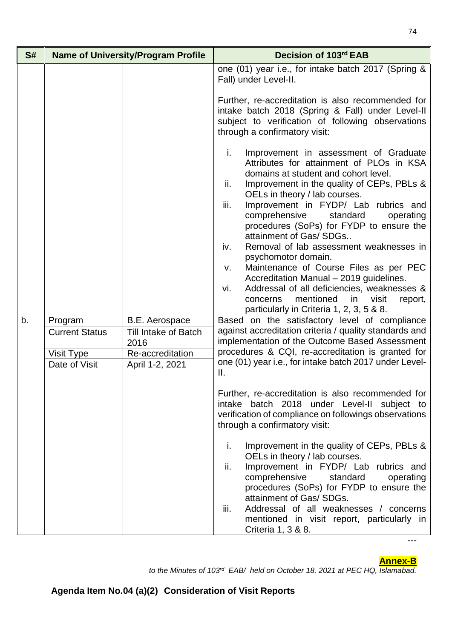| S#                                                | <b>Name of University/Program Profile</b>                                                                                                                                                                                                                                                                                                                                                                                                                                                                                                                                                                                                                  |                                                      | Decision of 103rd EAB                                                                                                                                                                                                                                                                                                                                                    |
|---------------------------------------------------|------------------------------------------------------------------------------------------------------------------------------------------------------------------------------------------------------------------------------------------------------------------------------------------------------------------------------------------------------------------------------------------------------------------------------------------------------------------------------------------------------------------------------------------------------------------------------------------------------------------------------------------------------------|------------------------------------------------------|--------------------------------------------------------------------------------------------------------------------------------------------------------------------------------------------------------------------------------------------------------------------------------------------------------------------------------------------------------------------------|
|                                                   |                                                                                                                                                                                                                                                                                                                                                                                                                                                                                                                                                                                                                                                            |                                                      | one (01) year i.e., for intake batch 2017 (Spring &<br>Fall) under Level-II.                                                                                                                                                                                                                                                                                             |
|                                                   |                                                                                                                                                                                                                                                                                                                                                                                                                                                                                                                                                                                                                                                            |                                                      | Further, re-accreditation is also recommended for<br>intake batch 2018 (Spring & Fall) under Level-II<br>subject to verification of following observations<br>through a confirmatory visit:                                                                                                                                                                              |
| i.<br>ii.<br>iii.<br>iv.<br>v.<br>vi.<br>concerns | Improvement in assessment of Graduate<br>Attributes for attainment of PLOs in KSA<br>domains at student and cohort level.<br>Improvement in the quality of CEPs, PBLs &<br>OELs in theory / lab courses.<br>Improvement in FYDP/ Lab rubrics and<br>comprehensive<br>standard<br>operating<br>procedures (SoPs) for FYDP to ensure the<br>attainment of Gas/ SDGs<br>Removal of lab assessment weaknesses in<br>psychomotor domain.<br>Maintenance of Course Files as per PEC<br>Accreditation Manual - 2019 guidelines.<br>Addressal of all deficiencies, weaknesses &<br>mentioned<br>in<br>visit<br>report,<br>particularly in Criteria 1, 2, 3, 5 & 8. |                                                      |                                                                                                                                                                                                                                                                                                                                                                          |
| b.                                                | Program<br><b>Current Status</b>                                                                                                                                                                                                                                                                                                                                                                                                                                                                                                                                                                                                                           | <b>B.E. Aerospace</b><br><b>Till Intake of Batch</b> | Based on the satisfactory level of compliance<br>against accreditation criteria / quality standards and                                                                                                                                                                                                                                                                  |
|                                                   |                                                                                                                                                                                                                                                                                                                                                                                                                                                                                                                                                                                                                                                            | 2016                                                 | implementation of the Outcome Based Assessment                                                                                                                                                                                                                                                                                                                           |
|                                                   | Visit Type<br>Date of Visit                                                                                                                                                                                                                                                                                                                                                                                                                                                                                                                                                                                                                                | Re-accreditation<br>April 1-2, 2021                  | procedures & CQI, re-accreditation is granted for<br>one (01) year i.e., for intake batch 2017 under Level-<br>$\mathbf{II}$ .                                                                                                                                                                                                                                           |
|                                                   |                                                                                                                                                                                                                                                                                                                                                                                                                                                                                                                                                                                                                                                            |                                                      | Further, re-accreditation is also recommended for<br>intake batch 2018 under Level-II subject to<br>verification of compliance on followings observations<br>through a confirmatory visit:                                                                                                                                                                               |
|                                                   |                                                                                                                                                                                                                                                                                                                                                                                                                                                                                                                                                                                                                                                            |                                                      | Improvement in the quality of CEPs, PBLs &<br>i.<br>OELs in theory / lab courses.<br>Improvement in FYDP/ Lab rubrics and<br>ii.<br>comprehensive<br>standard<br>operating<br>procedures (SoPs) for FYDP to ensure the<br>attainment of Gas/ SDGs.<br>iii.<br>Addressal of all weaknesses / concerns<br>mentioned in visit report, particularly in<br>Criteria 1, 3 & 8. |

---

*to the Minutes of 103rd EAB/ held on October 18, 2021 at PEC HQ, Islamabad.*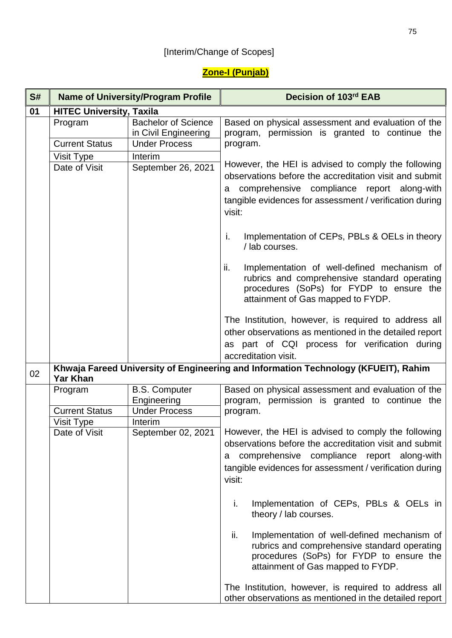## [Interim/Change of Scopes]

## **Zone-I (Punjab)**

| S# |                                  | <b>Name of University/Program Profile</b>                                  | Decision of 103rd EAB                                                                                                                                                                                                                 |
|----|----------------------------------|----------------------------------------------------------------------------|---------------------------------------------------------------------------------------------------------------------------------------------------------------------------------------------------------------------------------------|
| 01 | <b>HITEC University, Taxila</b>  |                                                                            |                                                                                                                                                                                                                                       |
|    | Program<br><b>Current Status</b> | <b>Bachelor of Science</b><br>in Civil Engineering<br><b>Under Process</b> | Based on physical assessment and evaluation of the<br>program, permission is granted to continue the<br>program.                                                                                                                      |
|    |                                  | Interim                                                                    |                                                                                                                                                                                                                                       |
|    | Visit Type<br>Date of Visit      | September 26, 2021                                                         | However, the HEI is advised to comply the following<br>observations before the accreditation visit and submit<br>a comprehensive compliance report along-with<br>tangible evidences for assessment / verification during<br>visit:    |
|    |                                  |                                                                            | Implementation of CEPs, PBLs & OELs in theory<br>i.<br>/ lab courses.                                                                                                                                                                 |
|    |                                  |                                                                            | ii.<br>Implementation of well-defined mechanism of<br>rubrics and comprehensive standard operating<br>procedures (SoPs) for FYDP to ensure the<br>attainment of Gas mapped to FYDP.                                                   |
|    |                                  |                                                                            | The Institution, however, is required to address all<br>other observations as mentioned in the detailed report<br>as part of CQI process for verification during                                                                      |
|    |                                  |                                                                            | accreditation visit.                                                                                                                                                                                                                  |
| 02 | <b>Yar Khan</b>                  |                                                                            | Khwaja Fareed University of Engineering and Information Technology (KFUEIT), Rahim                                                                                                                                                    |
|    | Program                          | <b>B.S. Computer</b><br>Engineering                                        | Based on physical assessment and evaluation of the<br>program, permission is granted to continue the                                                                                                                                  |
|    | <b>Current Status</b>            | <b>Under Process</b>                                                       | program.                                                                                                                                                                                                                              |
|    | Visit Type<br>Date of Visit      | Interim<br>September 02, 2021                                              | However, the HEI is advised to comply the following<br>observations before the accreditation visit and submit<br>comprehensive compliance report along-with<br>a<br>tangible evidences for assessment / verification during<br>visit: |
|    |                                  |                                                                            | Implementation of CEPs, PBLs & OELs in<br>i.<br>theory / lab courses.                                                                                                                                                                 |
|    |                                  |                                                                            | ii.<br>Implementation of well-defined mechanism of<br>rubrics and comprehensive standard operating<br>procedures (SoPs) for FYDP to ensure the<br>attainment of Gas mapped to FYDP.                                                   |
|    |                                  |                                                                            | The Institution, however, is required to address all<br>other observations as mentioned in the detailed report                                                                                                                        |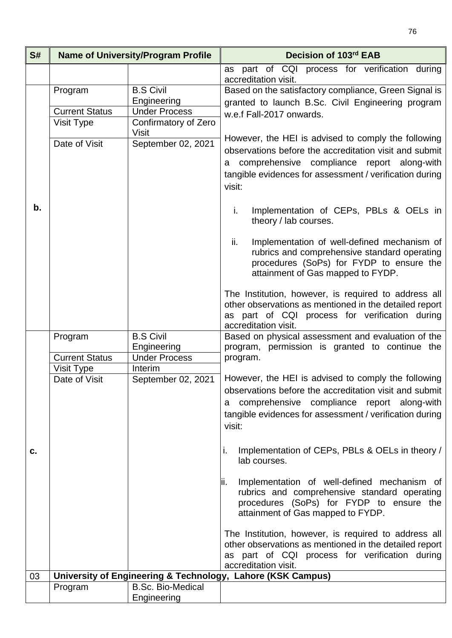| S# |                                                              | <b>Name of University/Program Profile</b>                                                                                                                                                                                             | Decision of 103rd EAB                                                                                                                                                                                                                 |  |
|----|--------------------------------------------------------------|---------------------------------------------------------------------------------------------------------------------------------------------------------------------------------------------------------------------------------------|---------------------------------------------------------------------------------------------------------------------------------------------------------------------------------------------------------------------------------------|--|
|    |                                                              |                                                                                                                                                                                                                                       | part of CQI process for verification during<br>as                                                                                                                                                                                     |  |
|    | Program<br><b>Current Status</b>                             | <b>B.S Civil</b><br>Engineering<br><b>Under Process</b>                                                                                                                                                                               | accreditation visit.<br>Based on the satisfactory compliance, Green Signal is<br>granted to launch B.Sc. Civil Engineering program<br>w.e.f Fall-2017 onwards.                                                                        |  |
|    | Visit Type<br>Date of Visit                                  | Confirmatory of Zero<br><b>Visit</b><br>September 02, 2021                                                                                                                                                                            | However, the HEI is advised to comply the following<br>observations before the accreditation visit and submit<br>comprehensive compliance report along-with<br>a<br>tangible evidences for assessment / verification during<br>visit: |  |
| b. |                                                              |                                                                                                                                                                                                                                       | i.<br>Implementation of CEPs, PBLs & OELs in<br>theory / lab courses.                                                                                                                                                                 |  |
|    |                                                              |                                                                                                                                                                                                                                       | Implementation of well-defined mechanism of<br>ii.<br>rubrics and comprehensive standard operating<br>procedures (SoPs) for FYDP to ensure the<br>attainment of Gas mapped to FYDP.                                                   |  |
|    |                                                              |                                                                                                                                                                                                                                       | The Institution, however, is required to address all<br>other observations as mentioned in the detailed report<br>as part of CQI process for verification during<br>accreditation visit.                                              |  |
|    | Program<br><b>Current Status</b>                             | <b>B.S Civil</b><br>Engineering<br><b>Under Process</b>                                                                                                                                                                               | Based on physical assessment and evaluation of the<br>program, permission is granted to continue the<br>program.                                                                                                                      |  |
|    | Visit Type<br>Interim<br>September 02, 2021<br>Date of Visit | However, the HEI is advised to comply the following<br>observations before the accreditation visit and submit<br>comprehensive compliance report along-with<br>a<br>tangible evidences for assessment / verification during<br>visit: |                                                                                                                                                                                                                                       |  |
| c. |                                                              |                                                                                                                                                                                                                                       | Implementation of CEPs, PBLs & OELs in theory /<br>i.<br>lab courses.                                                                                                                                                                 |  |
|    |                                                              |                                                                                                                                                                                                                                       | Implementation of well-defined mechanism of<br>lii.<br>rubrics and comprehensive standard operating<br>procedures (SoPs) for FYDP to ensure the<br>attainment of Gas mapped to FYDP.                                                  |  |
|    |                                                              |                                                                                                                                                                                                                                       | The Institution, however, is required to address all<br>other observations as mentioned in the detailed report<br>as part of CQI process for verification during<br>accreditation visit.                                              |  |
| 03 | University of Engineering & Technology, Lahore (KSK Campus)  |                                                                                                                                                                                                                                       |                                                                                                                                                                                                                                       |  |
|    | Program                                                      | <b>B.Sc. Bio-Medical</b><br>Engineering                                                                                                                                                                                               |                                                                                                                                                                                                                                       |  |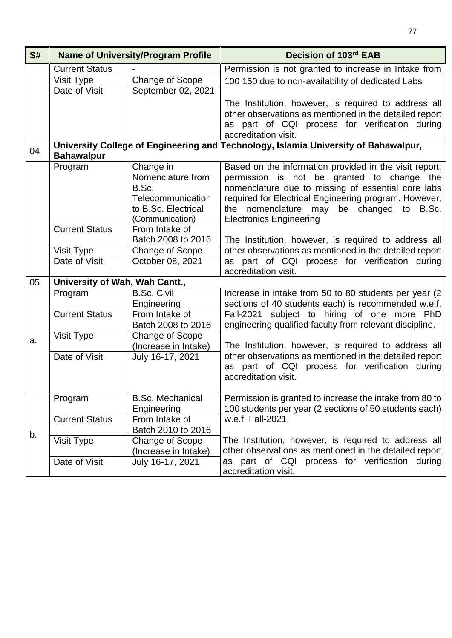| S# | <b>Name of University/Program Profile</b>                                                                |                                            | Decision of 103rd EAB                                                                                          |
|----|----------------------------------------------------------------------------------------------------------|--------------------------------------------|----------------------------------------------------------------------------------------------------------------|
|    | <b>Current Status</b>                                                                                    |                                            | Permission is not granted to increase in Intake from                                                           |
|    | Visit Type                                                                                               | <b>Change of Scope</b>                     | 100 150 due to non-availability of dedicated Labs                                                              |
|    | Date of Visit                                                                                            | September 02, 2021                         |                                                                                                                |
|    |                                                                                                          |                                            | The Institution, however, is required to address all                                                           |
|    |                                                                                                          |                                            | other observations as mentioned in the detailed report                                                         |
|    |                                                                                                          |                                            | as part of CQI process for verification during                                                                 |
|    |                                                                                                          |                                            | accreditation visit.                                                                                           |
| 04 | University College of Engineering and Technology, Islamia University of Bahawalpur,<br><b>Bahawalpur</b> |                                            |                                                                                                                |
|    | Program                                                                                                  | Change in                                  | Based on the information provided in the visit report,                                                         |
|    |                                                                                                          | Nomenclature from                          | permission is not be granted to change the                                                                     |
|    |                                                                                                          | B.Sc.                                      | nomenclature due to missing of essential core labs                                                             |
|    |                                                                                                          | Telecommunication                          | required for Electrical Engineering program. However,                                                          |
|    |                                                                                                          | to B.Sc. Electrical                        | the nomenclature may be changed to B.Sc.                                                                       |
|    | <b>Current Status</b>                                                                                    | (Communication)<br>From Intake of          | <b>Electronics Engineering</b>                                                                                 |
|    |                                                                                                          | Batch 2008 to 2016                         |                                                                                                                |
|    |                                                                                                          |                                            | The Institution, however, is required to address all<br>other observations as mentioned in the detailed report |
|    | Visit Type<br>Date of Visit                                                                              | <b>Change of Scope</b><br>October 08, 2021 | as part of CQI process for verification during                                                                 |
|    |                                                                                                          |                                            | accreditation visit.                                                                                           |
| 05 | University of Wah, Wah Cantt.,                                                                           |                                            |                                                                                                                |
|    | Program                                                                                                  | <b>B.Sc. Civil</b>                         | Increase in intake from 50 to 80 students per year (2)                                                         |
|    |                                                                                                          | Engineering                                | sections of 40 students each) is recommended w.e.f.                                                            |
|    | <b>Current Status</b>                                                                                    | From Intake of                             | Fall-2021 subject to hiring of one more PhD                                                                    |
|    |                                                                                                          | Batch 2008 to 2016                         | engineering qualified faculty from relevant discipline.                                                        |
| a. | Visit Type                                                                                               | Change of Scope                            |                                                                                                                |
|    |                                                                                                          | (Increase in Intake)                       | The Institution, however, is required to address all                                                           |
|    | Date of Visit                                                                                            | July 16-17, 2021                           | other observations as mentioned in the detailed report                                                         |
|    |                                                                                                          |                                            | as part of CQI process for verification during                                                                 |
|    |                                                                                                          |                                            | accreditation visit.                                                                                           |
|    | Program                                                                                                  | <b>B.Sc. Mechanical</b>                    | Permission is granted to increase the intake from 80 to                                                        |
|    |                                                                                                          | Engineering                                | 100 students per year (2 sections of 50 students each)                                                         |
|    | <b>Current Status</b>                                                                                    | From Intake of                             | w.e.f. Fall-2021.                                                                                              |
| b. |                                                                                                          | Batch 2010 to 2016                         |                                                                                                                |
|    | Visit Type                                                                                               | Change of Scope                            | The Institution, however, is required to address all                                                           |
|    |                                                                                                          | (Increase in Intake)                       | other observations as mentioned in the detailed report                                                         |
|    | Date of Visit                                                                                            | July 16-17, 2021                           | as part of CQI process for verification during<br>accreditation visit.                                         |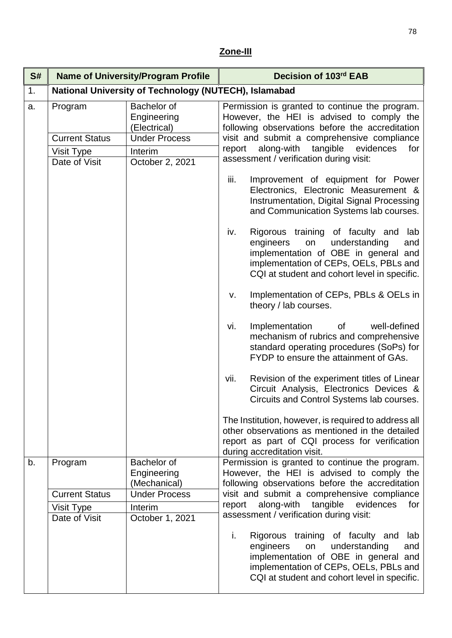## **Zone-III**

| S# |                                                                                                                                                                     | <b>Name of University/Program Profile</b>             | Decision of 103rd EAB                                                                                                                                                                                                                                                                         |
|----|---------------------------------------------------------------------------------------------------------------------------------------------------------------------|-------------------------------------------------------|-----------------------------------------------------------------------------------------------------------------------------------------------------------------------------------------------------------------------------------------------------------------------------------------------|
| 1. |                                                                                                                                                                     | National University of Technology (NUTECH), Islamabad |                                                                                                                                                                                                                                                                                               |
| a. | Bachelor of<br>Program<br>Engineering<br>(Electrical)<br><b>Under Process</b><br><b>Current Status</b><br>Visit Type<br>Interim<br>October 2, 2021<br>Date of Visit |                                                       | Permission is granted to continue the program.<br>However, the HEI is advised to comply the<br>following observations before the accreditation<br>visit and submit a comprehensive compliance<br>along-with tangible<br>evidences<br>report<br>for<br>assessment / verification during visit: |
|    |                                                                                                                                                                     |                                                       | iii.<br>Improvement of equipment for Power<br>Electronics, Electronic Measurement &<br>Instrumentation, Digital Signal Processing<br>and Communication Systems lab courses.                                                                                                                   |
|    |                                                                                                                                                                     |                                                       | Rigorous training of faculty and lab<br>iv.<br>engineers<br>understanding<br>on<br>and<br>implementation of OBE in general and<br>implementation of CEPs, OELs, PBLs and<br>CQI at student and cohort level in specific.                                                                      |
|    |                                                                                                                                                                     |                                                       | Implementation of CEPs, PBLs & OELs in<br>$V_{\star}$<br>theory / lab courses.                                                                                                                                                                                                                |
|    |                                                                                                                                                                     |                                                       | well-defined<br>Implementation<br>of<br>vi.<br>mechanism of rubrics and comprehensive<br>standard operating procedures (SoPs) for<br>FYDP to ensure the attainment of GAs.                                                                                                                    |
|    |                                                                                                                                                                     |                                                       | Revision of the experiment titles of Linear<br>vii.<br>Circuit Analysis, Electronics Devices &<br>Circuits and Control Systems lab courses.                                                                                                                                                   |
|    |                                                                                                                                                                     |                                                       | The Institution, however, is required to address all<br>other observations as mentioned in the detailed<br>report as part of CQI process for verification<br>during accreditation visit.                                                                                                      |
| b. | Program                                                                                                                                                             | Bachelor of<br>Engineering<br>(Mechanical)            | Permission is granted to continue the program.<br>However, the HEI is advised to comply the<br>following observations before the accreditation                                                                                                                                                |
|    | <b>Current Status</b>                                                                                                                                               | <b>Under Process</b>                                  | visit and submit a comprehensive compliance                                                                                                                                                                                                                                                   |
|    | <b>Visit Type</b><br>Date of Visit                                                                                                                                  | Interim<br>October 1, 2021                            | along-with<br>tangible<br>evidences<br>for<br>report<br>assessment / verification during visit:                                                                                                                                                                                               |
|    |                                                                                                                                                                     |                                                       | i.<br>Rigorous training of faculty and<br>lab<br>understanding<br>engineers<br>on<br>and<br>implementation of OBE in general and<br>implementation of CEPs, OELs, PBLs and<br>CQI at student and cohort level in specific.                                                                    |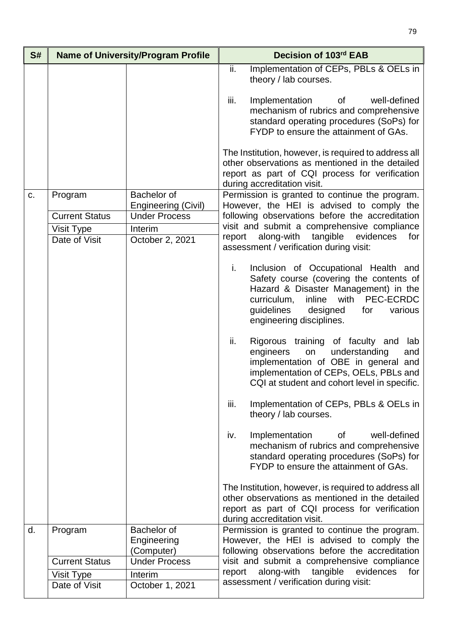| S# |                       | <b>Name of University/Program Profile</b>   | Decision of 103rd EAB                                                                                                                                                                                                                            |
|----|-----------------------|---------------------------------------------|--------------------------------------------------------------------------------------------------------------------------------------------------------------------------------------------------------------------------------------------------|
|    |                       |                                             | ii.<br>Implementation of CEPs, PBLs & OELs in<br>theory / lab courses.                                                                                                                                                                           |
|    |                       |                                             | iii.<br>Implementation<br>of<br>well-defined<br>mechanism of rubrics and comprehensive<br>standard operating procedures (SoPs) for<br>FYDP to ensure the attainment of GAs.                                                                      |
|    |                       |                                             | The Institution, however, is required to address all<br>other observations as mentioned in the detailed<br>report as part of CQI process for verification<br>during accreditation visit.                                                         |
| C. | Program               | Bachelor of                                 | Permission is granted to continue the program.<br>However, the HEI is advised to comply the                                                                                                                                                      |
|    | <b>Current Status</b> | Engineering (Civil)<br><b>Under Process</b> | following observations before the accreditation                                                                                                                                                                                                  |
|    | Visit Type            | Interim                                     | visit and submit a comprehensive compliance                                                                                                                                                                                                      |
|    | Date of Visit         | October 2, 2021                             | tangible<br>evidences<br>along-with<br>report<br>for<br>assessment / verification during visit:                                                                                                                                                  |
|    |                       |                                             | Inclusion of Occupational Health and<br>i.<br>Safety course (covering the contents of<br>Hazard & Disaster Management) in the<br>with PEC-ECRDC<br>curriculum,<br>inline<br>guidelines<br>designed<br>various<br>for<br>engineering disciplines. |
|    |                       |                                             | ii.<br>Rigorous training of faculty and lab<br>engineers<br>on<br>understanding<br>and<br>implementation of OBE in general and<br>implementation of CEPs, OELs, PBLs and<br>CQI at student and cohort level in specific.                         |
|    |                       |                                             | iii.<br>Implementation of CEPs, PBLs & OELs in<br>theory / lab courses.                                                                                                                                                                          |
|    |                       |                                             | iv.<br>Implementation of<br>well-defined<br>mechanism of rubrics and comprehensive<br>standard operating procedures (SoPs) for<br>FYDP to ensure the attainment of GAs.                                                                          |
|    |                       |                                             | The Institution, however, is required to address all<br>other observations as mentioned in the detailed<br>report as part of CQI process for verification<br>during accreditation visit.                                                         |
| d. | Program               | Bachelor of<br>Engineering<br>(Computer)    | Permission is granted to continue the program.<br>However, the HEI is advised to comply the<br>following observations before the accreditation                                                                                                   |
|    | <b>Current Status</b> | <b>Under Process</b>                        | visit and submit a comprehensive compliance                                                                                                                                                                                                      |
|    | Visit Type            | Interim                                     | along-with tangible evidences<br>report<br>for<br>assessment / verification during visit:                                                                                                                                                        |
|    | Date of Visit         | October 1, 2021                             |                                                                                                                                                                                                                                                  |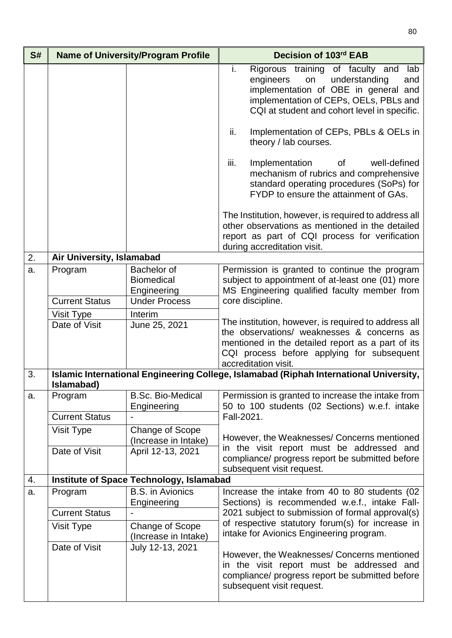| S# | <b>Name of University/Program Profile</b>                                                            |                                                 | Decision of 103rd EAB                                                                                                                                                                                                         |
|----|------------------------------------------------------------------------------------------------------|-------------------------------------------------|-------------------------------------------------------------------------------------------------------------------------------------------------------------------------------------------------------------------------------|
|    |                                                                                                      |                                                 | Rigorous training of faculty and<br>i.<br>lab<br>understanding<br>engineers<br>on<br>and<br>implementation of OBE in general and<br>implementation of CEPs, OELs, PBLs and<br>CQI at student and cohort level in specific.    |
|    |                                                                                                      |                                                 | Implementation of CEPs, PBLs & OELs in<br>ii.<br>theory / lab courses.                                                                                                                                                        |
|    |                                                                                                      |                                                 | iii.<br>Implementation<br>of<br>well-defined<br>mechanism of rubrics and comprehensive<br>standard operating procedures (SoPs) for<br>FYDP to ensure the attainment of GAs.                                                   |
|    |                                                                                                      |                                                 | The Institution, however, is required to address all<br>other observations as mentioned in the detailed<br>report as part of CQI process for verification<br>during accreditation visit.                                      |
| 2. | Air University, Islamabad                                                                            |                                                 |                                                                                                                                                                                                                               |
| a. | Program                                                                                              | Bachelor of<br><b>Biomedical</b><br>Engineering | Permission is granted to continue the program<br>subject to appointment of at-least one (01) more<br>MS Engineering qualified faculty member from                                                                             |
|    | <b>Current Status</b>                                                                                | <b>Under Process</b>                            | core discipline.                                                                                                                                                                                                              |
|    | Visit Type                                                                                           | Interim                                         |                                                                                                                                                                                                                               |
|    | Date of Visit                                                                                        | June 25, 2021                                   | The institution, however, is required to address all<br>the observations/ weaknesses & concerns as<br>mentioned in the detailed report as a part of its<br>CQI process before applying for subsequent<br>accreditation visit. |
| 3. | Islamic International Engineering College, Islamabad (Riphah International University,<br>Islamabad) |                                                 |                                                                                                                                                                                                                               |
| a. | Program                                                                                              | <b>B.Sc. Bio-Medical</b><br>Engineering         | Permission is granted to increase the intake from<br>50 to 100 students (02 Sections) w.e.f. intake                                                                                                                           |
|    | <b>Current Status</b>                                                                                |                                                 | Fall-2021.                                                                                                                                                                                                                    |
|    | Visit Type                                                                                           | <b>Change of Scope</b><br>(Increase in Intake)  | However, the Weaknesses/ Concerns mentioned                                                                                                                                                                                   |
|    | Date of Visit                                                                                        | April 12-13, 2021                               | in the visit report must be addressed and<br>compliance/ progress report be submitted before<br>subsequent visit request.                                                                                                     |
| 4. |                                                                                                      | <b>Institute of Space Technology, Islamabad</b> |                                                                                                                                                                                                                               |
| a. | Program                                                                                              | <b>B.S.</b> in Avionics                         | Increase the intake from 40 to 80 students (02                                                                                                                                                                                |
|    |                                                                                                      | Engineering                                     | Sections) is recommended w.e.f., intake Fall-                                                                                                                                                                                 |
|    | <b>Current Status</b>                                                                                |                                                 | 2021 subject to submission of formal approval(s)                                                                                                                                                                              |
|    | Visit Type                                                                                           | Change of Scope<br>(Increase in Intake)         | of respective statutory forum(s) for increase in<br>intake for Avionics Engineering program.                                                                                                                                  |
|    | Date of Visit                                                                                        | July 12-13, 2021                                | However, the Weaknesses/ Concerns mentioned<br>in the visit report must be addressed and<br>compliance/ progress report be submitted before<br>subsequent visit request.                                                      |

80